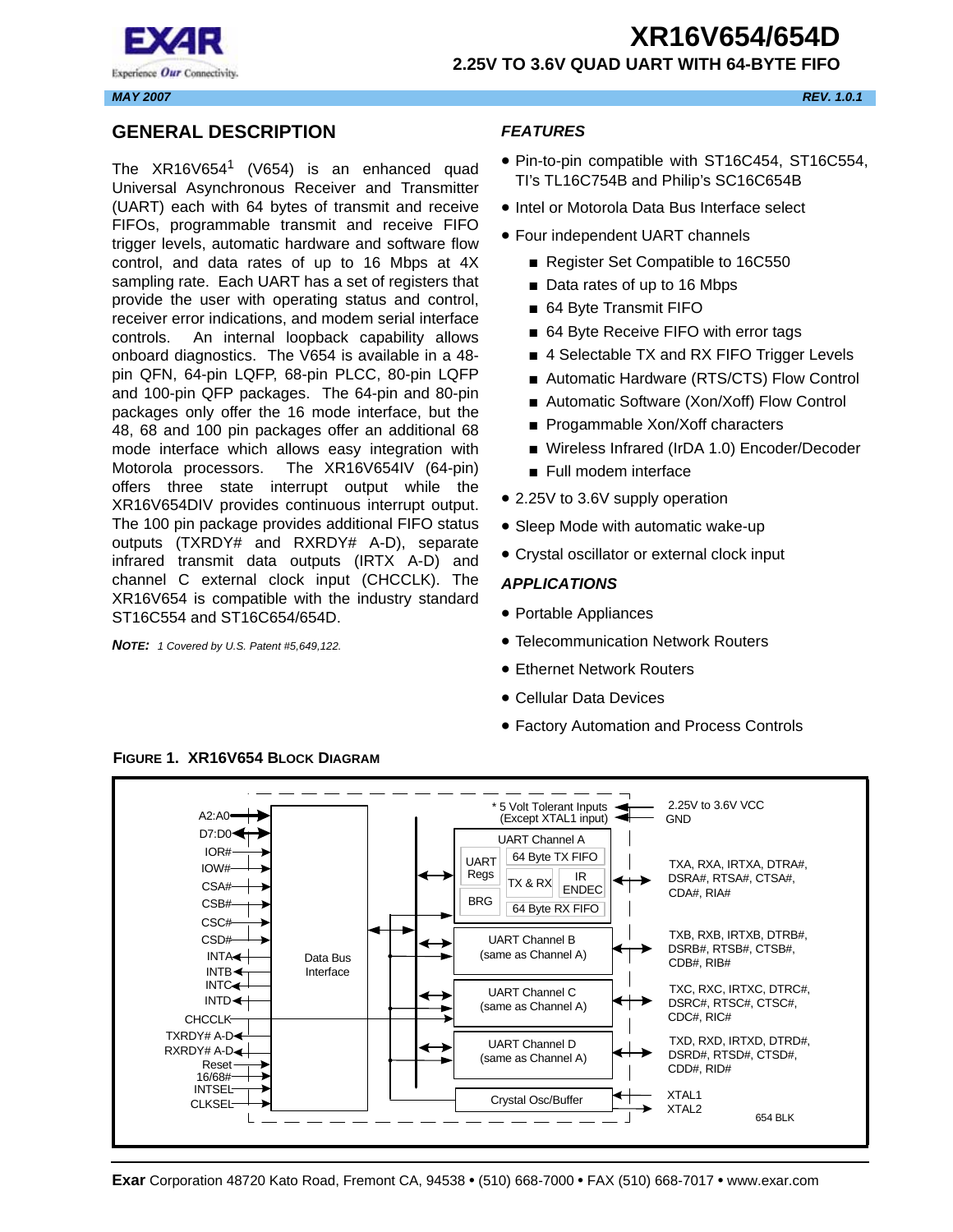

#### <span id="page-0-0"></span>**GENERAL DESCRIPTION**

The  $XR16V654$ <sup>1</sup> (V654) is an enhanced quad Universal Asynchronous Receiver and Transmitter (UART) each with 64 bytes of transmit and receive FIFOs, programmable transmit and receive FIFO trigger levels, automatic hardware and software flow control, and data rates of up to 16 Mbps at 4X sampling rate. Each UART has a set of registers that provide the user with operating status and control, receiver error indications, and modem serial interface controls. An internal loopback capability allows onboard diagnostics. The V654 is available in a 48 pin QFN, 64-pin LQFP, 68-pin PLCC, 80-pin LQFP and 100-pin QFP packages. The 64-pin and 80-pin packages only offer the 16 mode interface, but the 48, 68 and 100 pin packages offer an additional 68 mode interface which allows easy integration with Motorola processors. The XR16V654IV (64-pin) offers three state interrupt output while the XR16V654DIV provides continuous interrupt output. The 100 pin package provides additional FIFO status outputs (TXRDY# and RXRDY# A-D), separate infrared transmit data outputs (IRTX A-D) and channel C external clock input (CHCCLK). The XR16V654 is compatible with the industry standard ST16C554 and ST16C654/654D.

*NOTE: 1 Covered by U.S. Patent #5,649,122.*

#### <span id="page-0-1"></span>*FEATURES*

- Pin-to-pin compatible with ST16C454, ST16C554, TI's TL16C754B and Philip's SC16C654B
- Intel or Motorola Data Bus Interface select
- Four independent UART channels
	- Register Set Compatible to 16C550
	- Data rates of up to 16 Mbps
	- 64 Byte Transmit FIFO
	- 64 Byte Receive FIFO with error tags
	- 4 Selectable TX and RX FIFO Trigger Levels
	- Automatic Hardware (RTS/CTS) Flow Control
	- Automatic Software (Xon/Xoff) Flow Control
	- Progammable Xon/Xoff characters
	- Wireless Infrared (IrDA 1.0) Encoder/Decoder
	- Full modem interface
- 2.25V to 3.6V supply operation
- Sleep Mode with automatic wake-up
- Crystal oscillator or external clock input

#### <span id="page-0-2"></span>*APPLICATIONS*

- Portable Appliances
- Telecommunication Network Routers
- Ethernet Network Routers
- Cellular Data Devices
- Factory Automation and Process Controls



<span id="page-0-3"></span>**FIGURE 1. XR16V654 BLOCK DIAGRAM**

*MAY 2007 REV. 1.0.1*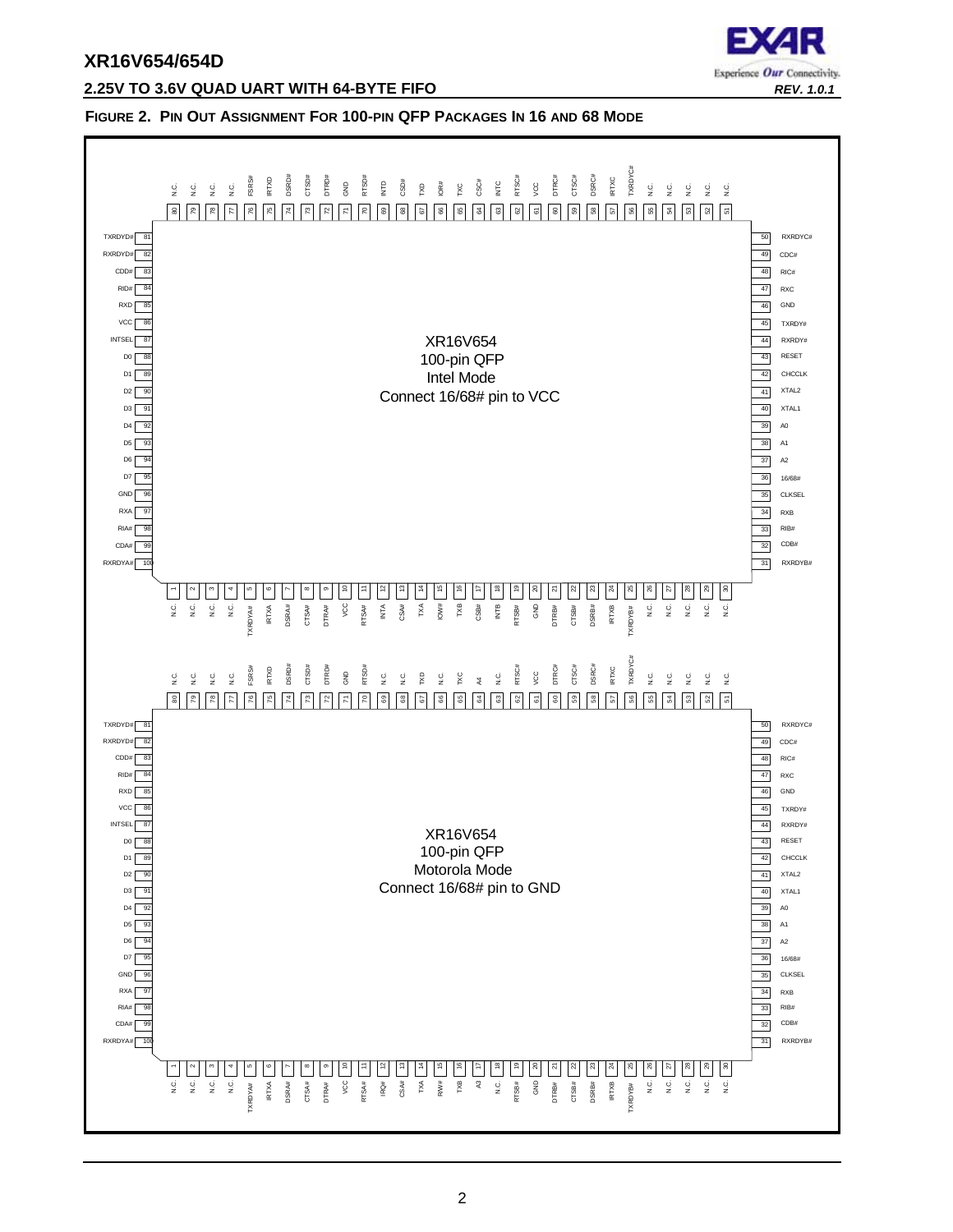

#### **2.25V TO 3.6V QUAD UART WITH 64-BYTE FIFO** *REV. 1.0.1*

#### <span id="page-1-0"></span>**FIGURE 2. PIN OUT ASSIGNMENT FOR 100-PIN QFP PACKAGES IN 16 AND 68 MODE**

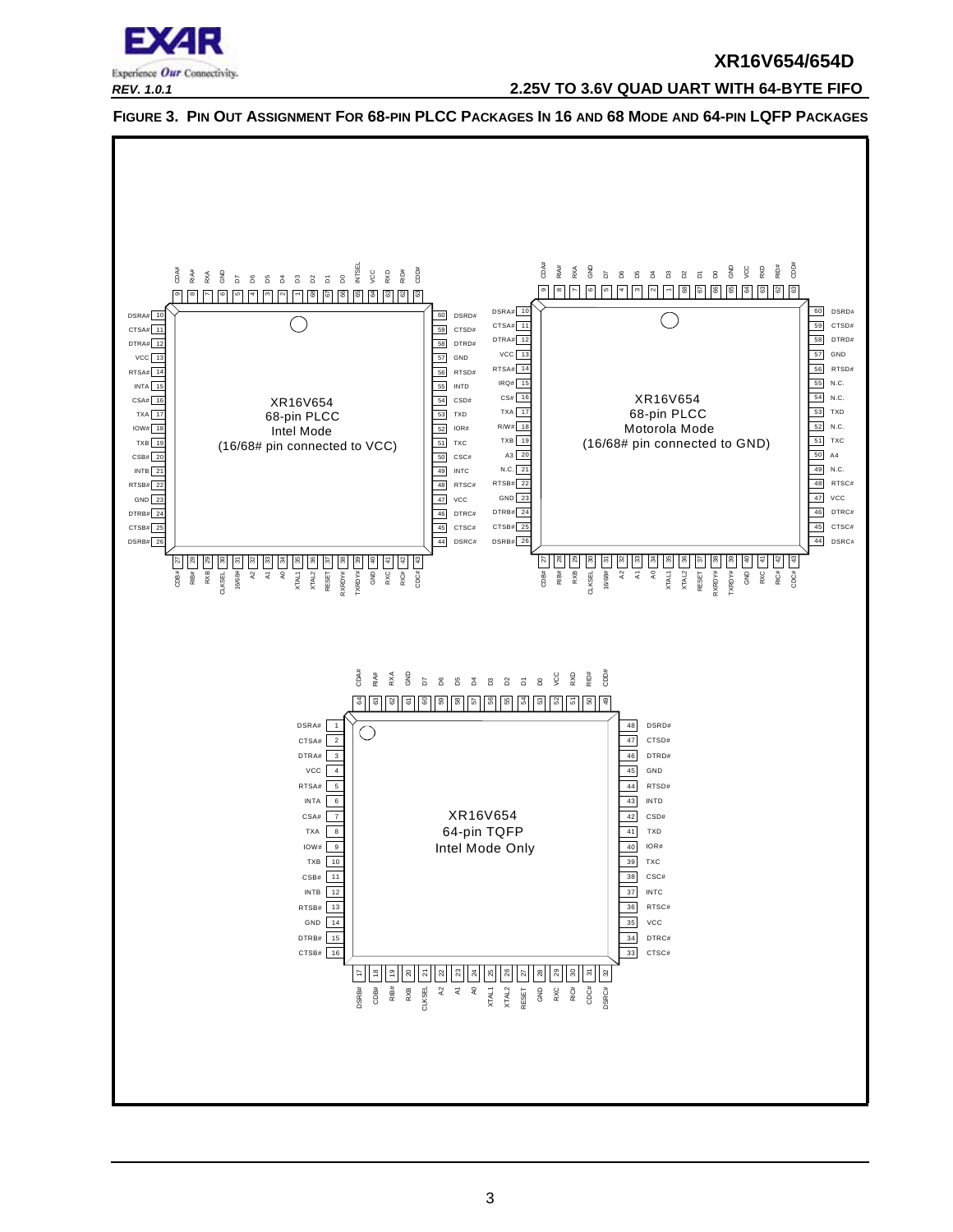

#### *REV. 1.0.1* **2.25V TO 3.6V QUAD UART WITH 64-BYTE FIFO**

<span id="page-2-0"></span>

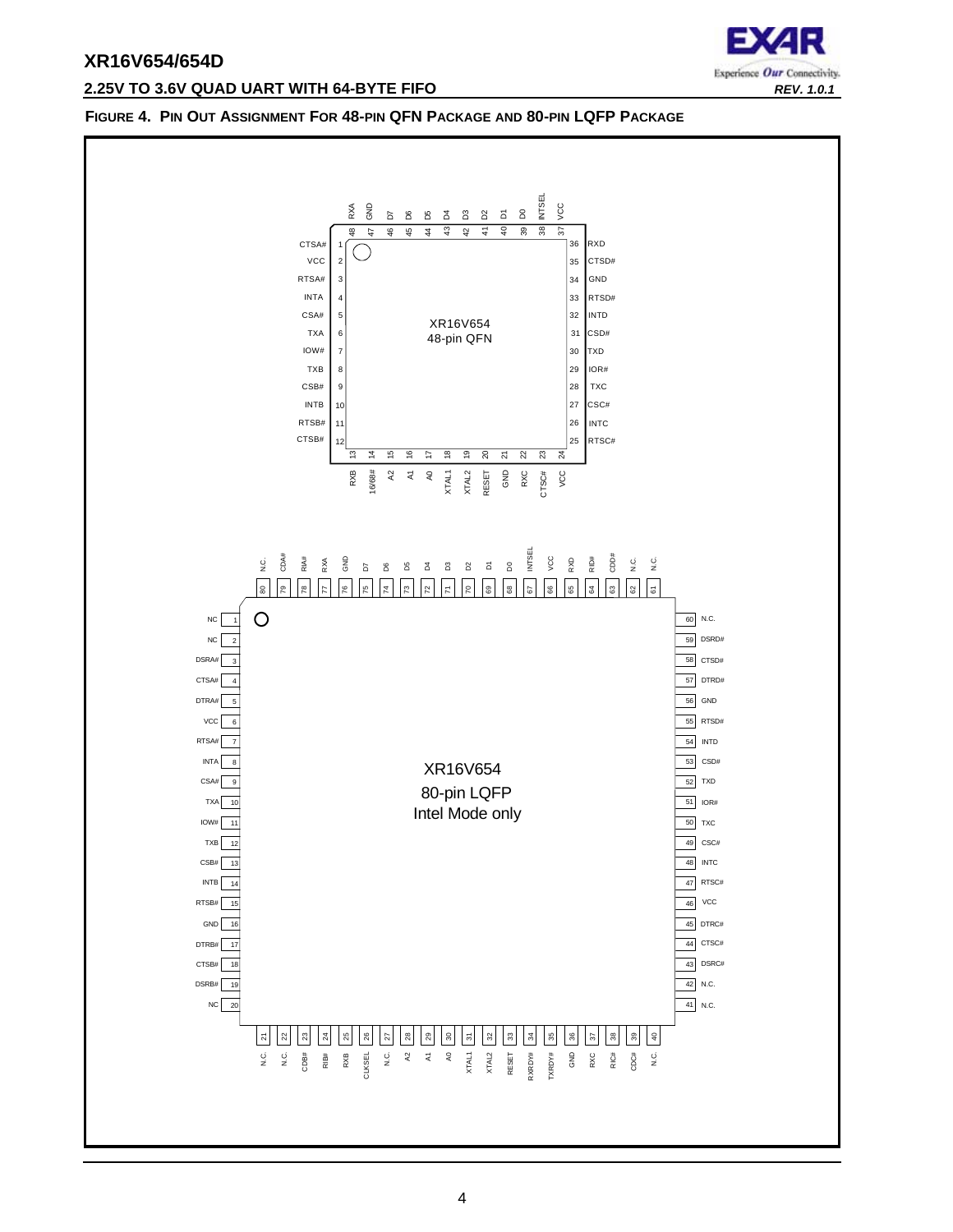## **2.25V TO 3.6V QUAD UART WITH 64-BYTE FIFO** *REV. 1.0.1*



#### <span id="page-3-0"></span>**FIGURE 4. PIN OUT ASSIGNMENT FOR 48-PIN QFN PACKAGE AND 80-PIN LQFP PACKAGE**

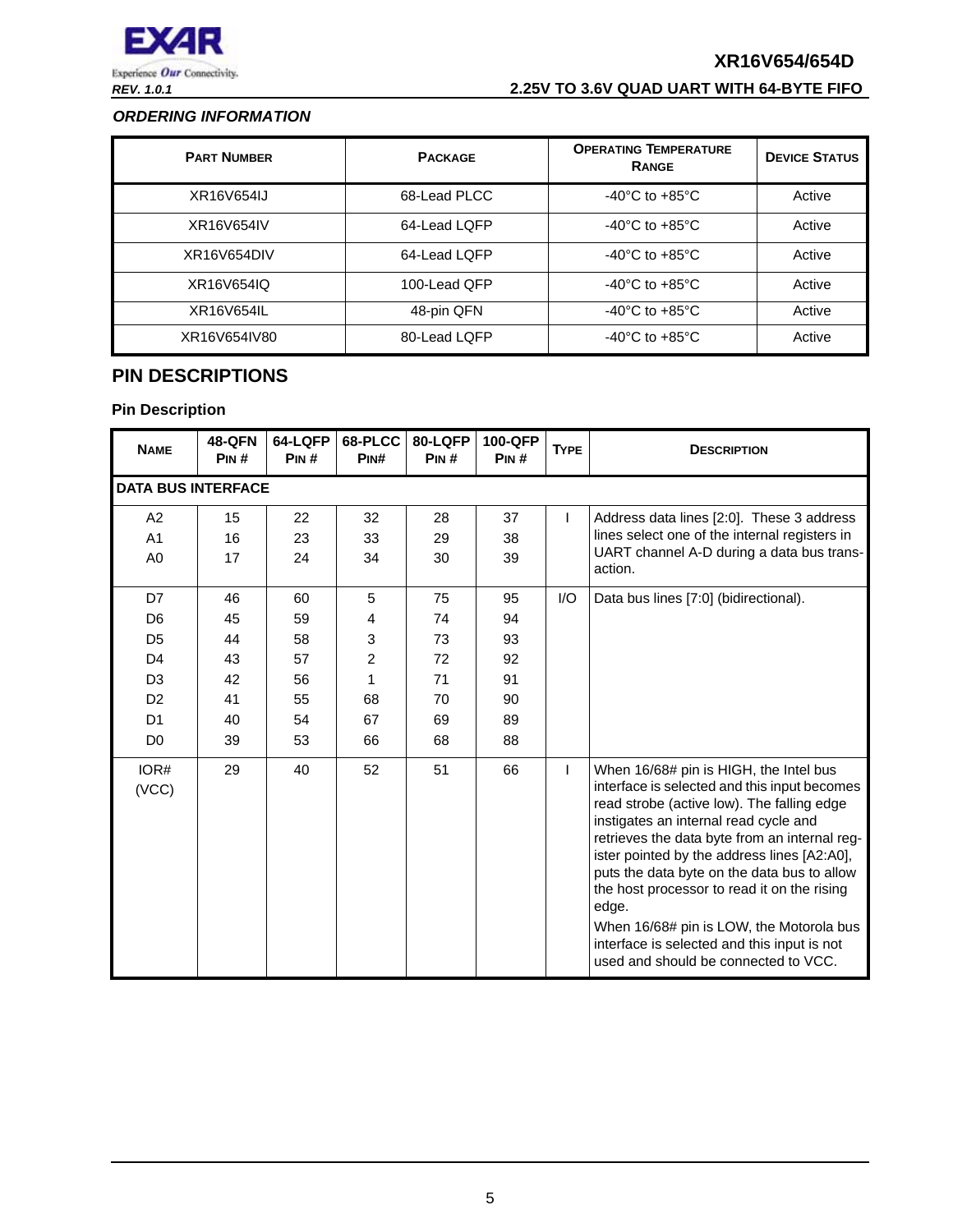

## *REV. 1.0.1* **2.25V TO 3.6V QUAD UART WITH 64-BYTE FIFO**

#### <span id="page-4-1"></span>*ORDERING INFORMATION*

| <b>PART NUMBER</b> | <b>PACKAGE</b> | <b>OPERATING TEMPERATURE</b><br><b>RANGE</b> | <b>DEVICE STATUS</b> |
|--------------------|----------------|----------------------------------------------|----------------------|
| XR16V654IJ         | 68-Lead PLCC   | $-40^{\circ}$ C to $+85^{\circ}$ C           | Active               |
| XR16V654IV         | 64-Lead LQFP   | $-40^{\circ}$ C to $+85^{\circ}$ C           | Active               |
| XR16V654DIV        | 64-Lead LQFP   | $-40^{\circ}$ C to $+85^{\circ}$ C           | Active               |
| XR16V654IQ         | 100-Lead QFP   | $-40^{\circ}$ C to $+85^{\circ}$ C           | Active               |
| XR16V654IL         | 48-pin QFN     | $-40^{\circ}$ C to $+85^{\circ}$ C           | Active               |
| XR16V654IV80       | 80-Lead LQFP   | $-40^{\circ}$ C to $+85^{\circ}$ C           | Active               |

## <span id="page-4-0"></span>**PIN DESCRIPTIONS**

| <b>NAME</b>                                                                                                                      | <b>48-QFN</b><br>PIN#                        | 64-LQFP<br>PIN#                              | 68-PLCC<br>PINH                                      | 80-LQFP<br>PIN#                              | 100-QFP<br>PIN#                              | <b>TYPE</b> | <b>DESCRIPTION</b>                                                                                                                                                                                                                                                                                                                                                                                                                                                                                                      |
|----------------------------------------------------------------------------------------------------------------------------------|----------------------------------------------|----------------------------------------------|------------------------------------------------------|----------------------------------------------|----------------------------------------------|-------------|-------------------------------------------------------------------------------------------------------------------------------------------------------------------------------------------------------------------------------------------------------------------------------------------------------------------------------------------------------------------------------------------------------------------------------------------------------------------------------------------------------------------------|
| <b>DATA BUS INTERFACE</b>                                                                                                        |                                              |                                              |                                                      |                                              |                                              |             |                                                                                                                                                                                                                                                                                                                                                                                                                                                                                                                         |
| A <sub>2</sub><br>A <sub>1</sub><br>A <sub>0</sub>                                                                               | 15<br>16<br>17                               | 22<br>23<br>24                               | 32<br>33<br>34                                       | 28<br>29<br>30                               | 37<br>38<br>39                               | L           | Address data lines [2:0]. These 3 address<br>lines select one of the internal registers in<br>UART channel A-D during a data bus trans-<br>action.                                                                                                                                                                                                                                                                                                                                                                      |
| D7<br>D <sub>6</sub><br>D <sub>5</sub><br>D <sub>4</sub><br>D <sub>3</sub><br>D <sub>2</sub><br>D <sub>1</sub><br>D <sub>0</sub> | 46<br>45<br>44<br>43<br>42<br>41<br>40<br>39 | 60<br>59<br>58<br>57<br>56<br>55<br>54<br>53 | 5<br>4<br>3<br>$\overline{2}$<br>1<br>68<br>67<br>66 | 75<br>74<br>73<br>72<br>71<br>70<br>69<br>68 | 95<br>94<br>93<br>92<br>91<br>90<br>89<br>88 | 1/O         | Data bus lines [7:0] (bidirectional).                                                                                                                                                                                                                                                                                                                                                                                                                                                                                   |
| IOR#<br>(VCC)                                                                                                                    | 29                                           | 40                                           | 52                                                   | 51                                           | 66                                           | L           | When 16/68# pin is HIGH, the Intel bus<br>interface is selected and this input becomes<br>read strobe (active low). The falling edge<br>instigates an internal read cycle and<br>retrieves the data byte from an internal reg-<br>ister pointed by the address lines [A2:A0],<br>puts the data byte on the data bus to allow<br>the host processor to read it on the rising<br>edge.<br>When 16/68# pin is LOW, the Motorola bus<br>interface is selected and this input is not<br>used and should be connected to VCC. |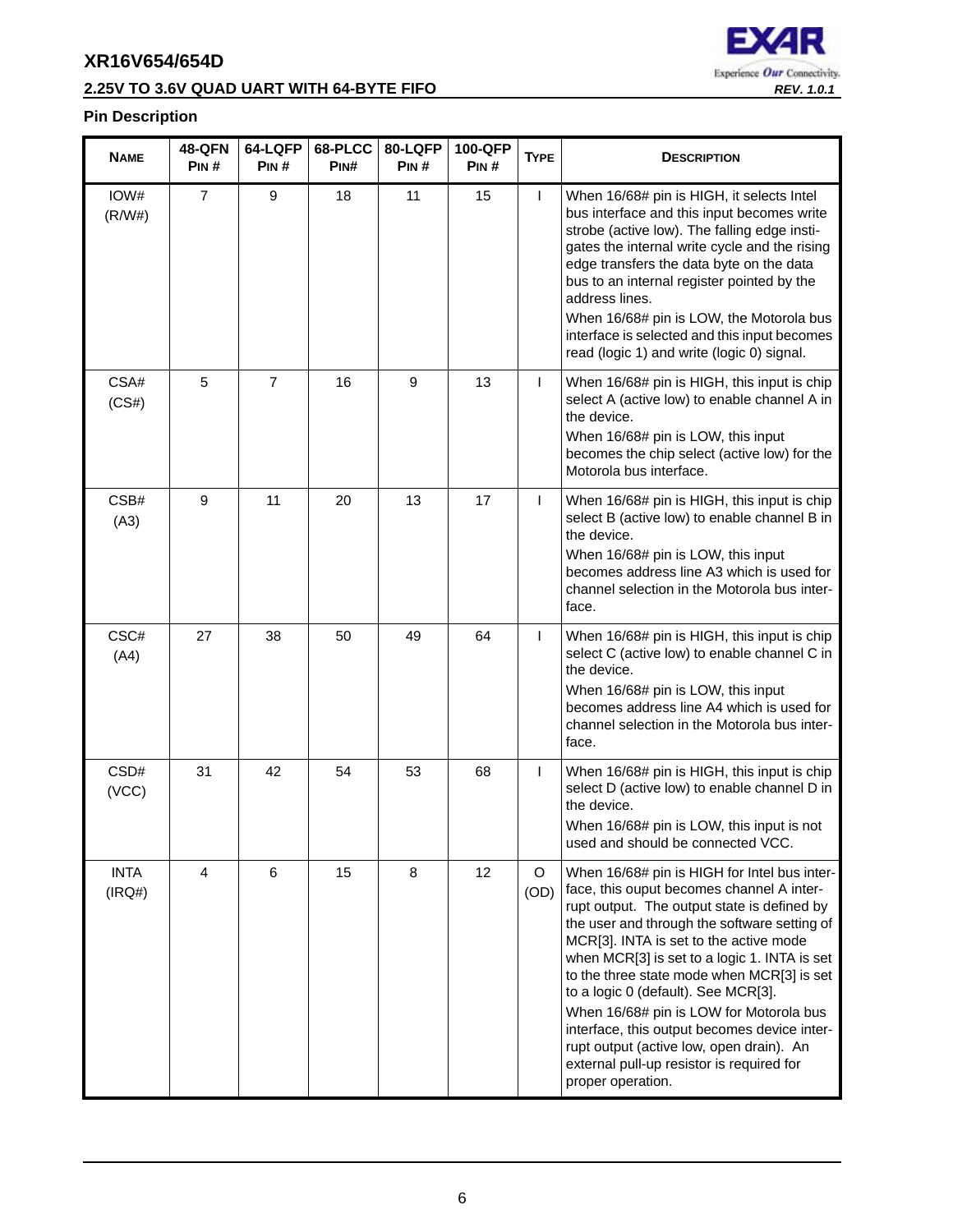## **2.25V TO 3.6V QUAD UART WITH 64-BYTE FIFO** *REV. 1.0.1*



| <b>NAME</b>           | <b>48-QFN</b><br>PIN# | 64-LQFP<br>PIN# | 68-PLCC<br>PIN# | 80-LQFP<br>PIN# | 100-QFP<br>PIN# | <b>TYPE</b> | <b>DESCRIPTION</b>                                                                                                                                                                                                                                                                                                                                                                                                                                                                                                                                                               |
|-----------------------|-----------------------|-----------------|-----------------|-----------------|-----------------|-------------|----------------------------------------------------------------------------------------------------------------------------------------------------------------------------------------------------------------------------------------------------------------------------------------------------------------------------------------------------------------------------------------------------------------------------------------------------------------------------------------------------------------------------------------------------------------------------------|
| IOW#<br>(R/W#)        | $\overline{7}$        | 9               | 18              | 11              | 15              | L           | When 16/68# pin is HIGH, it selects Intel<br>bus interface and this input becomes write<br>strobe (active low). The falling edge insti-<br>gates the internal write cycle and the rising<br>edge transfers the data byte on the data<br>bus to an internal register pointed by the<br>address lines.<br>When 16/68# pin is LOW, the Motorola bus<br>interface is selected and this input becomes<br>read (logic 1) and write (logic 0) signal.                                                                                                                                   |
| CSA#<br>(CS#)         | 5                     | $\overline{7}$  | 16              | 9               | 13              | L           | When 16/68# pin is HIGH, this input is chip<br>select A (active low) to enable channel A in<br>the device.<br>When 16/68# pin is LOW, this input<br>becomes the chip select (active low) for the<br>Motorola bus interface.                                                                                                                                                                                                                                                                                                                                                      |
| CSB#<br>(A3)          | 9                     | 11              | 20              | 13              | 17              | L           | When 16/68# pin is HIGH, this input is chip<br>select B (active low) to enable channel B in<br>the device.<br>When 16/68# pin is LOW, this input<br>becomes address line A3 which is used for<br>channel selection in the Motorola bus inter-<br>face.                                                                                                                                                                                                                                                                                                                           |
| CSC#<br>(A4)          | 27                    | 38              | 50              | 49              | 64              | L           | When 16/68# pin is HIGH, this input is chip<br>select C (active low) to enable channel C in<br>the device.<br>When 16/68# pin is LOW, this input<br>becomes address line A4 which is used for<br>channel selection in the Motorola bus inter-<br>face.                                                                                                                                                                                                                                                                                                                           |
| CSD#<br>(VCC)         | 31                    | 42              | 54              | 53              | 68              | L           | When 16/68# pin is HIGH, this input is chip<br>select D (active low) to enable channel D in<br>the device.<br>When 16/68# pin is LOW, this input is not<br>used and should be connected VCC.                                                                                                                                                                                                                                                                                                                                                                                     |
| <b>INTA</b><br>(IRQ#) | $\overline{4}$        | 6               | 15              | 8               | 12              | O<br>(OD)   | When 16/68# pin is HIGH for Intel bus inter-<br>face, this ouput becomes channel A inter-<br>rupt output. The output state is defined by<br>the user and through the software setting of<br>MCR[3]. INTA is set to the active mode<br>when MCR[3] is set to a logic 1. INTA is set<br>to the three state mode when MCR[3] is set<br>to a logic 0 (default). See MCR[3].<br>When 16/68# pin is LOW for Motorola bus<br>interface, this output becomes device inter-<br>rupt output (active low, open drain). An<br>external pull-up resistor is required for<br>proper operation. |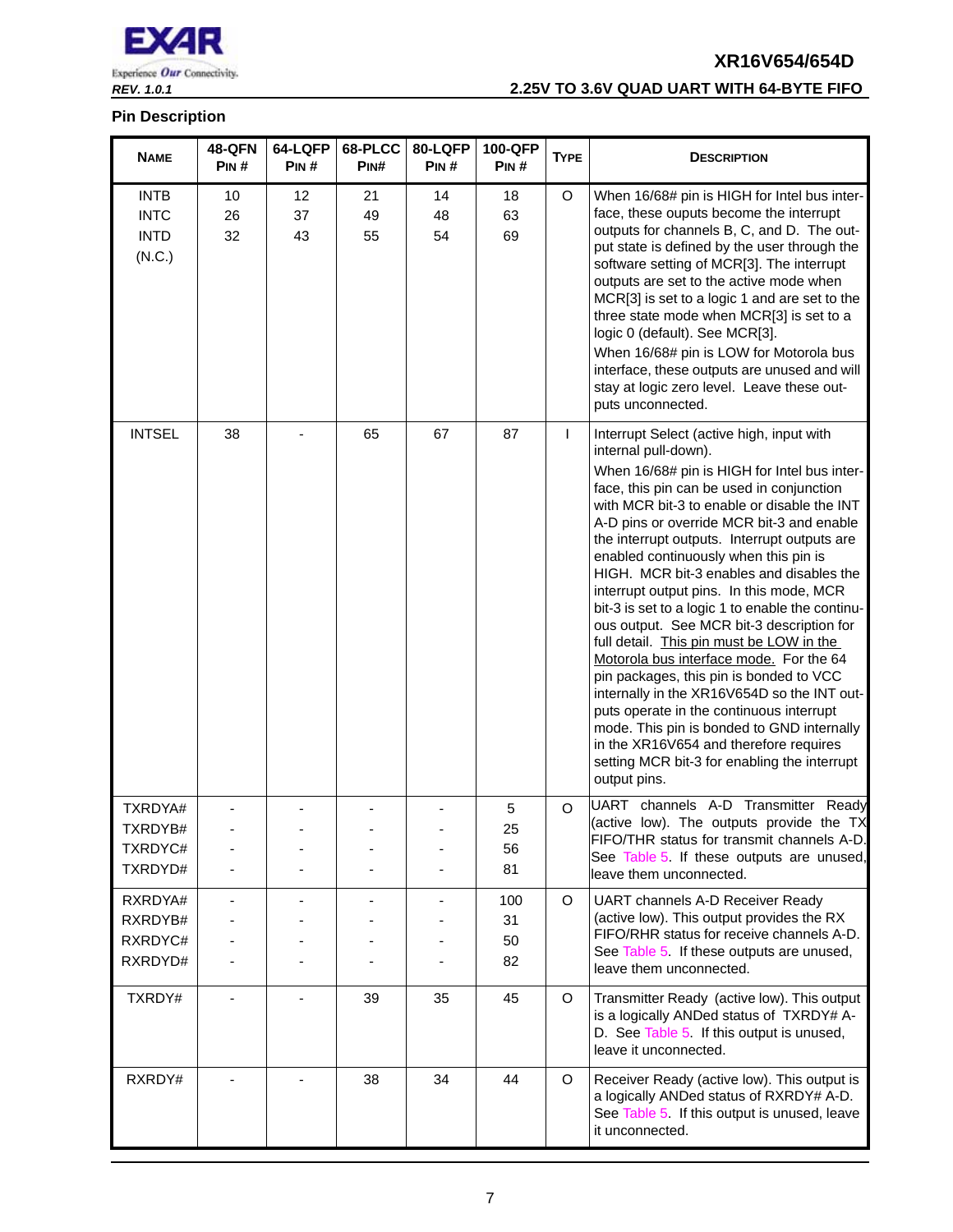

## *REV. 1.0.1* **2.25V TO 3.6V QUAD UART WITH 64-BYTE FIFO**

| <b>NAME</b>                                         | <b>48-QFN</b><br>PIN# | 64-LQFP<br>PIN# | 68-PLCC<br>PIN# | 80-LQFP<br>PIN# | 100-QFP<br>PIN#       | <b>TYPE</b>  | <b>DESCRIPTION</b>                                                                                                                                                                                                                                                                                                                                                                                                                                                                                                                                                                                                                                                                                                                                                                                                                                                                                                                |
|-----------------------------------------------------|-----------------------|-----------------|-----------------|-----------------|-----------------------|--------------|-----------------------------------------------------------------------------------------------------------------------------------------------------------------------------------------------------------------------------------------------------------------------------------------------------------------------------------------------------------------------------------------------------------------------------------------------------------------------------------------------------------------------------------------------------------------------------------------------------------------------------------------------------------------------------------------------------------------------------------------------------------------------------------------------------------------------------------------------------------------------------------------------------------------------------------|
| <b>INTB</b><br><b>INTC</b><br><b>INTD</b><br>(N.C.) | 10<br>26<br>32        | 12<br>37<br>43  | 21<br>49<br>55  | 14<br>48<br>54  | 18<br>63<br>69        | O            | When 16/68# pin is HIGH for Intel bus inter-<br>face, these ouputs become the interrupt<br>outputs for channels B, C, and D. The out-<br>put state is defined by the user through the<br>software setting of MCR[3]. The interrupt<br>outputs are set to the active mode when<br>MCR[3] is set to a logic 1 and are set to the<br>three state mode when MCR[3] is set to a<br>logic 0 (default). See MCR[3].<br>When 16/68# pin is LOW for Motorola bus<br>interface, these outputs are unused and will<br>stay at logic zero level. Leave these out-<br>puts unconnected.                                                                                                                                                                                                                                                                                                                                                        |
| <b>INTSEL</b>                                       | 38                    |                 | 65              | 67              | 87                    | $\mathsf{I}$ | Interrupt Select (active high, input with<br>internal pull-down).<br>When 16/68# pin is HIGH for Intel bus inter-<br>face, this pin can be used in conjunction<br>with MCR bit-3 to enable or disable the INT<br>A-D pins or override MCR bit-3 and enable<br>the interrupt outputs. Interrupt outputs are<br>enabled continuously when this pin is<br>HIGH. MCR bit-3 enables and disables the<br>interrupt output pins. In this mode, MCR<br>bit-3 is set to a logic 1 to enable the continu-<br>ous output. See MCR bit-3 description for<br>full detail. This pin must be LOW in the<br>Motorola bus interface mode. For the 64<br>pin packages, this pin is bonded to VCC<br>internally in the XR16V654D so the INT out-<br>puts operate in the continuous interrupt<br>mode. This pin is bonded to GND internally<br>in the XR16V654 and therefore requires<br>setting MCR bit-3 for enabling the interrupt<br>output pins. |
| TXRDYA#<br>TXRDYB#<br>TXRDYC#<br>TXRDYD#            |                       |                 |                 |                 | 5<br>25<br>56<br>81   | O            | UART channels A-D Transmitter Ready<br>(active low). The outputs provide the TX<br>FIFO/THR status for transmit channels A-D.<br>See Table 5. If these outputs are unused,<br>leave them unconnected.                                                                                                                                                                                                                                                                                                                                                                                                                                                                                                                                                                                                                                                                                                                             |
| RXRDYA#<br>RXRDYB#<br>RXRDYC#<br>RXRDYD#            |                       |                 |                 |                 | 100<br>31<br>50<br>82 | O            | UART channels A-D Receiver Ready<br>(active low). This output provides the RX<br>FIFO/RHR status for receive channels A-D.<br>See Table 5 If these outputs are unused,<br>leave them unconnected.                                                                                                                                                                                                                                                                                                                                                                                                                                                                                                                                                                                                                                                                                                                                 |
| TXRDY#                                              |                       |                 | 39              | 35              | 45                    | $\circ$      | Transmitter Ready (active low). This output<br>is a logically ANDed status of TXRDY# A-<br>D. See Table 5. If this output is unused,<br>leave it unconnected.                                                                                                                                                                                                                                                                                                                                                                                                                                                                                                                                                                                                                                                                                                                                                                     |
| RXRDY#                                              |                       |                 | 38              | 34              | 44                    | O            | Receiver Ready (active low). This output is<br>a logically ANDed status of RXRDY# A-D.<br>See Table 5 If this output is unused, leave<br>it unconnected.                                                                                                                                                                                                                                                                                                                                                                                                                                                                                                                                                                                                                                                                                                                                                                          |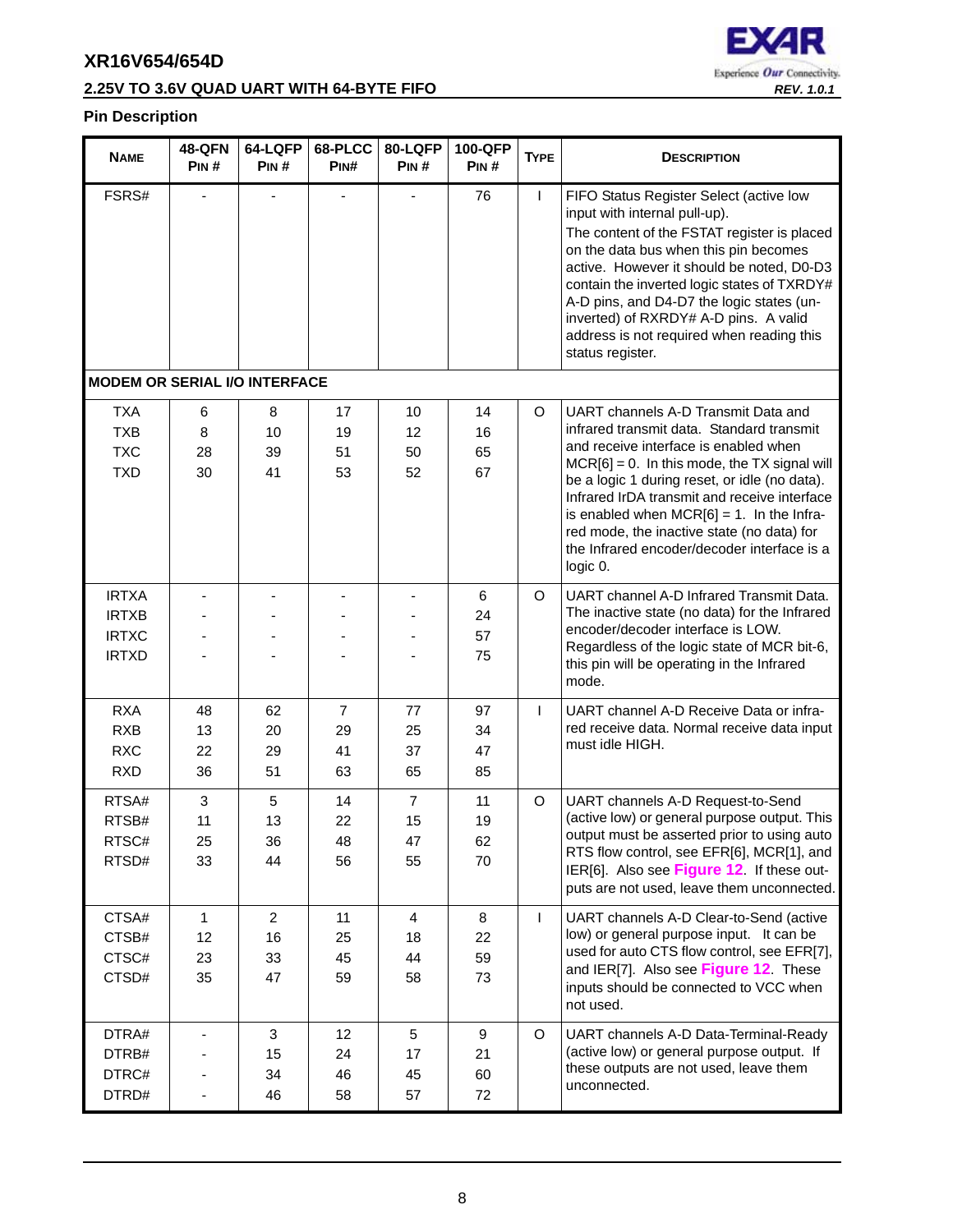## **2.25V TO 3.6V QUAD UART WITH 64-BYTE FIFO** *REV. 1.0.1*



| <b>NAME</b>                                                  | <b>48-QFN</b><br>PIN#          | 64-LQFP<br>PIN#                  | 68-PLCC<br>PIN#                  | 80-LQFP<br>PIN#                  | 100-QFP<br>PIN#         | <b>TYPE</b>  | <b>DESCRIPTION</b>                                                                                                                                                                                                                                                                                                                                                                                                                     |
|--------------------------------------------------------------|--------------------------------|----------------------------------|----------------------------------|----------------------------------|-------------------------|--------------|----------------------------------------------------------------------------------------------------------------------------------------------------------------------------------------------------------------------------------------------------------------------------------------------------------------------------------------------------------------------------------------------------------------------------------------|
| FSRS#                                                        |                                |                                  |                                  |                                  | 76                      | $\mathbf{I}$ | FIFO Status Register Select (active low<br>input with internal pull-up).<br>The content of the FSTAT register is placed<br>on the data bus when this pin becomes<br>active. However it should be noted, D0-D3<br>contain the inverted logic states of TXRDY#<br>A-D pins, and D4-D7 the logic states (un-<br>inverted) of RXRDY# A-D pins. A valid<br>address is not required when reading this<br>status register.                    |
| <b>MODEM OR SERIAL I/O INTERFACE</b>                         |                                |                                  |                                  |                                  |                         |              |                                                                                                                                                                                                                                                                                                                                                                                                                                        |
| <b>TXA</b><br><b>TXB</b><br><b>TXC</b><br><b>TXD</b>         | 6<br>8<br>28<br>30             | 8<br>10<br>39<br>41              | 17<br>19<br>51<br>53             | 10<br>12<br>50<br>52             | 14<br>16<br>65<br>67    | O            | UART channels A-D Transmit Data and<br>infrared transmit data. Standard transmit<br>and receive interface is enabled when<br>$MCR[6] = 0$ . In this mode, the TX signal will<br>be a logic 1 during reset, or idle (no data).<br>Infrared IrDA transmit and receive interface<br>is enabled when $MCR[6] = 1$ . In the Infra-<br>red mode, the inactive state (no data) for<br>the Infrared encoder/decoder interface is a<br>logic 0. |
| <b>IRTXA</b><br><b>IRTXB</b><br><b>IRTXC</b><br><b>IRTXD</b> |                                |                                  |                                  |                                  | 6<br>24<br>57<br>75     | O            | UART channel A-D Infrared Transmit Data.<br>The inactive state (no data) for the Infrared<br>encoder/decoder interface is LOW.<br>Regardless of the logic state of MCR bit-6,<br>this pin will be operating in the Infrared<br>mode.                                                                                                                                                                                                   |
| <b>RXA</b><br><b>RXB</b><br><b>RXC</b><br><b>RXD</b>         | 48<br>13<br>22<br>36           | 62<br>20<br>29<br>51             | $\overline{7}$<br>29<br>41<br>63 | 77<br>25<br>37<br>65             | 97<br>34<br>47<br>85    | $\mathsf{I}$ | UART channel A-D Receive Data or infra-<br>red receive data. Normal receive data input<br>must idle HIGH.                                                                                                                                                                                                                                                                                                                              |
| RTSA#<br>RTSB#<br>RTSC#<br>RTSD#                             | 3<br>11<br>25<br>33            | 5<br>13<br>36<br>44              | 14<br>22<br>48<br>56             | $\overline{7}$<br>15<br>47<br>55 | 11<br>19<br>62<br>70    | O            | UART channels A-D Request-to-Send<br>(active low) or general purpose output. This<br>output must be asserted prior to using auto<br>RTS flow control, see EFR[6], MCR[1], and<br>IER[6]. Also see Figure 12. If these out-<br>puts are not used, leave them unconnected.                                                                                                                                                               |
| CTSA#<br>CTSB#<br>CTSC#<br>CTSD#                             | $\mathbf{1}$<br>12<br>23<br>35 | $\overline{2}$<br>16<br>33<br>47 | 11<br>25<br>45<br>59             | 4<br>18<br>44<br>58              | 8<br>22<br>59<br>73     | $\mathsf{L}$ | UART channels A-D Clear-to-Send (active<br>low) or general purpose input. It can be<br>used for auto CTS flow control, see EFR[7],<br>and IER[7]. Also see Figure 12. These<br>inputs should be connected to VCC when<br>not used.                                                                                                                                                                                                     |
| DTRA#<br>DTRB#<br>DTRC#<br>DTRD#                             |                                | $\sqrt{3}$<br>15<br>34<br>46     | 12<br>24<br>46<br>58             | $\overline{5}$<br>17<br>45<br>57 | $9\,$<br>21<br>60<br>72 | O            | UART channels A-D Data-Terminal-Ready<br>(active low) or general purpose output. If<br>these outputs are not used, leave them<br>unconnected.                                                                                                                                                                                                                                                                                          |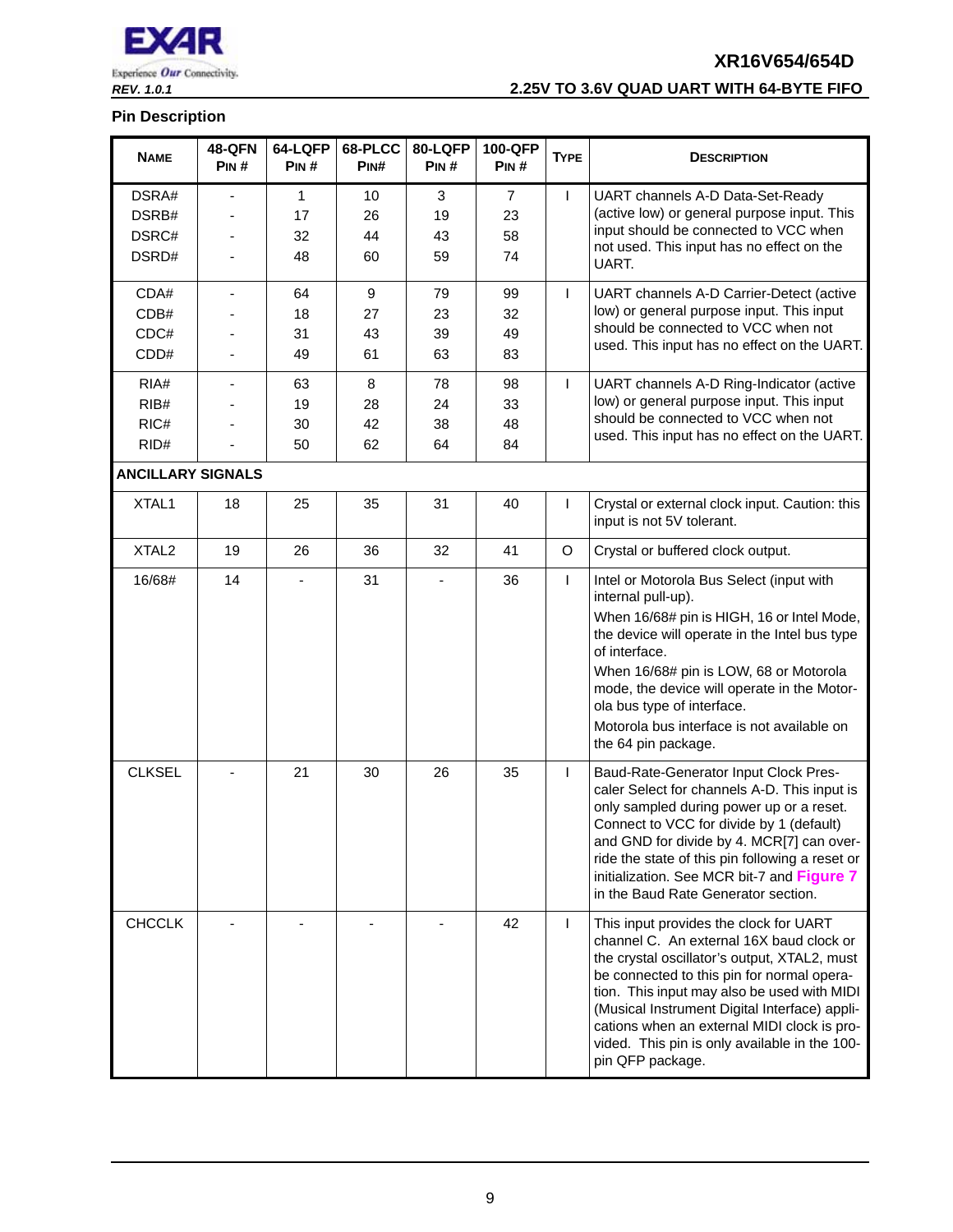

## *REV. 1.0.1* **2.25V TO 3.6V QUAD UART WITH 64-BYTE FIFO**

| <b>NAME</b>              | <b>48-QFN</b><br>PIN# | 64-LQFP<br>PIN# | 68-PLCC<br>PIN#  | 80-LQFP<br>PIN# | 100-QFP<br>PIN# | <b>TYPE</b> | <b>DESCRIPTION</b>                                                                                                                                                                                                                                                                                                                                                                                   |
|--------------------------|-----------------------|-----------------|------------------|-----------------|-----------------|-------------|------------------------------------------------------------------------------------------------------------------------------------------------------------------------------------------------------------------------------------------------------------------------------------------------------------------------------------------------------------------------------------------------------|
| DSRA#                    |                       | $\mathbf{1}$    | 10               | 3               | $\overline{7}$  | L           | UART channels A-D Data-Set-Ready                                                                                                                                                                                                                                                                                                                                                                     |
| DSRB#                    |                       | 17              | 26               | 19              | 23              |             | (active low) or general purpose input. This                                                                                                                                                                                                                                                                                                                                                          |
| DSRC#                    |                       | 32              | 44               | 43              | 58              |             | input should be connected to VCC when<br>not used. This input has no effect on the                                                                                                                                                                                                                                                                                                                   |
| DSRD#                    |                       | 48              | 60               | 59              | 74              |             | UART.                                                                                                                                                                                                                                                                                                                                                                                                |
| CDA#                     | ٠                     | 64              | $\boldsymbol{9}$ | 79              | 99              | T           | UART channels A-D Carrier-Detect (active                                                                                                                                                                                                                                                                                                                                                             |
| CDB#                     |                       | 18              | 27               | 23              | 32              |             | low) or general purpose input. This input                                                                                                                                                                                                                                                                                                                                                            |
| CDC#                     |                       | 31              | 43               | 39              | 49              |             | should be connected to VCC when not<br>used. This input has no effect on the UART.                                                                                                                                                                                                                                                                                                                   |
| CDD#                     |                       | 49              | 61               | 63              | 83              |             |                                                                                                                                                                                                                                                                                                                                                                                                      |
| RIA#                     |                       | 63              | 8                | 78              | 98              | T           | UART channels A-D Ring-Indicator (active                                                                                                                                                                                                                                                                                                                                                             |
| RIB#                     |                       | 19              | 28               | 24              | 33              |             | low) or general purpose input. This input<br>should be connected to VCC when not                                                                                                                                                                                                                                                                                                                     |
| RIC#                     |                       | 30              | 42               | 38              | 48              |             | used. This input has no effect on the UART.                                                                                                                                                                                                                                                                                                                                                          |
| RID#                     |                       | 50              | 62               | 64              | 84              |             |                                                                                                                                                                                                                                                                                                                                                                                                      |
| <b>ANCILLARY SIGNALS</b> |                       |                 |                  |                 |                 |             |                                                                                                                                                                                                                                                                                                                                                                                                      |
| XTAL1                    | 18                    | 25              | 35               | 31              | 40              | T           | Crystal or external clock input. Caution: this<br>input is not 5V tolerant.                                                                                                                                                                                                                                                                                                                          |
| XTAL <sub>2</sub>        | 19                    | 26              | 36               | 32              | 41              | O           | Crystal or buffered clock output.                                                                                                                                                                                                                                                                                                                                                                    |
| 16/68#                   | 14                    |                 | 31               |                 | 36              | L           | Intel or Motorola Bus Select (input with<br>internal pull-up).<br>When 16/68# pin is HIGH, 16 or Intel Mode,<br>the device will operate in the Intel bus type<br>of interface.<br>When 16/68# pin is LOW, 68 or Motorola<br>mode, the device will operate in the Motor-<br>ola bus type of interface.<br>Motorola bus interface is not available on<br>the 64 pin package.                           |
| <b>CLKSEL</b>            |                       | 21              | 30               | 26              | 35              | L           | Baud-Rate-Generator Input Clock Pres-<br>caler Select for channels A-D. This input is<br>only sampled during power up or a reset.<br>Connect to VCC for divide by 1 (default)<br>and GND for divide by 4. MCR[7] can over-<br>ride the state of this pin following a reset or<br>initialization. See MCR bit-7 and Figure 7<br>in the Baud Rate Generator section.                                   |
| <b>CHCCLK</b>            |                       |                 |                  |                 | 42              | T           | This input provides the clock for UART<br>channel C. An external 16X baud clock or<br>the crystal oscillator's output, XTAL2, must<br>be connected to this pin for normal opera-<br>tion. This input may also be used with MIDI<br>(Musical Instrument Digital Interface) appli-<br>cations when an external MIDI clock is pro-<br>vided. This pin is only available in the 100-<br>pin QFP package. |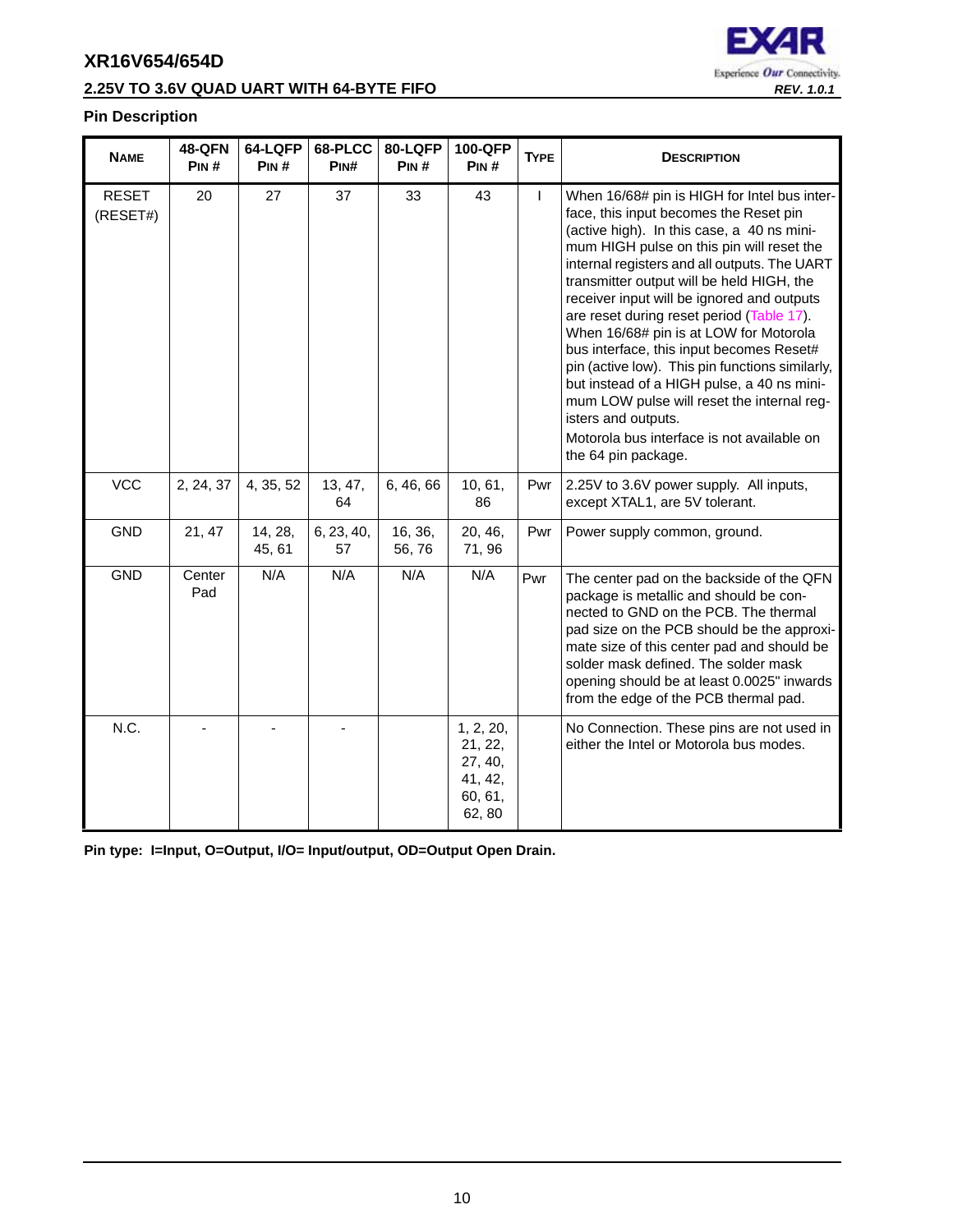



#### **Pin Description**

| <b>NAME</b>              | <b>48-QFN</b><br>PIN# | 64-LQFP<br>PIN#   | 68-PLCC<br>PIN#  | 80-LQFP<br>PIN#  | 100-QFP<br>PIN#                                                 | <b>TYPE</b> | <b>DESCRIPTION</b>                                                                                                                                                                                                                                                                                                                                                                                                                                                                                                                                                                                                                                                                                         |
|--------------------------|-----------------------|-------------------|------------------|------------------|-----------------------------------------------------------------|-------------|------------------------------------------------------------------------------------------------------------------------------------------------------------------------------------------------------------------------------------------------------------------------------------------------------------------------------------------------------------------------------------------------------------------------------------------------------------------------------------------------------------------------------------------------------------------------------------------------------------------------------------------------------------------------------------------------------------|
| <b>RESET</b><br>(RESET#) | 20                    | 27                | 37               | 33               | 43                                                              | L           | When 16/68# pin is HIGH for Intel bus inter-<br>face, this input becomes the Reset pin<br>(active high). In this case, a 40 ns mini-<br>mum HIGH pulse on this pin will reset the<br>internal registers and all outputs. The UART<br>transmitter output will be held HIGH, the<br>receiver input will be ignored and outputs<br>are reset during reset period (Table 17).<br>When 16/68# pin is at LOW for Motorola<br>bus interface, this input becomes Reset#<br>pin (active low). This pin functions similarly,<br>but instead of a HIGH pulse, a 40 ns mini-<br>mum LOW pulse will reset the internal reg-<br>isters and outputs.<br>Motorola bus interface is not available on<br>the 64 pin package. |
| <b>VCC</b>               | 2, 24, 37             | 4, 35, 52         | 13, 47,<br>64    | 6, 46, 66        | 10, 61,<br>86                                                   | Pwr         | 2.25V to 3.6V power supply. All inputs,<br>except XTAL1, are 5V tolerant.                                                                                                                                                                                                                                                                                                                                                                                                                                                                                                                                                                                                                                  |
| <b>GND</b>               | 21, 47                | 14, 28,<br>45, 61 | 6, 23, 40,<br>57 | 16, 36,<br>56,76 | 20, 46,<br>71,96                                                | Pwr         | Power supply common, ground.                                                                                                                                                                                                                                                                                                                                                                                                                                                                                                                                                                                                                                                                               |
| <b>GND</b>               | Center<br>Pad         | N/A               | N/A              | N/A              | N/A                                                             | Pwr         | The center pad on the backside of the QFN<br>package is metallic and should be con-<br>nected to GND on the PCB. The thermal<br>pad size on the PCB should be the approxi-<br>mate size of this center pad and should be<br>solder mask defined. The solder mask<br>opening should be at least 0.0025" inwards<br>from the edge of the PCB thermal pad.                                                                                                                                                                                                                                                                                                                                                    |
| N.C.                     |                       |                   |                  |                  | 1, 2, 20,<br>21, 22,<br>27, 40,<br>41, 42,<br>60, 61,<br>62, 80 |             | No Connection. These pins are not used in<br>either the Intel or Motorola bus modes.                                                                                                                                                                                                                                                                                                                                                                                                                                                                                                                                                                                                                       |

**Pin type: I=Input, O=Output, I/O= Input/output, OD=Output Open Drain.**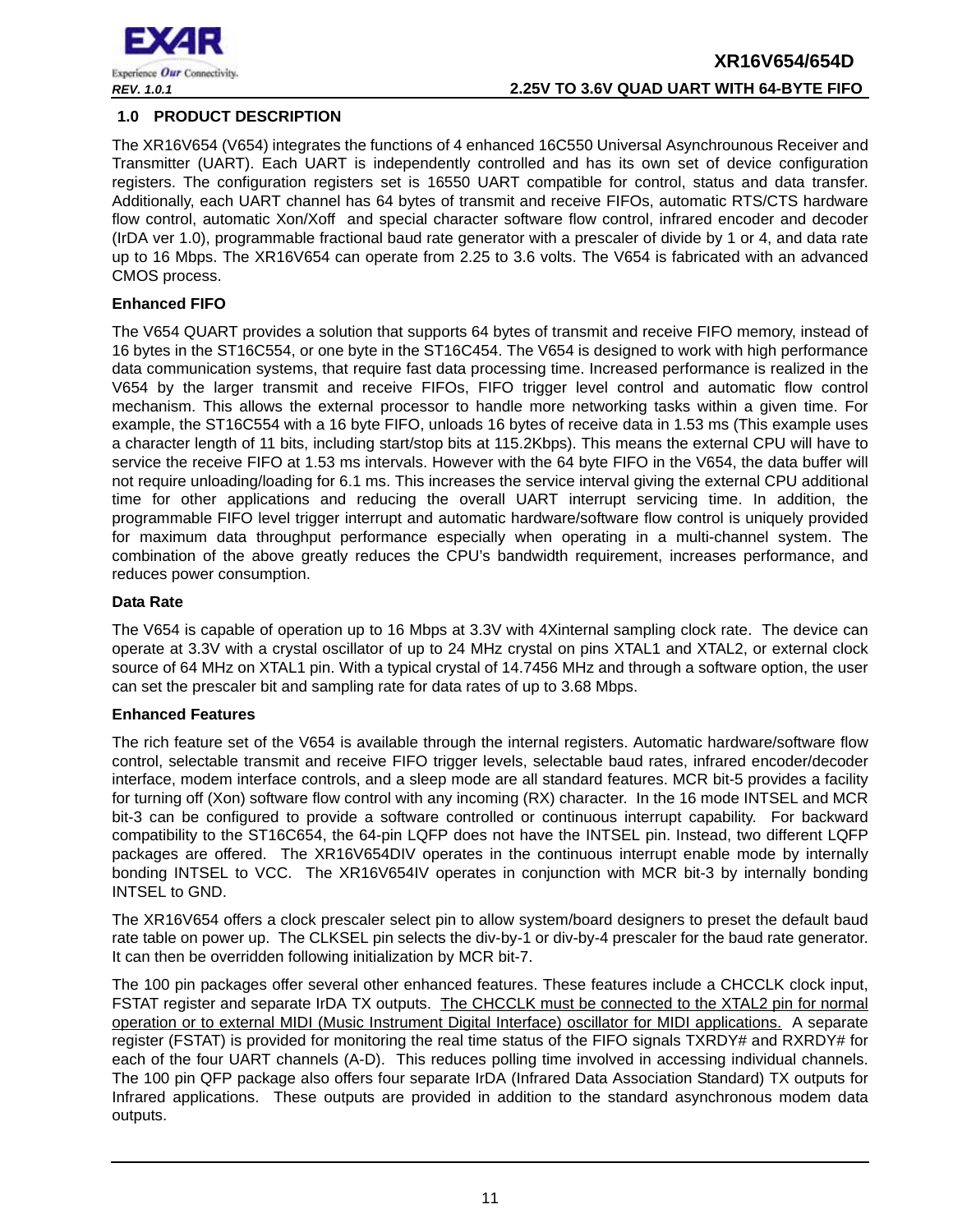

#### <span id="page-10-0"></span>**1.0 PRODUCT DESCRIPTION**

The XR16V654 (V654) integrates the functions of 4 enhanced 16C550 Universal Asynchrounous Receiver and Transmitter (UART). Each UART is independently controlled and has its own set of device configuration registers. The configuration registers set is 16550 UART compatible for control, status and data transfer. Additionally, each UART channel has 64 bytes of transmit and receive FIFOs, automatic RTS/CTS hardware flow control, automatic Xon/Xoff and special character software flow control, infrared encoder and decoder (IrDA ver 1.0), programmable fractional baud rate generator with a prescaler of divide by 1 or 4, and data rate up to 16 Mbps. The XR16V654 can operate from 2.25 to 3.6 volts. The V654 is fabricated with an advanced CMOS process.

#### **Enhanced FIFO**

The V654 QUART provides a solution that supports 64 bytes of transmit and receive FIFO memory, instead of 16 bytes in the ST16C554, or one byte in the ST16C454. The V654 is designed to work with high performance data communication systems, that require fast data processing time. Increased performance is realized in the V654 by the larger transmit and receive FIFOs, FIFO trigger level control and automatic flow control mechanism. This allows the external processor to handle more networking tasks within a given time. For example, the ST16C554 with a 16 byte FIFO, unloads 16 bytes of receive data in 1.53 ms (This example uses a character length of 11 bits, including start/stop bits at 115.2Kbps). This means the external CPU will have to service the receive FIFO at 1.53 ms intervals. However with the 64 byte FIFO in the V654, the data buffer will not require unloading/loading for 6.1 ms. This increases the service interval giving the external CPU additional time for other applications and reducing the overall UART interrupt servicing time. In addition, the programmable FIFO level trigger interrupt and automatic hardware/software flow control is uniquely provided for maximum data throughput performance especially when operating in a multi-channel system. The combination of the above greatly reduces the CPU's bandwidth requirement, increases performance, and reduces power consumption.

#### **Data Rate**

The V654 is capable of operation up to 16 Mbps at 3.3V with 4Xinternal sampling clock rate. The device can operate at 3.3V with a crystal oscillator of up to 24 MHz crystal on pins XTAL1 and XTAL2, or external clock source of 64 MHz on XTAL1 pin. With a typical crystal of 14.7456 MHz and through a software option, the user can set the prescaler bit and sampling rate for data rates of up to 3.68 Mbps.

#### **Enhanced Features**

The rich feature set of the V654 is available through the internal registers. Automatic hardware/software flow control, selectable transmit and receive FIFO trigger levels, selectable baud rates, infrared encoder/decoder interface, modem interface controls, and a sleep mode are all standard features. MCR bit-5 provides a facility for turning off (Xon) software flow control with any incoming (RX) character. In the 16 mode INTSEL and MCR bit-3 can be configured to provide a software controlled or continuous interrupt capability. For backward compatibility to the ST16C654, the 64-pin LQFP does not have the INTSEL pin. Instead, two different LQFP packages are offered. The XR16V654DIV operates in the continuous interrupt enable mode by internally bonding INTSEL to VCC. The XR16V654IV operates in conjunction with MCR bit-3 by internally bonding INTSEL to GND.

The XR16V654 offers a clock prescaler select pin to allow system/board designers to preset the default baud rate table on power up. The CLKSEL pin selects the div-by-1 or div-by-4 prescaler for the baud rate generator. It can then be overridden following initialization by MCR bit-7.

The 100 pin packages offer several other enhanced features. These features include a CHCCLK clock input, FSTAT register and separate IrDA TX outputs. The CHCCLK must be connected to the XTAL2 pin for normal operation or to external MIDI (Music Instrument Digital Interface) oscillator for MIDI applications. A separate register (FSTAT) is provided for monitoring the real time status of the FIFO signals TXRDY# and RXRDY# for each of the four UART channels (A-D). This reduces polling time involved in accessing individual channels. The 100 pin QFP package also offers four separate IrDA (Infrared Data Association Standard) TX outputs for Infrared applications. These outputs are provided in addition to the standard asynchronous modem data outputs.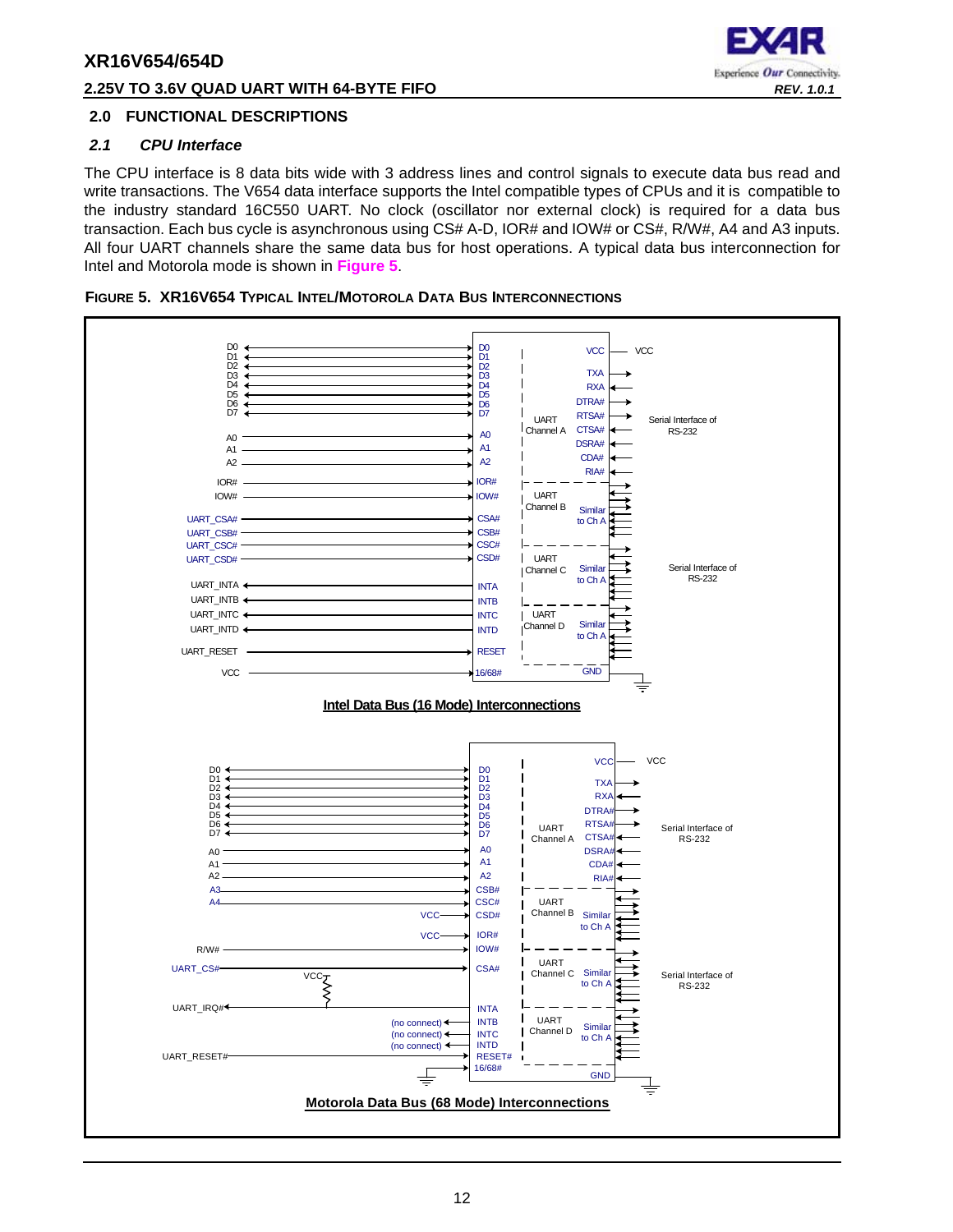#### **2.25V TO 3.6V QUAD UART WITH 64-BYTE FIFO** *REV. 1.0.1*



#### <span id="page-11-1"></span>**2.0 FUNCTIONAL DESCRIPTIONS**

#### <span id="page-11-2"></span>*2.1 CPU Interface*

The CPU interface is 8 data bits wide with 3 address lines and control signals to execute data bus read and write transactions. The V654 data interface supports the Intel compatible types of CPUs and it is compatible to the industry standard 16C550 UART. No clock (oscillator nor external clock) is required for a data bus transaction. Each bus cycle is asynchronous using CS# A-D, IOR# and IOW# or CS#, R/W#, A4 and A3 inputs. All four UART channels share the same data bus for host operations. A typical data bus interconnection for Intel and Motorola mode is shown in **[Figure](#page-11-0) 5**.

<span id="page-11-0"></span>

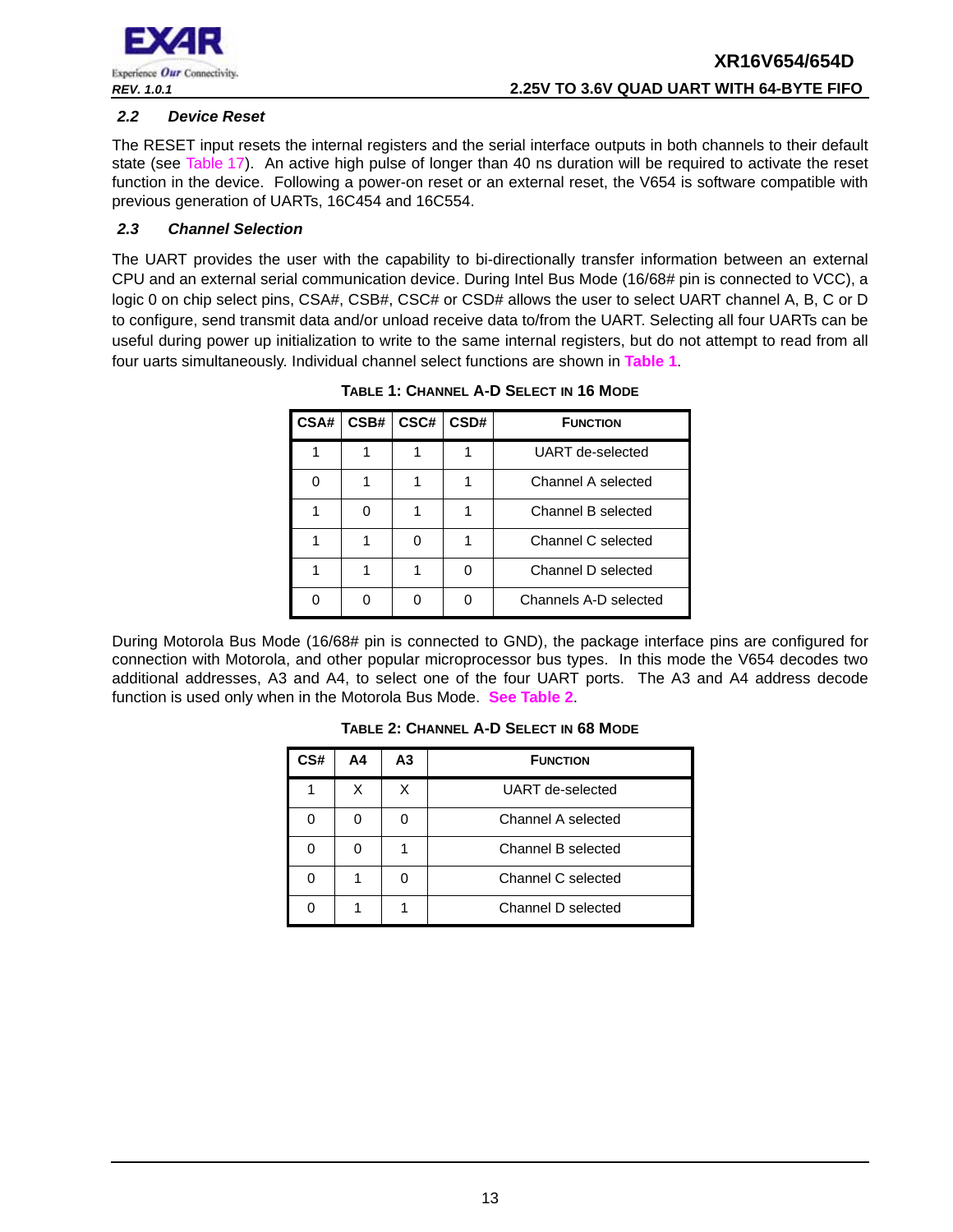

#### <span id="page-12-2"></span>*2.2 Device Reset*

The RESET input resets the internal registers and the serial interface outputs in both channels to their default state (see [Table](#page-40-0) 17). An active high pulse of longer than 40 ns duration will be required to activate the reset function in the device. Following a power-on reset or an external reset, the V654 is software compatible with previous generation of UARTs, 16C454 and 16C554.

#### <span id="page-12-3"></span>*2.3 Channel Selection*

<span id="page-12-0"></span>The UART provides the user with the capability to bi-directionally transfer information between an external CPU and an external serial communication device. During Intel Bus Mode (16/68# pin is connected to VCC), a logic 0 on chip select pins, CSA#, CSB#, CSC# or CSD# allows the user to select UART channel A, B, C or D to configure, send transmit data and/or unload receive data to/from the UART. Selecting all four UARTs can be useful during power up initialization to write to the same internal registers, but do not attempt to read from all four uarts simultaneously. Individual channel select functions are shown in **[Table](#page-12-0) 1**.

| CSA# | CSB# | CSC# | CSD# | <b>FUNCTION</b>       |
|------|------|------|------|-----------------------|
|      |      |      |      | UART de-selected      |
|      |      |      |      | Channel A selected    |
|      | ∩    |      |      | Channel B selected    |
|      |      |      |      | Channel C selected    |
|      |      |      |      | Channel D selected    |
|      |      |      |      | Channels A-D selected |

**TABLE 1: CHANNEL A-D SELECT IN 16 MODE**

<span id="page-12-1"></span>During Motorola Bus Mode (16/68# pin is connected to GND), the package interface pins are configured for connection with Motorola, and other popular microprocessor bus types. In this mode the V654 decodes two additional addresses, A3 and A4, to select one of the four UART ports. The A3 and A4 address decode function is used only when in the Motorola Bus Mode. **[See Table](#page-12-1) 2**.

| CS# | Α4 | А3 | <b>FUNCTION</b>    |  |
|-----|----|----|--------------------|--|
|     |    |    | UART de-selected   |  |
|     |    |    | Channel A selected |  |
|     |    |    | Channel B selected |  |
|     |    |    | Channel C selected |  |
|     |    |    | Channel D selected |  |

**TABLE 2: CHANNEL A-D SELECT IN 68 MODE**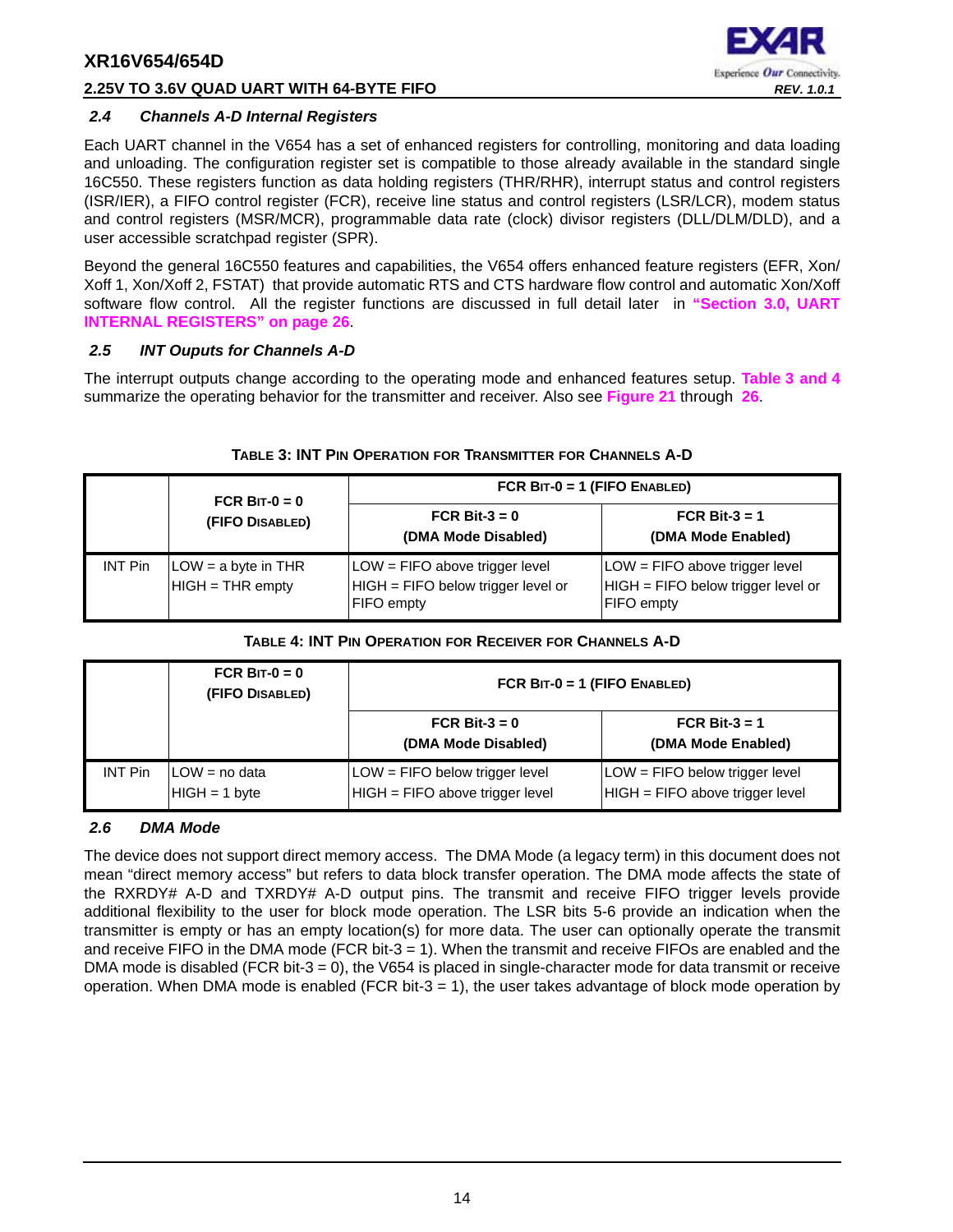#### **2.25V TO 3.6V QUAD UART WITH 64-BYTE FIFO** *REV. 1.0.1*



#### <span id="page-13-2"></span>*2.4 Channels A-D Internal Registers*

Each UART channel in the V654 has a set of enhanced registers for controlling, monitoring and data loading and unloading. The configuration register set is compatible to those already available in the standard single 16C550. These registers function as data holding registers (THR/RHR), interrupt status and control registers (ISR/IER), a FIFO control register (FCR), receive line status and control registers (LSR/LCR), modem status and control registers (MSR/MCR), programmable data rate (clock) divisor registers (DLL/DLM/DLD), and a user accessible scratchpad register (SPR).

Beyond the general 16C550 features and capabilities, the V654 offers enhanced feature registers (EFR, Xon/ Xoff 1, Xon/Xoff 2, FSTAT) that provide automatic RTS and CTS hardware flow control and automatic Xon/Xoff software flow control. All the register functions are discussed in full detail later in **["Section 3.0, UART](#page-25-0) [INTERNAL REGISTERS" on page](#page-25-0) 26**.

#### <span id="page-13-3"></span>*2.5 INT Ouputs for Channels A-D*

The interrupt outputs change according to the operating mode and enhanced features setup. **[Table](#page-13-0) 3 [and](#page-13-1) 4** summarize the operating behavior for the transmitter and receiver. Also see **[Figure](#page-46-0) 21** through **[26](#page-49-0)**.

<span id="page-13-0"></span>

|                | FCR BIT- $0 = 0$                          | FCR $BIT-0 = 1$ (FIFO ENABLED)                                                            |                                                                                             |
|----------------|-------------------------------------------|-------------------------------------------------------------------------------------------|---------------------------------------------------------------------------------------------|
|                | (FIFO DISABLED)                           | FCR Bit-3 = $0$<br>(DMA Mode Disabled)                                                    | FCR Bit-3 = $1$<br>(DMA Mode Enabled)                                                       |
| <b>INT Pin</b> | $LOW = a$ byte in THR<br>HIGH = THR empty | LOW = FIFO above trigger level<br>HIGH = FIFO below trigger level or<br><b>FIFO</b> empty | $LOW = FIFO$ above trigger level<br>HIGH = FIFO below trigger level or<br><b>FIFO</b> empty |

#### **TABLE 3: INT PIN OPERATION FOR TRANSMITTER FOR CHANNELS A-D**

#### **TABLE 4: INT PIN OPERATION FOR RECEIVER FOR CHANNELS A-D**

<span id="page-13-1"></span>

|                | FCR BIT- $0 = 0$<br>(FIFO DISABLED) | FCR $BIT-0 = 1$ (FIFO ENABLED)                                    |                                                                   |  |
|----------------|-------------------------------------|-------------------------------------------------------------------|-------------------------------------------------------------------|--|
|                |                                     | FCR Bit- $3 = 0$<br>(DMA Mode Disabled)                           | FCR Bit-3 $=$ 1<br>(DMA Mode Enabled)                             |  |
| <b>INT Pin</b> | $LOW = no data$<br>$HIGH = 1 byte$  | LOW = FIFO below trigger level<br>HIGH = FIFO above trigger level | LOW = FIFO below trigger level<br>HIGH = FIFO above trigger level |  |

#### <span id="page-13-4"></span>*2.6 DMA Mode*

The device does not support direct memory access. The DMA Mode (a legacy term) in this document does not mean "direct memory access" but refers to data block transfer operation. The DMA mode affects the state of the RXRDY# A-D and TXRDY# A-D output pins. The transmit and receive FIFO trigger levels provide additional flexibility to the user for block mode operation. The LSR bits 5-6 provide an indication when the transmitter is empty or has an empty location(s) for more data. The user can optionally operate the transmit and receive FIFO in the DMA mode (FCR bit-3 = 1). When the transmit and receive FIFOs are enabled and the DMA mode is disabled (FCR bit-3 = 0), the V654 is placed in single-character mode for data transmit or receive operation. When DMA mode is enabled (FCR bit-3  $=$  1), the user takes advantage of block mode operation by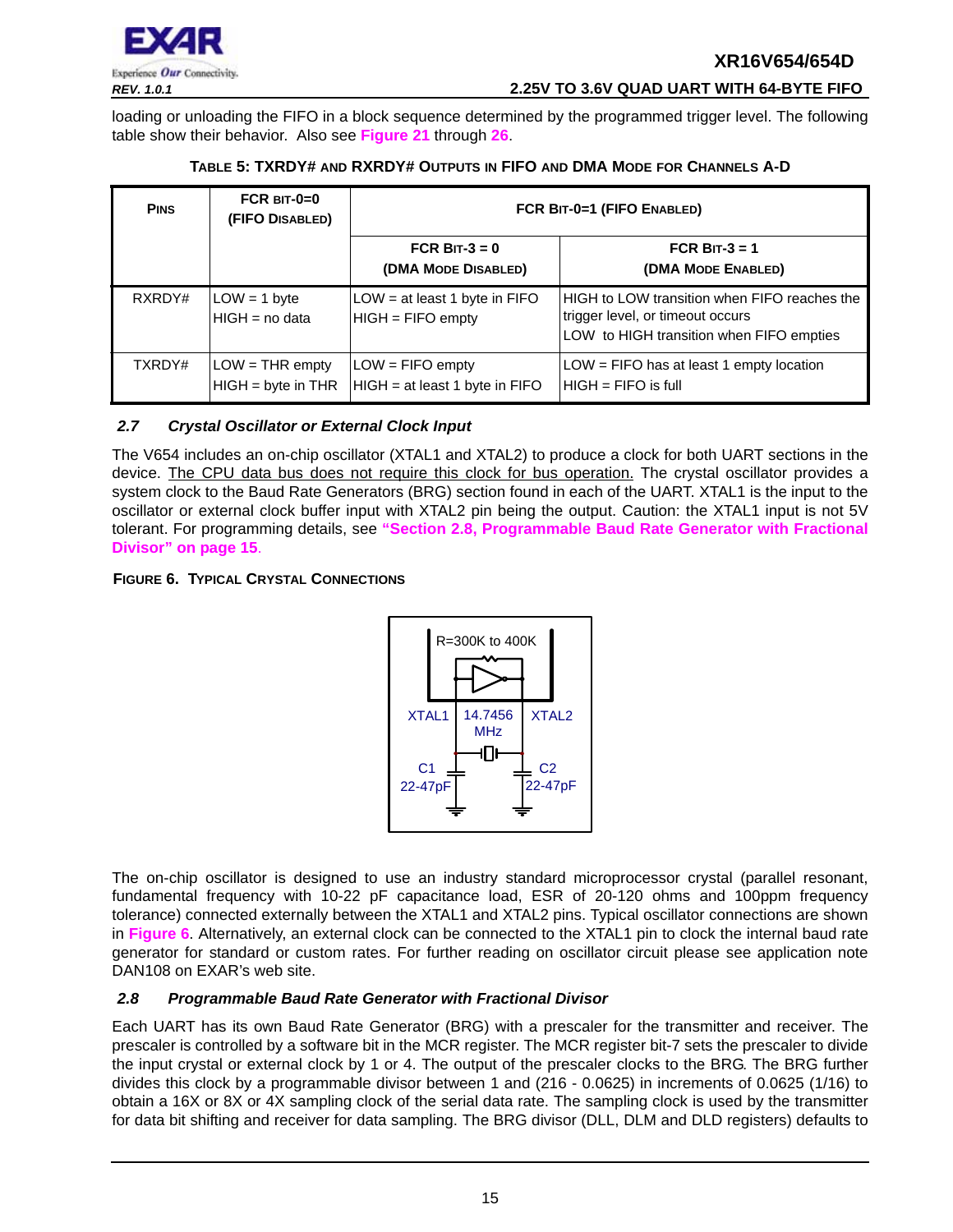

*REV. 1.0.1* **2.25V TO 3.6V QUAD UART WITH 64-BYTE FIFO**

loading or unloading the FIFO in a block sequence determined by the programmed trigger level. The following table show their behavior. Also see **[Figure](#page-46-0) 21** through **[26](#page-49-0)**.

<span id="page-14-0"></span>

| <b>PINS</b> | FCR $BIT-0=0$<br>(FIFO DISABLED)          | FCR BIT-0=1 (FIFO ENABLED)                             |                                                                                                                              |  |  |
|-------------|-------------------------------------------|--------------------------------------------------------|------------------------------------------------------------------------------------------------------------------------------|--|--|
|             |                                           | FCR BIT- $3 = 0$<br>(DMA MODE DISABLED)                | FCR BIT- $3 = 1$<br>(DMA MODE ENABLED)                                                                                       |  |  |
| RXRDY#      | $LOW = 1$ byte<br>$HIGH = no data$        | LOW = at least 1 byte in FIFO<br>$HIGH = FIFO$ empty   | HIGH to LOW transition when FIFO reaches the<br>trigger level, or timeout occurs<br>LOW to HIGH transition when FIFO empties |  |  |
| TXRDY#      | $LOW = THR$ empty<br>$HIGH = byte in THR$ | $LOW = FIFO$ empty<br>$HIGH = at least 1 byte in FIFO$ | $LOW = FIFO$ has at least 1 empty location<br>$HHGH = FIFA$ is full                                                          |  |  |

#### **TABLE 5: TXRDY# AND RXRDY# OUTPUTS IN FIFO AND DMA MODE FOR CHANNELS A-D**

#### <span id="page-14-3"></span>*2.7 Crystal Oscillator or External Clock Input*

The V654 includes an on-chip oscillator (XTAL1 and XTAL2) to produce a clock for both UART sections in the device. The CPU data bus does not require this clock for bus operation. The crystal oscillator provides a system clock to the Baud Rate Generators (BRG) section found in each of the UART. XTAL1 is the input to the oscillator or external clock buffer input with XTAL2 pin being the output. Caution: the XTAL1 input is not 5V tolerant. For programming details, see **["Section 2.8, Programmable Baud Rate Generator with Fractional](#page-14-1) [Divisor" on page](#page-14-1) 15**.

#### <span id="page-14-2"></span>**FIGURE 6. TYPICAL CRYSTAL CONNECTIONS**



The on-chip oscillator is designed to use an industry standard microprocessor crystal (parallel resonant, fundamental frequency with 10-22 pF capacitance load, ESR of 20-120 ohms and 100ppm frequency tolerance) connected externally between the XTAL1 and XTAL2 pins. Typical oscillator connections are shown in **[Figure](#page-14-2) 6**. Alternatively, an external clock can be connected to the XTAL1 pin to clock the internal baud rate generator for standard or custom rates. For further reading on oscillator circuit please see application note DAN108 on EXAR's web site.

#### <span id="page-14-1"></span>*2.8 Programmable Baud Rate Generator with Fractional Divisor*

Each UART has its own Baud Rate Generator (BRG) with a prescaler for the transmitter and receiver. The prescaler is controlled by a software bit in the MCR register. The MCR register bit-7 sets the prescaler to divide the input crystal or external clock by 1 or 4. The output of the prescaler clocks to the BRG. The BRG further divides this clock by a programmable divisor between 1 and (216 - 0.0625) in increments of 0.0625 (1/16) to obtain a 16X or 8X or 4X sampling clock of the serial data rate. The sampling clock is used by the transmitter for data bit shifting and receiver for data sampling. The BRG divisor (DLL, DLM and DLD registers) defaults to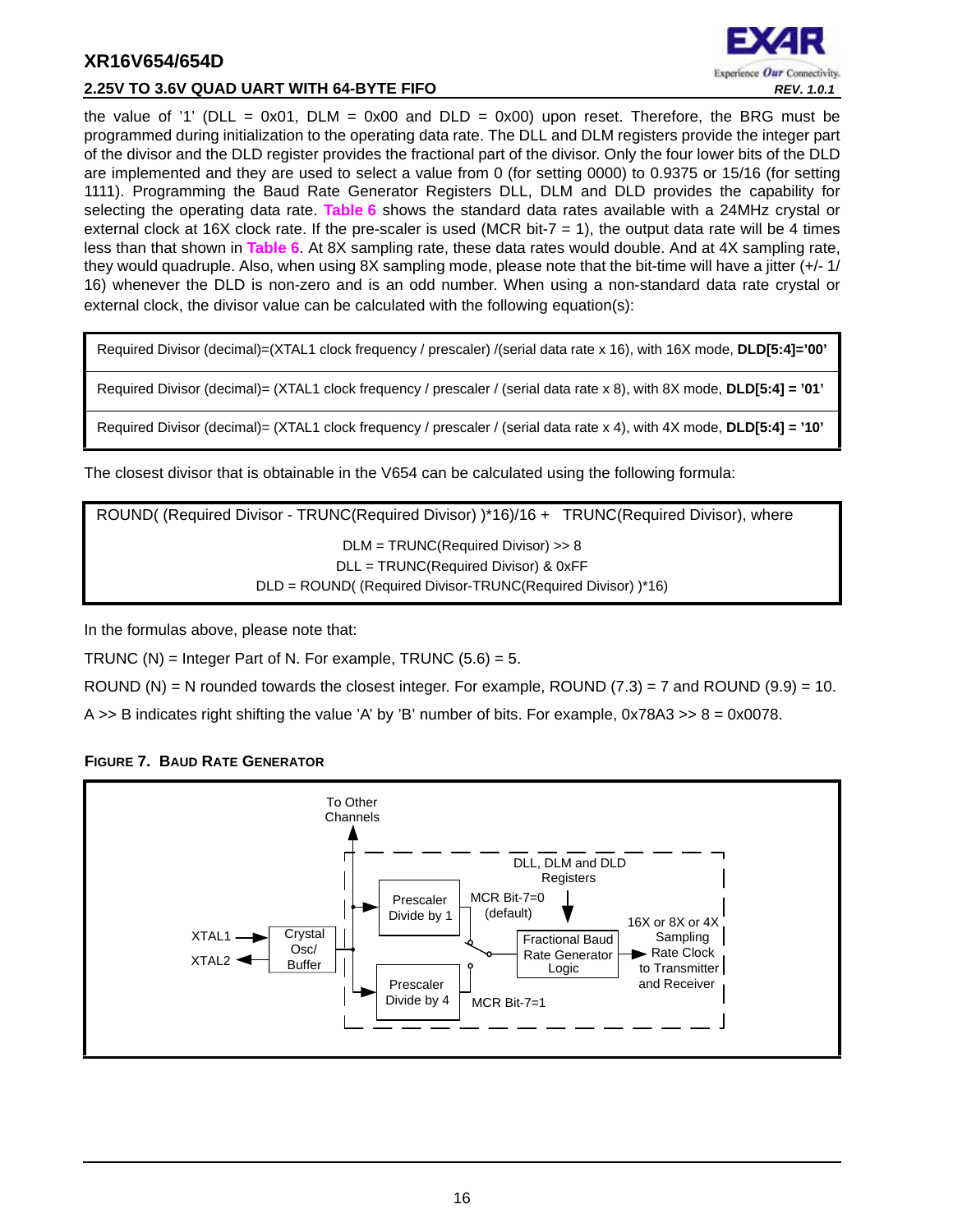

#### **2.25V TO 3.6V QUAD UART WITH 64-BYTE FIFO** *REV. 1.0.1*

the value of '1' (DLL = 0x01, DLM = 0x00 and DLD = 0x00) upon reset. Therefore, the BRG must be programmed during initialization to the operating data rate. The DLL and DLM registers provide the integer part of the divisor and the DLD register provides the fractional part of the divisor. Only the four lower bits of the DLD are implemented and they are used to select a value from 0 (for setting 0000) to 0.9375 or 15/16 (for setting 1111). Programming the Baud Rate Generator Registers DLL, DLM and DLD provides the capability for selecting the operating data rate. **[Table](#page-16-0) 6** shows the standard data rates available with a 24MHz crystal or external clock at 16X clock rate. If the pre-scaler is used (MCR bit-7  $=$  1), the output data rate will be 4 times less than that shown in **[Table](#page-16-0) 6**. At 8X sampling rate, these data rates would double. And at 4X sampling rate, they would quadruple. Also, when using 8X sampling mode, please note that the bit-time will have a jitter (+/- 1/ 16) whenever the DLD is non-zero and is an odd number. When using a non-standard data rate crystal or external clock, the divisor value can be calculated with the following equation(s):

Required Divisor (decimal)=(XTAL1 clock frequency / prescaler) /(serial data rate x 16), with 16X mode, **DLD[5:4]='00'**

Required Divisor (decimal)= (XTAL1 clock frequency / prescaler / (serial data rate x 8), with 8X mode, **DLD[5:4] = '01'**

Required Divisor (decimal)= (XTAL1 clock frequency / prescaler / (serial data rate x 4), with 4X mode, **DLD[5:4] = '10'**

The closest divisor that is obtainable in the V654 can be calculated using the following formula:

ROUND( (Required Divisor - TRUNC(Required Divisor) )\*16)/16 + TRUNC(Required Divisor), where DLM = TRUNC(Required Divisor) >> 8 DLL = TRUNC(Required Divisor) & 0xFF DLD = ROUND( (Required Divisor-TRUNC(Required Divisor) )\*16)

In the formulas above, please note that:

TRUNC  $(N)$  = Integer Part of N. For example, TRUNC  $(5.6) = 5$ .

ROUND (N) = N rounded towards the closest integer. For example, ROUND  $(7.3)$  = 7 and ROUND  $(9.9)$  = 10.

A  $\geq$  B indicates right shifting the value 'A' by 'B' number of bits. For example, 0x78A3  $\geq$  8 = 0x0078.



#### <span id="page-15-0"></span>**FIGURE 7. BAUD RATE GENERATOR**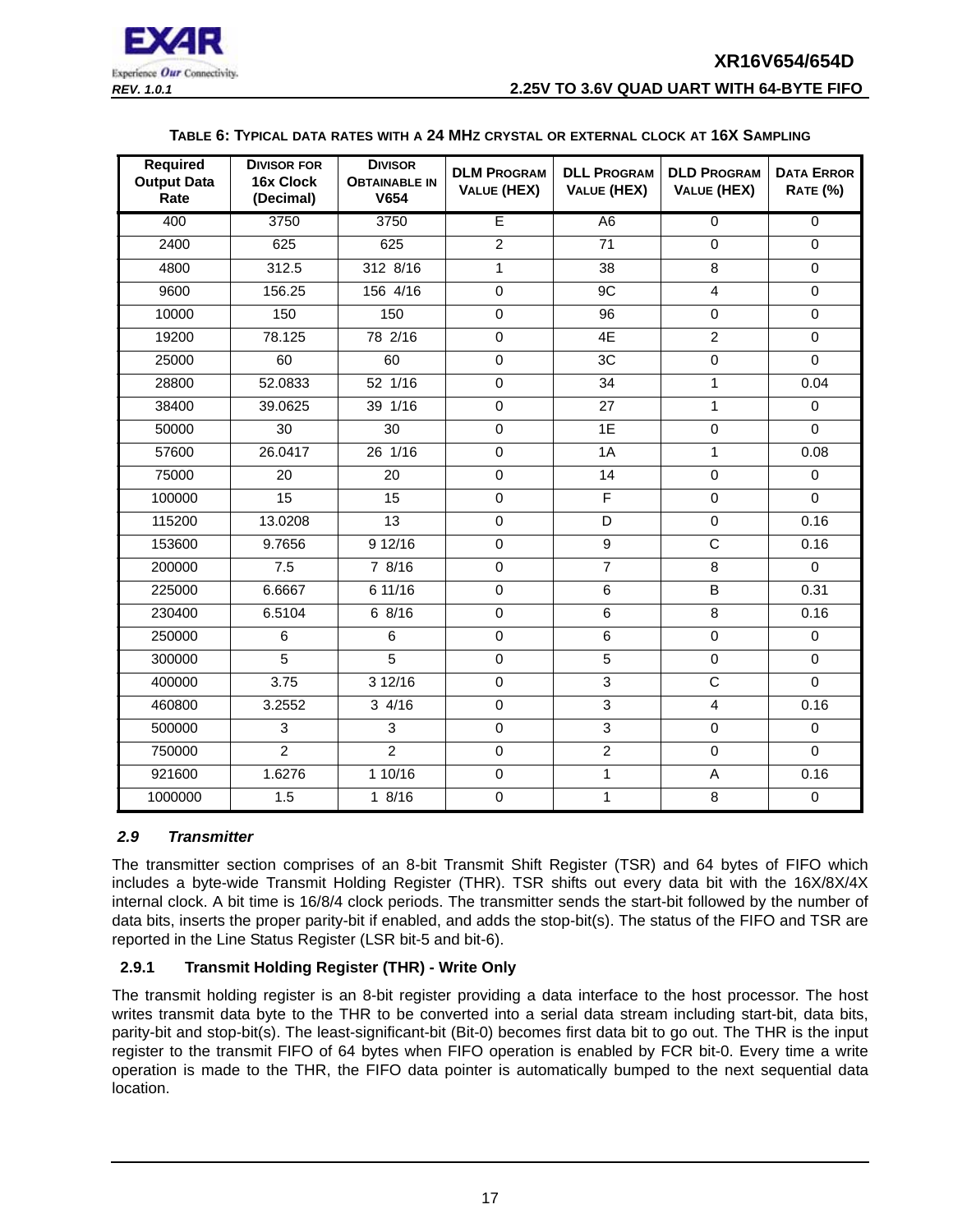

#### **TABLE 6: TYPICAL DATA RATES WITH A 24 MHZ CRYSTAL OR EXTERNAL CLOCK AT 16X SAMPLING**

<span id="page-16-0"></span>

| <b>Required</b><br><b>Output Data</b><br>Rate | <b>DIVISOR FOR</b><br>16x Clock<br>(Decimal) | <b>DIVISOR</b><br><b>OBTAINABLE IN</b><br>V654 | <b>DLM PROGRAM</b><br><b>VALUE (HEX)</b> | <b>DLL PROGRAM</b><br><b>VALUE (HEX)</b> | <b>DLD PROGRAM</b><br><b>VALUE (HEX)</b> | <b>DATA ERROR</b><br><b>RATE (%)</b> |
|-----------------------------------------------|----------------------------------------------|------------------------------------------------|------------------------------------------|------------------------------------------|------------------------------------------|--------------------------------------|
| 400                                           | 3750                                         | 3750                                           | Ē                                        | A <sub>6</sub>                           | $\overline{0}$                           | $\overline{0}$                       |
| 2400                                          | 625                                          | 625                                            | $\overline{2}$                           | 71                                       | $\Omega$                                 | $\Omega$                             |
| 4800                                          | 312.5                                        | 312 8/16                                       | $\mathbf{1}$                             | 38                                       | 8                                        | $\mathbf 0$                          |
| 9600                                          | 156.25                                       | 156 4/16                                       | $\mathbf 0$                              | 9C                                       | $\overline{4}$                           | $\mathbf 0$                          |
| 10000                                         | 150                                          | 150                                            | $\overline{0}$                           | $\overline{96}$                          | $\mathbf 0$                              | $\mathbf 0$                          |
| 19200                                         | 78.125                                       | 78 2/16                                        | $\mathbf 0$                              | 4E                                       | $\overline{2}$                           | 0                                    |
| 25000                                         | 60                                           | 60                                             | $\overline{0}$                           | 3C                                       | $\overline{0}$                           | $\Omega$                             |
| 28800                                         | 52.0833                                      | 52 1/16                                        | $\mathbf 0$                              | 34                                       | 1                                        | 0.04                                 |
| 38400                                         | 39.0625                                      | 39 1/16                                        | $\mathbf 0$                              | 27                                       | $\mathbf{1}$                             | $\mathbf 0$                          |
| 50000                                         | 30                                           | 30                                             | $\mathbf 0$                              | 1E                                       | $\mathbf 0$                              | $\Omega$                             |
| 57600                                         | 26.0417                                      | 26 1/16                                        | $\mathbf 0$                              | 1A                                       | $\mathbf{1}$                             | 0.08                                 |
| 75000                                         | 20                                           | 20                                             | $\mathbf 0$                              | 14                                       | $\mathbf 0$                              | 0                                    |
| 100000                                        | 15                                           | 15                                             | $\mathbf 0$                              | $\overline{F}$                           | $\mathbf 0$                              | $\Omega$                             |
| 115200                                        | 13.0208                                      | 13                                             | $\mathbf 0$                              | $\overline{D}$                           | $\mathbf 0$                              | 0.16                                 |
| 153600                                        | 9.7656                                       | 912/16                                         | $\mathbf 0$                              | $\overline{9}$                           | $\overline{\text{c}}$                    | 0.16                                 |
| 200000                                        | 7.5                                          | 78/16                                          | $\overline{0}$                           | $\overline{7}$                           | $\overline{8}$                           | $\Omega$                             |
| 225000                                        | 6.6667                                       | 6 11/16                                        | $\mathbf 0$                              | $\overline{6}$                           | B                                        | 0.31                                 |
| 230400                                        | 6.5104                                       | 68/16                                          | $\mathbf 0$                              | 6                                        | 8                                        | 0.16                                 |
| 250000                                        | 6                                            | 6                                              | $\mathbf 0$                              | 6                                        | $\mathbf 0$                              | $\mathbf 0$                          |
| 300000                                        | $\overline{5}$                               | $\overline{5}$                                 | $\mathbf 0$                              | $\overline{5}$                           | $\mathbf 0$                              | $\mathbf 0$                          |
| 400000                                        | 3.75                                         | 3 12/16                                        | $\mathbf 0$                              | $\overline{3}$                           | $\overline{C}$                           | $\Omega$                             |
| 460800                                        | 3.2552                                       | $3 \frac{4}{16}$                               | $\overline{0}$                           | $\overline{3}$                           | $\overline{4}$                           | 0.16                                 |
| 500000                                        | 3                                            | 3                                              | $\mathbf 0$                              | $\overline{3}$                           | $\mathbf 0$                              | $\mathbf 0$                          |
| 750000                                        | $\overline{2}$                               | $\overline{2}$                                 | $\mathbf 0$                              | $\overline{2}$                           | $\pmb{0}$                                | $\Omega$                             |
| 921600                                        | 1.6276                                       | 1 10/16                                        | $\mathbf 0$                              | 1                                        | A                                        | 0.16                                 |
| 1000000                                       | 1.5                                          | 18/16                                          | $\overline{0}$                           | 1                                        | 8                                        | $\mathbf 0$                          |

#### <span id="page-16-1"></span>*2.9 Transmitter*

The transmitter section comprises of an 8-bit Transmit Shift Register (TSR) and 64 bytes of FIFO which includes a byte-wide Transmit Holding Register (THR). TSR shifts out every data bit with the 16X/8X/4X internal clock. A bit time is 16/8/4 clock periods. The transmitter sends the start-bit followed by the number of data bits, inserts the proper parity-bit if enabled, and adds the stop-bit(s). The status of the FIFO and TSR are reported in the Line Status Register (LSR bit-5 and bit-6).

#### <span id="page-16-2"></span>**2.9.1 Transmit Holding Register (THR) - Write Only**

The transmit holding register is an 8-bit register providing a data interface to the host processor. The host writes transmit data byte to the THR to be converted into a serial data stream including start-bit, data bits, parity-bit and stop-bit(s). The least-significant-bit (Bit-0) becomes first data bit to go out. The THR is the input register to the transmit FIFO of 64 bytes when FIFO operation is enabled by FCR bit-0. Every time a write operation is made to the THR, the FIFO data pointer is automatically bumped to the next sequential data location.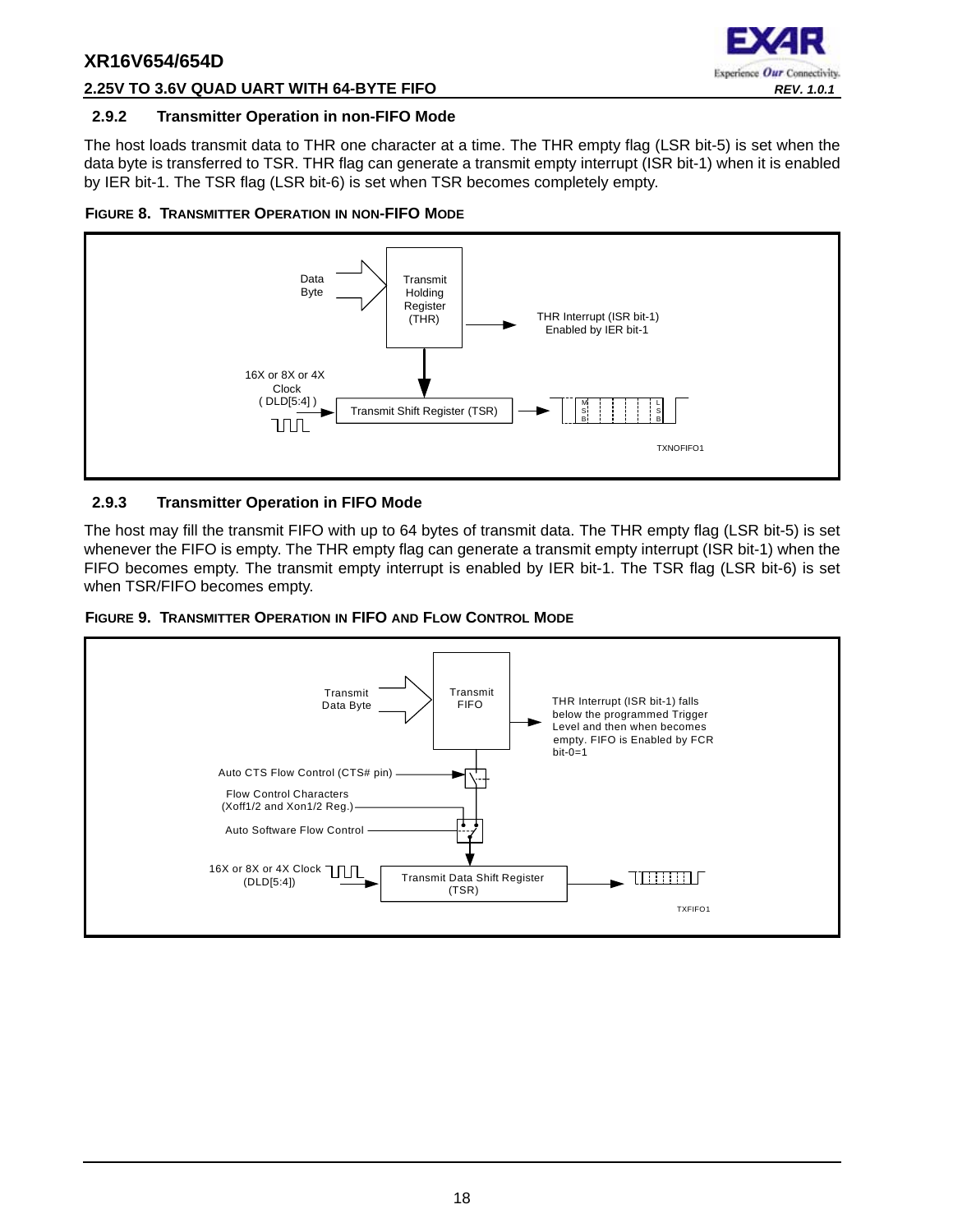

#### **2.25V TO 3.6V QUAD UART WITH 64-BYTE FIFO** *REV. 1.0.1*

#### <span id="page-17-0"></span>**2.9.2 Transmitter Operation in non-FIFO Mode**

The host loads transmit data to THR one character at a time. The THR empty flag (LSR bit-5) is set when the data byte is transferred to TSR. THR flag can generate a transmit empty interrupt (ISR bit-1) when it is enabled by IER bit-1. The TSR flag (LSR bit-6) is set when TSR becomes completely empty.

<span id="page-17-1"></span>



#### <span id="page-17-2"></span>**2.9.3 Transmitter Operation in FIFO Mode**

The host may fill the transmit FIFO with up to 64 bytes of transmit data. The THR empty flag (LSR bit-5) is set whenever the FIFO is empty. The THR empty flag can generate a transmit empty interrupt (ISR bit-1) when the FIFO becomes empty. The transmit empty interrupt is enabled by IER bit-1. The TSR flag (LSR bit-6) is set when TSR/FIFO becomes empty.

<span id="page-17-3"></span>

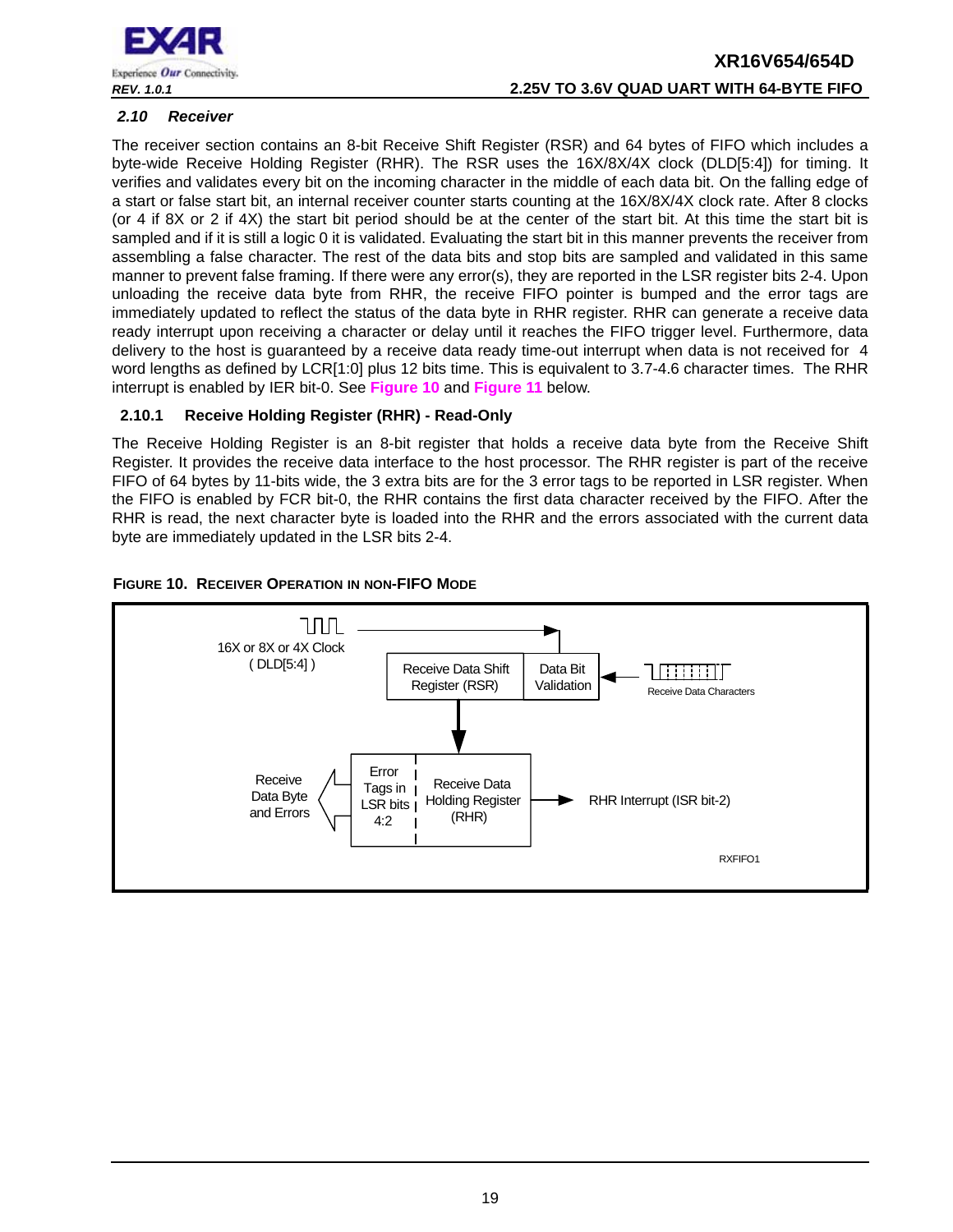

## **XR16V654/654D** *REV. 1.0.1* **2.25V TO 3.6V QUAD UART WITH 64-BYTE FIFO**

#### <span id="page-18-1"></span>*2.10 Receiver*

The receiver section contains an 8-bit Receive Shift Register (RSR) and 64 bytes of FIFO which includes a byte-wide Receive Holding Register (RHR). The RSR uses the 16X/8X/4X clock (DLD[5:4]) for timing. It verifies and validates every bit on the incoming character in the middle of each data bit. On the falling edge of a start or false start bit, an internal receiver counter starts counting at the 16X/8X/4X clock rate. After 8 clocks (or 4 if 8X or 2 if 4X) the start bit period should be at the center of the start bit. At this time the start bit is sampled and if it is still a logic 0 it is validated. Evaluating the start bit in this manner prevents the receiver from assembling a false character. The rest of the data bits and stop bits are sampled and validated in this same manner to prevent false framing. If there were any error(s), they are reported in the LSR register bits 2-4. Upon unloading the receive data byte from RHR, the receive FIFO pointer is bumped and the error tags are immediately updated to reflect the status of the data byte in RHR register. RHR can generate a receive data ready interrupt upon receiving a character or delay until it reaches the FIFO trigger level. Furthermore, data delivery to the host is guaranteed by a receive data ready time-out interrupt when data is not received for 4 word lengths as defined by LCR[1:0] plus 12 bits time. This is equivalent to 3.7-4.6 character times. The RHR interrupt is enabled by IER bit-0. See **[Figure](#page-18-0) 10** and **[Figure](#page-19-0) 11** below.

#### <span id="page-18-2"></span>**2.10.1 Receive Holding Register (RHR) - Read-Only**

The Receive Holding Register is an 8-bit register that holds a receive data byte from the Receive Shift Register. It provides the receive data interface to the host processor. The RHR register is part of the receive FIFO of 64 bytes by 11-bits wide, the 3 extra bits are for the 3 error tags to be reported in LSR register. When the FIFO is enabled by FCR bit-0, the RHR contains the first data character received by the FIFO. After the RHR is read, the next character byte is loaded into the RHR and the errors associated with the current data byte are immediately updated in the LSR bits 2-4.

<span id="page-18-0"></span>

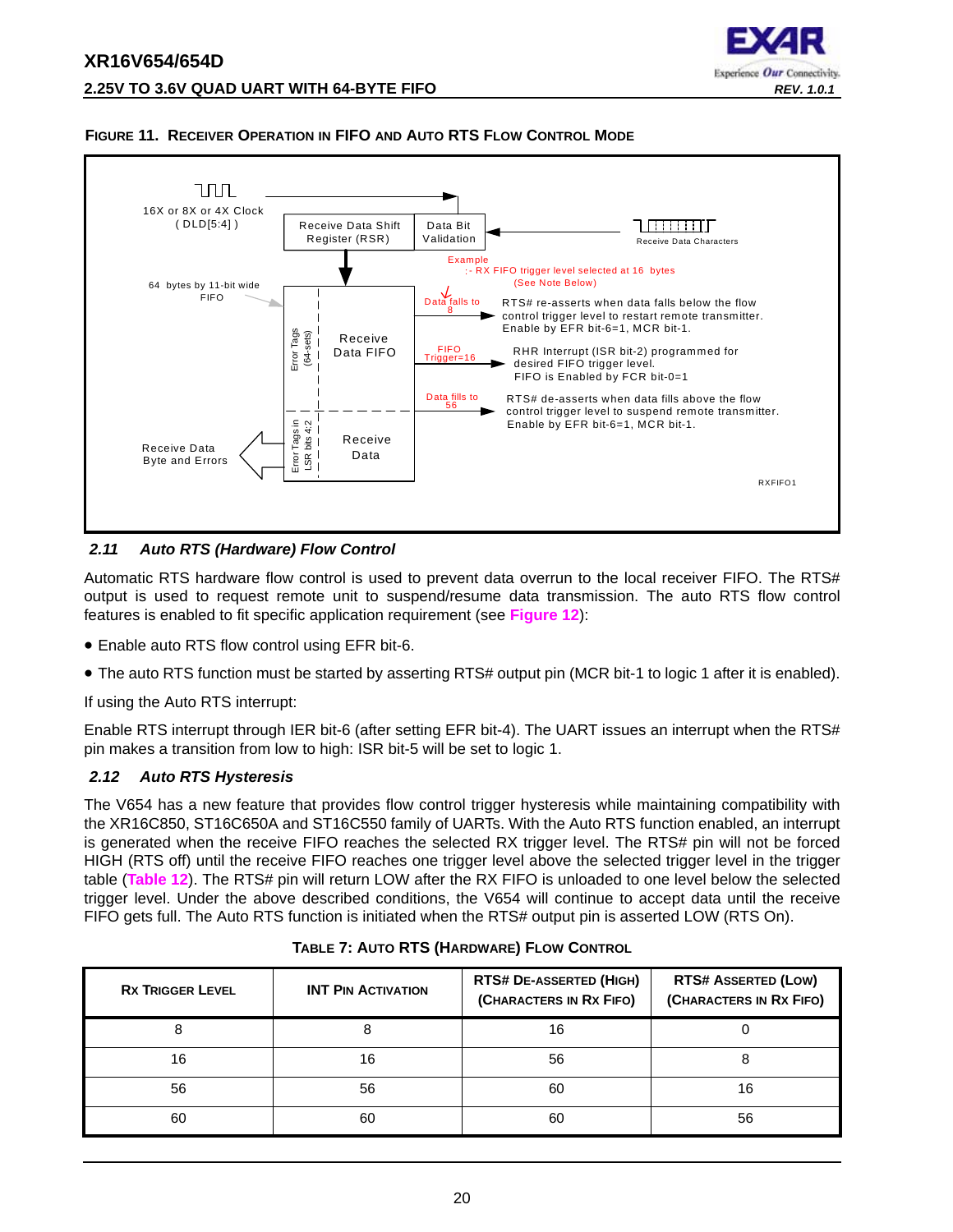



#### <span id="page-19-0"></span>**FIGURE 11. RECEIVER OPERATION IN FIFO AND AUTO RTS FLOW CONTROL MODE**

#### <span id="page-19-1"></span>*2.11 Auto RTS (Hardware) Flow Control*

Automatic RTS hardware flow control is used to prevent data overrun to the local receiver FIFO. The RTS# output is used to request remote unit to suspend/resume data transmission. The auto RTS flow control features is enabled to fit specific application requirement (see **[Figure](#page-20-0) 12**):

- Enable auto RTS flow control using EFR bit-6.
- The auto RTS function must be started by asserting RTS# output pin (MCR bit-1 to logic 1 after it is enabled).

If using the Auto RTS interrupt:

Enable RTS interrupt through IER bit-6 (after setting EFR bit-4). The UART issues an interrupt when the RTS# pin makes a transition from low to high: ISR bit-5 will be set to logic 1.

#### <span id="page-19-2"></span>*2.12 Auto RTS Hysteresis*

The V654 has a new feature that provides flow control trigger hysteresis while maintaining compatibility with the XR16C850, ST16C650A and ST16C550 family of UARTs. With the Auto RTS function enabled, an interrupt is generated when the receive FIFO reaches the selected RX trigger level. The RTS# pin will not be forced HIGH (RTS off) until the receive FIFO reaches one trigger level above the selected trigger level in the trigger table (**[Table](#page-31-0) 12**). The RTS# pin will return LOW after the RX FIFO is unloaded to one level below the selected trigger level. Under the above described conditions, the V654 will continue to accept data until the receive FIFO gets full. The Auto RTS function is initiated when the RTS# output pin is asserted LOW (RTS On).

<span id="page-19-3"></span>

| <b>RX TRIGGER LEVEL</b> | <b>INT PIN ACTIVATION</b> | <b>RTS# DE-ASSERTED (HIGH)</b><br>(CHARACTERS IN RX FIFO) | <b>RTS# ASSERTED (LOW)</b><br>(CHARACTERS IN RX FIFO) |
|-------------------------|---------------------------|-----------------------------------------------------------|-------------------------------------------------------|
|                         |                           | 16                                                        |                                                       |
| 16                      | 16                        | 56                                                        |                                                       |
| 56                      | 56                        | 60                                                        | 16                                                    |
| 60                      | 60                        | 60                                                        | 56                                                    |

|  | TABLE 7: AUTO RTS (HARDWARE) FLOW CONTROL |
|--|-------------------------------------------|
|  |                                           |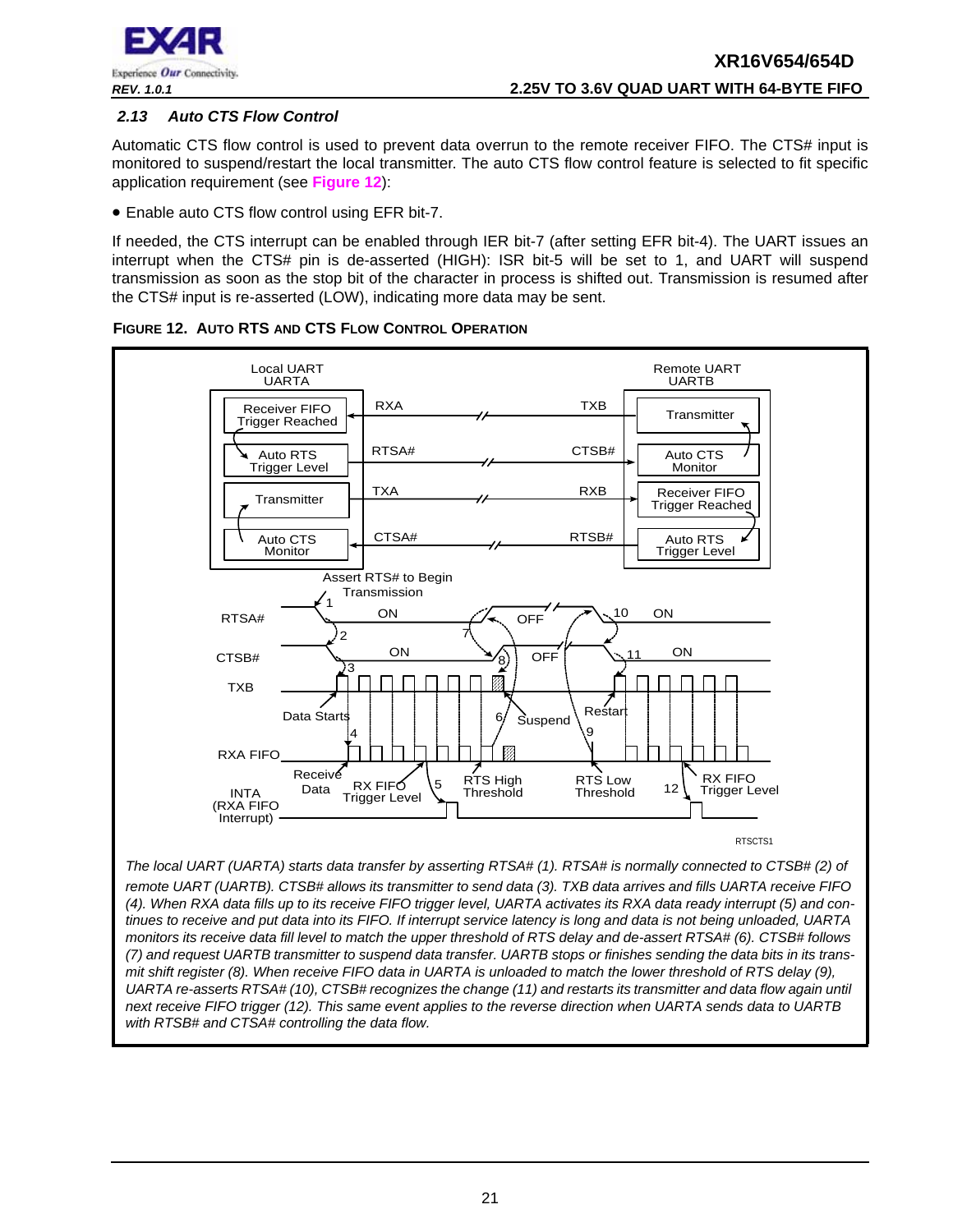

#### <span id="page-20-1"></span>*2.13 Auto CTS Flow Control*

Automatic CTS flow control is used to prevent data overrun to the remote receiver FIFO. The CTS# input is monitored to suspend/restart the local transmitter. The auto CTS flow control feature is selected to fit specific application requirement (see **[Figure](#page-20-0) 12**):

• Enable auto CTS flow control using EFR bit-7.

If needed, the CTS interrupt can be enabled through IER bit-7 (after setting EFR bit-4). The UART issues an interrupt when the CTS# pin is de-asserted (HIGH): ISR bit-5 will be set to 1, and UART will suspend transmission as soon as the stop bit of the character in process is shifted out. Transmission is resumed after the CTS# input is re-asserted (LOW), indicating more data may be sent.



<span id="page-20-0"></span>**FIGURE 12. AUTO RTS AND CTS FLOW CONTROL OPERATION**

*The local UART (UARTA) starts data transfer by asserting RTSA# (1). RTSA# is normally connected to CTSB# (2) of remote UART (UARTB). CTSB# allows its transmitter to send data (3). TXB data arrives and fills UARTA receive FIFO (4). When RXA data fills up to its receive FIFO trigger level, UARTA activates its RXA data ready interrupt (5) and continues to receive and put data into its FIFO. If interrupt service latency is long and data is not being unloaded, UARTA monitors its receive data fill level to match the upper threshold of RTS delay and de-assert RTSA# (6). CTSB# follows (7) and request UARTB transmitter to suspend data transfer. UARTB stops or finishes sending the data bits in its transmit shift register (8). When receive FIFO data in UARTA is unloaded to match the lower threshold of RTS delay (9), UARTA re-asserts RTSA# (10), CTSB# recognizes the change (11) and restarts its transmitter and data flow again until next receive FIFO trigger (12). This same event applies to the reverse direction when UARTA sends data to UARTB with RTSB# and CTSA# controlling the data flow.*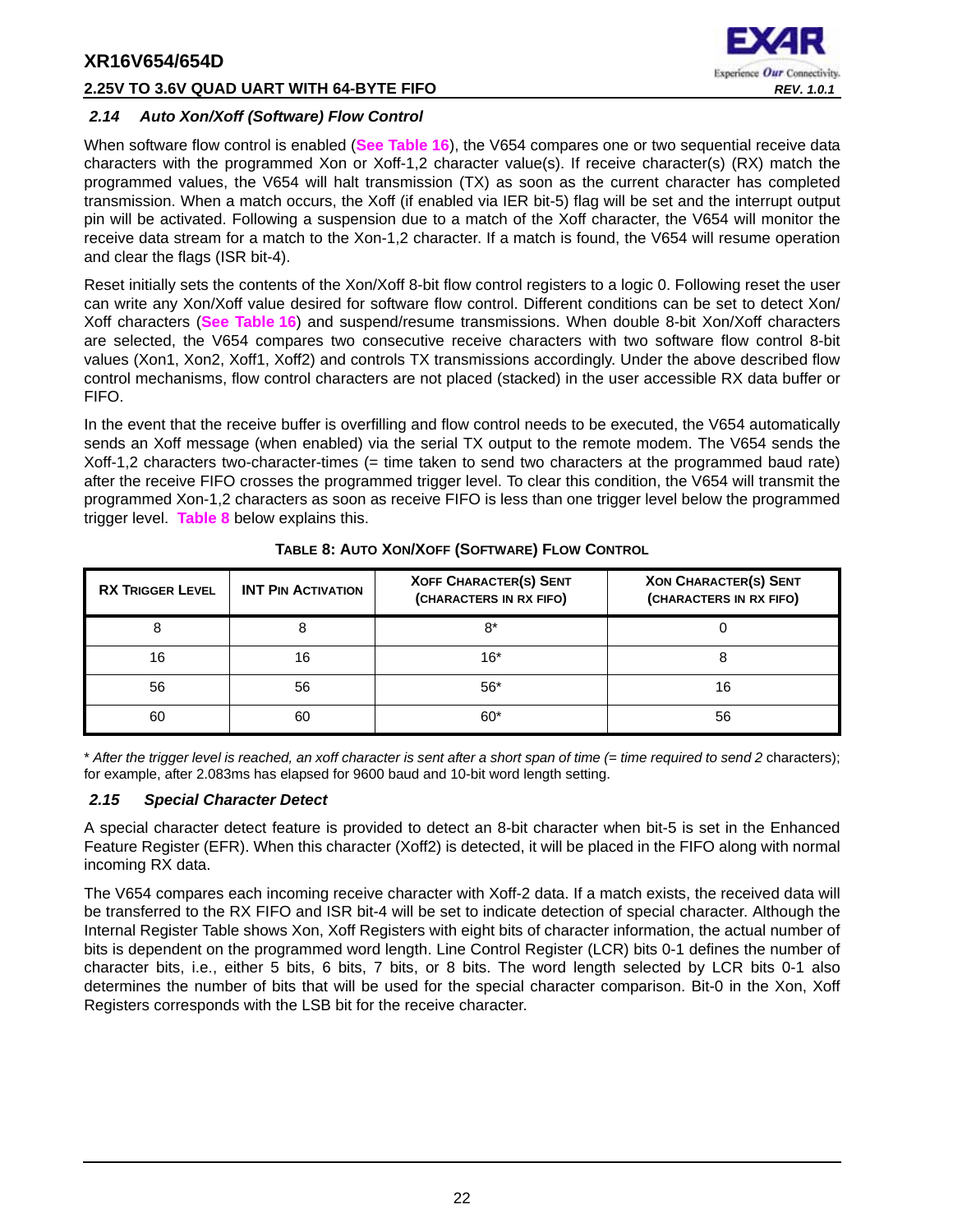#### **2.25V TO 3.6V QUAD UART WITH 64-BYTE FIFO** *REV. 1.0.1*



#### <span id="page-21-1"></span>*2.14 Auto Xon/Xoff (Software) Flow Control*

When software flow control is enabled (**[See Table](#page-38-0) 16**), the V654 compares one or two sequential receive data characters with the programmed Xon or Xoff-1,2 character value(s). If receive character(s) (RX) match the programmed values, the V654 will halt transmission (TX) as soon as the current character has completed transmission. When a match occurs, the Xoff (if enabled via IER bit-5) flag will be set and the interrupt output pin will be activated. Following a suspension due to a match of the Xoff character, the V654 will monitor the receive data stream for a match to the Xon-1,2 character. If a match is found, the V654 will resume operation and clear the flags (ISR bit-4).

Reset initially sets the contents of the Xon/Xoff 8-bit flow control registers to a logic 0. Following reset the user can write any Xon/Xoff value desired for software flow control. Different conditions can be set to detect Xon/ Xoff characters (**[See Table](#page-38-0) 16**) and suspend/resume transmissions. When double 8-bit Xon/Xoff characters are selected, the V654 compares two consecutive receive characters with two software flow control 8-bit values (Xon1, Xon2, Xoff1, Xoff2) and controls TX transmissions accordingly. Under the above described flow control mechanisms, flow control characters are not placed (stacked) in the user accessible RX data buffer or FIFO.

In the event that the receive buffer is overfilling and flow control needs to be executed, the V654 automatically sends an Xoff message (when enabled) via the serial TX output to the remote modem. The V654 sends the Xoff-1,2 characters two-character-times (= time taken to send two characters at the programmed baud rate) after the receive FIFO crosses the programmed trigger level. To clear this condition, the V654 will transmit the programmed Xon-1,2 characters as soon as receive FIFO is less than one trigger level below the programmed trigger level. **[Table](#page-21-0) 8** below explains this.

<span id="page-21-0"></span>

| <b>RX TRIGGER LEVEL</b> | <b>INT PIN ACTIVATION</b> | <b>XOFF CHARACTER(S) SENT</b><br>(CHARACTERS IN RX FIFO) | <b>XON CHARACTER(S) SENT</b><br>(CHARACTERS IN RX FIFO) |
|-------------------------|---------------------------|----------------------------------------------------------|---------------------------------------------------------|
|                         | 8                         | 8*                                                       |                                                         |
| 16                      | 16                        | $16*$                                                    |                                                         |
| 56                      | 56                        | $56*$                                                    |                                                         |
| 60                      | 60                        | $60*$                                                    | 56                                                      |

#### **TABLE 8: AUTO XON/XOFF (SOFTWARE) FLOW CONTROL**

\* *After the trigger level is reached, an xoff character is sent after a short span of time (= time required to send 2* characters); for example, after 2.083ms has elapsed for 9600 baud and 10-bit word length setting.

#### <span id="page-21-2"></span>*2.15 Special Character Detect*

A special character detect feature is provided to detect an 8-bit character when bit-5 is set in the Enhanced Feature Register (EFR). When this character (Xoff2) is detected, it will be placed in the FIFO along with normal incoming RX data.

The V654 compares each incoming receive character with Xoff-2 data. If a match exists, the received data will be transferred to the RX FIFO and ISR bit-4 will be set to indicate detection of special character. Although the Internal Register Table shows Xon, Xoff Registers with eight bits of character information, the actual number of bits is dependent on the programmed word length. Line Control Register (LCR) bits 0-1 defines the number of character bits, i.e., either 5 bits, 6 bits, 7 bits, or 8 bits. The word length selected by LCR bits 0-1 also determines the number of bits that will be used for the special character comparison. Bit-0 in the Xon, Xoff Registers corresponds with the LSB bit for the receive character.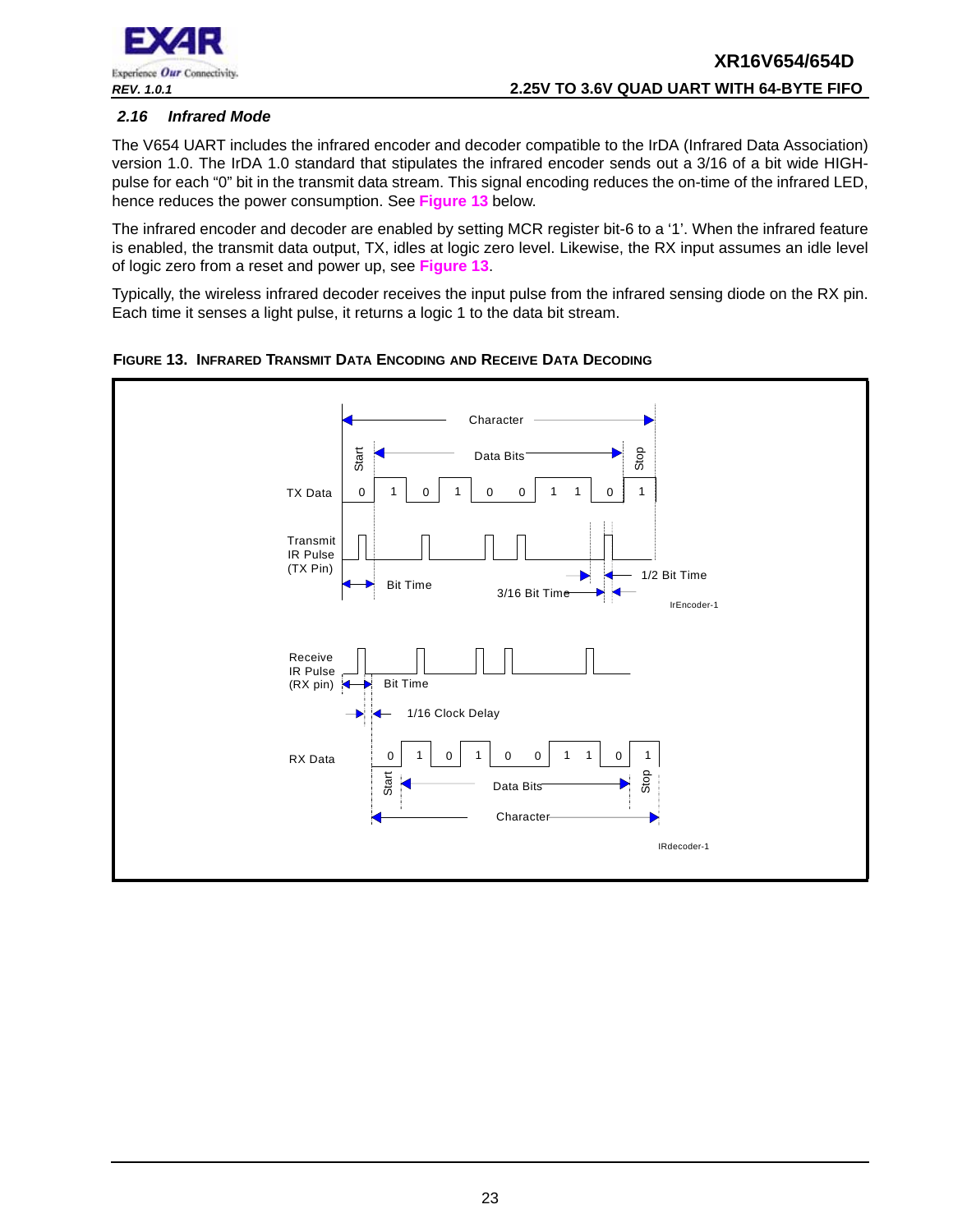

#### <span id="page-22-1"></span>*2.16 Infrared Mode*

The V654 UART includes the infrared encoder and decoder compatible to the IrDA (Infrared Data Association) version 1.0. The IrDA 1.0 standard that stipulates the infrared encoder sends out a 3/16 of a bit wide HIGHpulse for each "0" bit in the transmit data stream. This signal encoding reduces the on-time of the infrared LED, hence reduces the power consumption. See **[Figure](#page-22-0) 13** below.

The infrared encoder and decoder are enabled by setting MCR register bit-6 to a '1'. When the infrared feature is enabled, the transmit data output, TX, idles at logic zero level. Likewise, the RX input assumes an idle level of logic zero from a reset and power up, see **[Figure](#page-22-0) 13**.

Typically, the wireless infrared decoder receives the input pulse from the infrared sensing diode on the RX pin. Each time it senses a light pulse, it returns a logic 1 to the data bit stream.



<span id="page-22-0"></span>**FIGURE 13. INFRARED TRANSMIT DATA ENCODING AND RECEIVE DATA DECODING**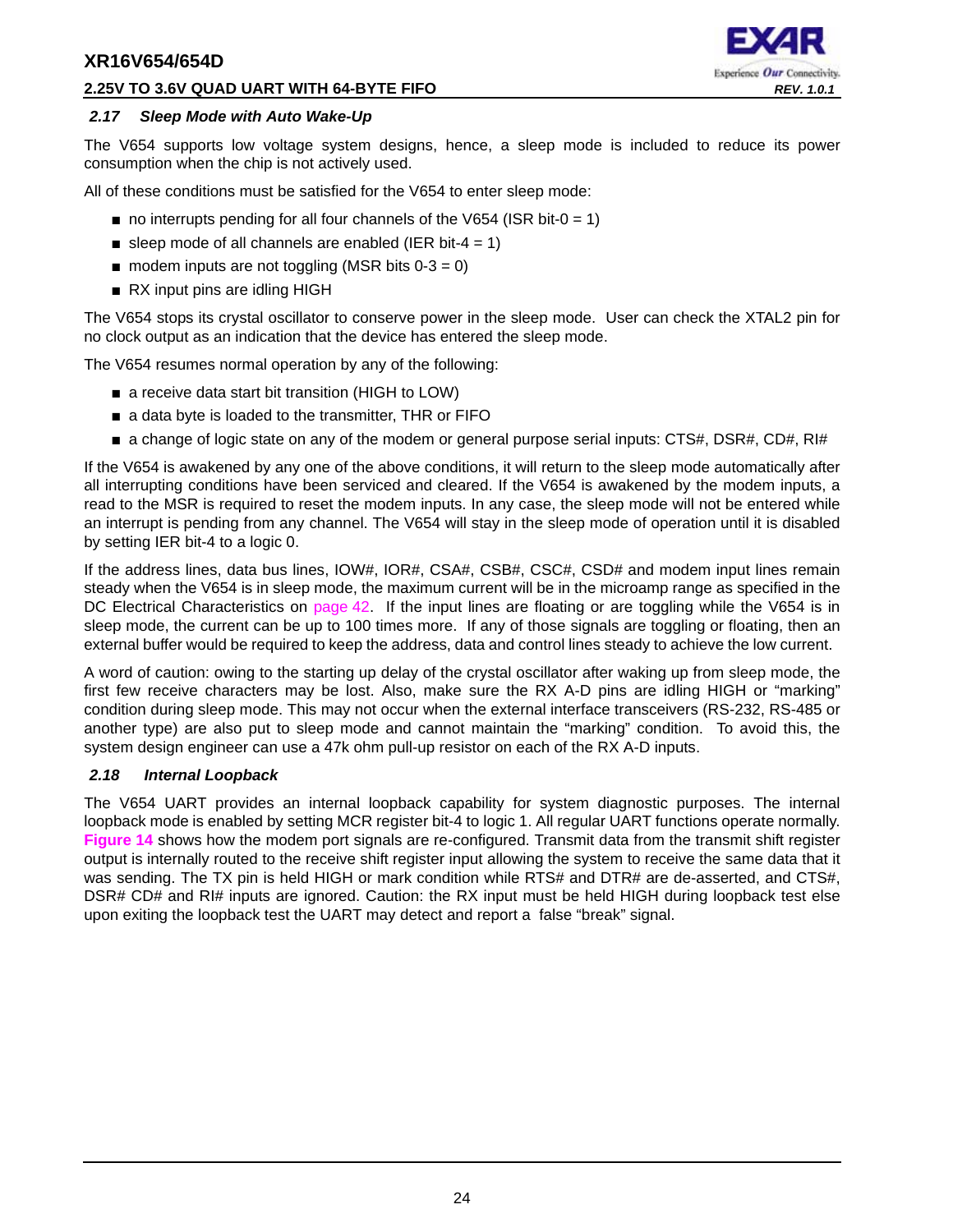#### **2.25V TO 3.6V QUAD UART WITH 64-BYTE FIFO** *REV. 1.0.1*

# Experience Our Connectivity.

#### <span id="page-23-0"></span>*2.17 Sleep Mode with Auto Wake-Up*

The V654 supports low voltage system designs, hence, a sleep mode is included to reduce its power consumption when the chip is not actively used.

All of these conditions must be satisfied for the V654 to enter sleep mode:

- $\blacksquare$  no interrupts pending for all four channels of the V654 (ISR bit-0 = 1)
- sleep mode of all channels are enabled (IER bit-4 = 1)
- $\blacksquare$  modem inputs are not toggling (MSR bits 0-3 = 0)
- RX input pins are idling HIGH

The V654 stops its crystal oscillator to conserve power in the sleep mode. User can check the XTAL2 pin for no clock output as an indication that the device has entered the sleep mode.

The V654 resumes normal operation by any of the following:

- a receive data start bit transition (HIGH to LOW)
- a data byte is loaded to the transmitter, THR or FIFO
- a change of logic state on any of the modem or general purpose serial inputs: CTS#, DSR#, CD#, RI#

If the V654 is awakened by any one of the above conditions, it will return to the sleep mode automatically after all interrupting conditions have been serviced and cleared. If the V654 is awakened by the modem inputs, a read to the MSR is required to reset the modem inputs. In any case, the sleep mode will not be entered while an interrupt is pending from any channel. The V654 will stay in the sleep mode of operation until it is disabled by setting IER bit-4 to a logic 0.

If the address lines, data bus lines, IOW#, IOR#, CSA#, CSB#, CSC#, CSD# and modem input lines remain steady when the V654 is in sleep mode, the maximum current will be in the microamp range as specified in the DC Electrical Characteristics on [page](#page-41-0) 42. If the input lines are floating or are toggling while the V654 is in sleep mode, the current can be up to 100 times more. If any of those signals are toggling or floating, then an external buffer would be required to keep the address, data and control lines steady to achieve the low current.

A word of caution: owing to the starting up delay of the crystal oscillator after waking up from sleep mode, the first few receive characters may be lost. Also, make sure the RX A-D pins are idling HIGH or "marking" condition during sleep mode. This may not occur when the external interface transceivers (RS-232, RS-485 or another type) are also put to sleep mode and cannot maintain the "marking" condition. To avoid this, the system design engineer can use a 47k ohm pull-up resistor on each of the RX A-D inputs.

#### <span id="page-23-1"></span>*2.18 Internal Loopback*

The V654 UART provides an internal loopback capability for system diagnostic purposes. The internal loopback mode is enabled by setting MCR register bit-4 to logic 1. All regular UART functions operate normally. **[Figure](#page-24-0) 14** shows how the modem port signals are re-configured. Transmit data from the transmit shift register output is internally routed to the receive shift register input allowing the system to receive the same data that it was sending. The TX pin is held HIGH or mark condition while RTS# and DTR# are de-asserted, and CTS#, DSR# CD# and RI# inputs are ignored. Caution: the RX input must be held HIGH during loopback test else upon exiting the loopback test the UART may detect and report a false "break" signal.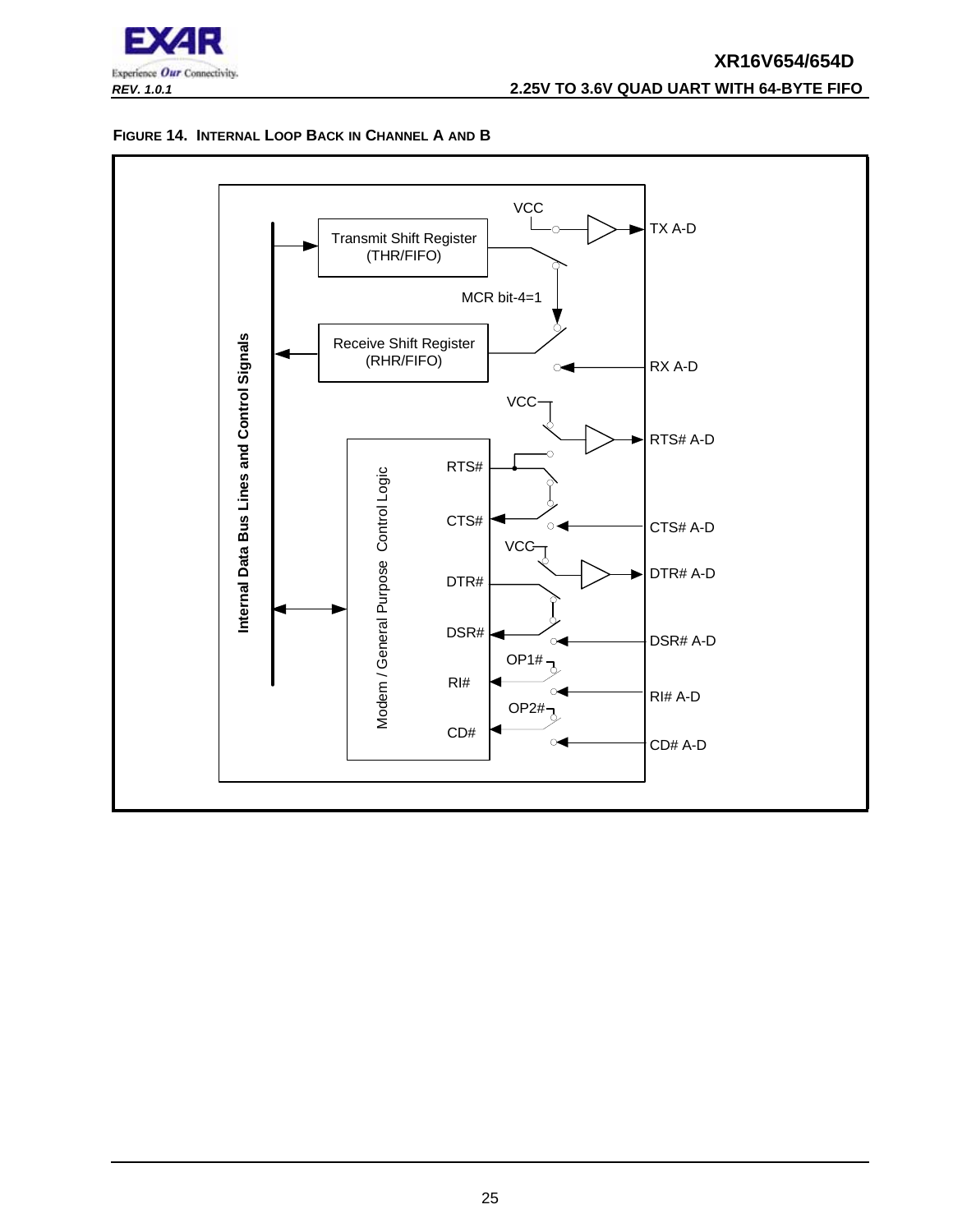

## **XR16V654/654D** *REV. 1.0.1* **2.25V TO 3.6V QUAD UART WITH 64-BYTE FIFO**

#### <span id="page-24-0"></span>**FIGURE 14. INTERNAL LOOP BACK IN CHANNEL A AND B**

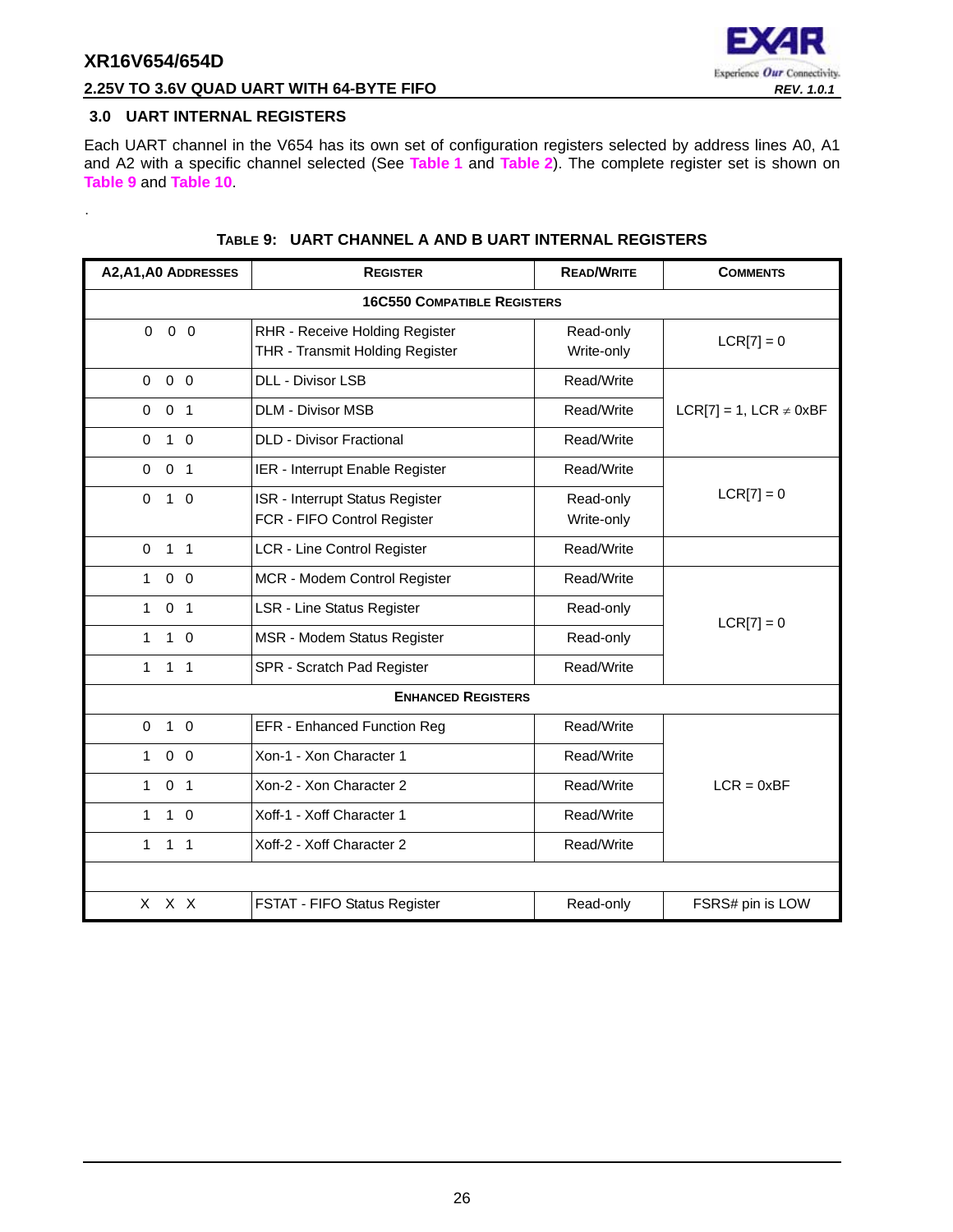<span id="page-25-1"></span>.



## **2.25V TO 3.6V QUAD UART WITH 64-BYTE FIFO** *REV. 1.0.1*

#### <span id="page-25-0"></span>**3.0 UART INTERNAL REGISTERS**

Each UART channel in the V654 has its own set of configuration registers selected by address lines A0, A1 and A2 with a specific channel selected (See **[Table](#page-12-0) 1** and **[Table](#page-12-1) 2**). The complete register set is shown on **[Table](#page-25-1) 9** and **[Table](#page-26-0) 10**.

| A2, A1, A0 ADDRESSES           | <b>REGISTER</b>                                                   | <b>READ/WRITE</b>       | <b>COMMENTS</b>                |
|--------------------------------|-------------------------------------------------------------------|-------------------------|--------------------------------|
|                                | <b>16C550 COMPATIBLE REGISTERS</b>                                |                         |                                |
| $0\quad 0\quad 0$              | RHR - Receive Holding Register<br>THR - Transmit Holding Register | Read-only<br>Write-only | $LCR[7] = 0$                   |
| $0\quad 0$<br>$\mathbf 0$      | <b>DLL - Divisor LSB</b>                                          | Read/Write              |                                |
| 0 <sub>1</sub><br>0            | <b>DLM - Divisor MSB</b>                                          | Read/Write              | $LCR[7] = 1$ , $LCR \neq 0xBF$ |
| $1\quad$ 0<br>$\mathbf 0$      | <b>DLD - Divisor Fractional</b>                                   | Read/Write              |                                |
| $\pmb{0}$<br>0 <sub>1</sub>    | IER - Interrupt Enable Register                                   | Read/Write              |                                |
| $\Omega$<br>$1\quad$ 0         | ISR - Interrupt Status Register<br>FCR - FIFO Control Register    | Read-only<br>Write-only | $LCR[7] = 0$                   |
| $\mathbf 0$<br>1 <sub>1</sub>  | <b>LCR - Line Control Register</b>                                | Read/Write              |                                |
| $0\quad 0$<br>$\mathbf{1}$     | MCR - Modem Control Register                                      | Read/Write              |                                |
| 0 <sub>1</sub><br>$\mathbf{1}$ | <b>LSR - Line Status Register</b>                                 | Read-only               | $LCR[7] = 0$                   |
| $1\quad 0$<br>1                | MSR - Modem Status Register                                       | Read-only               |                                |
| $\mathbf{1}$<br>$1 \quad 1$    | SPR - Scratch Pad Register                                        | Read/Write              |                                |
|                                | <b>ENHANCED REGISTERS</b>                                         |                         |                                |
| $\mathbf 0$<br>$1\quad 0$      | <b>EFR - Enhanced Function Reg</b>                                | Read/Write              |                                |
| $0\quad 0$<br>1                | Xon-1 - Xon Character 1                                           | Read/Write              |                                |
| 0 <sub>1</sub><br>$\mathbf{1}$ | Xon-2 - Xon Character 2                                           | Read/Write              | $LCR = 0xBF$                   |
| $1\quad 0$<br>$\mathbf{1}$     | Xoff-1 - Xoff Character 1                                         | Read/Write              |                                |
| 1<br>1 <sub>1</sub>            | Xoff-2 - Xoff Character 2                                         | Read/Write              |                                |
|                                |                                                                   |                         |                                |
| X X X                          | FSTAT - FIFO Status Register                                      | Read-only               | FSRS# pin is LOW               |

#### **TABLE 9: UART CHANNEL A AND B UART INTERNAL REGISTERS**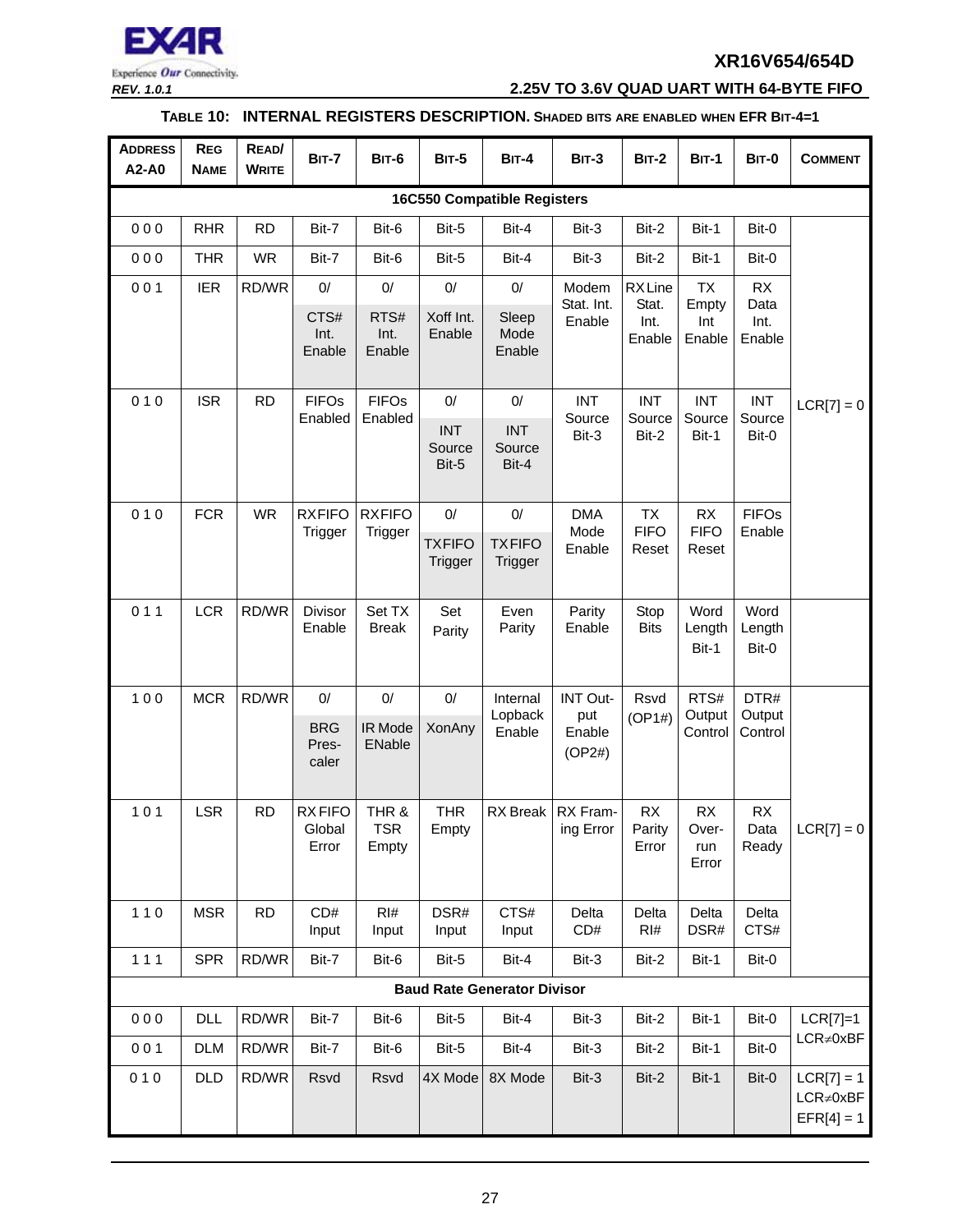

*REV. 1.0.1* **2.25V TO 3.6V QUAD UART WITH 64-BYTE FIFO**

## **TABLE 10: INTERNAL REGISTERS DESCRIPTION. SHADED BITS ARE ENABLED WHEN EFR BIT-4=1**

<span id="page-26-0"></span>

| <b>ADDRESS</b><br>A2-A0            | <b>REG</b><br><b>NAME</b> | READ/<br><b>WRITE</b> | <b>BIT-7</b>                       | <b>BIT-6</b>                 | <b>BIT-5</b>                     | <b>BIT-4</b>                            | <b>BIT-3</b>                               | <b>BIT-2</b>                      | <b>BIT-1</b>                      | BIT-0                     | <b>COMMENT</b>                                  |
|------------------------------------|---------------------------|-----------------------|------------------------------------|------------------------------|----------------------------------|-----------------------------------------|--------------------------------------------|-----------------------------------|-----------------------------------|---------------------------|-------------------------------------------------|
| <b>16C550 Compatible Registers</b> |                           |                       |                                    |                              |                                  |                                         |                                            |                                   |                                   |                           |                                                 |
| 000                                | <b>RHR</b>                | <b>RD</b>             | Bit-7                              | Bit-6                        | Bit-5                            | Bit-4                                   | Bit-3                                      | Bit-2                             | Bit-1                             | Bit-0                     |                                                 |
| 000                                | <b>THR</b>                | <b>WR</b>             | Bit-7                              | Bit-6                        | Bit-5                            | Bit-4                                   | Bit-3                                      | Bit-2                             | Bit-1                             | Bit-0                     |                                                 |
| 001                                | <b>IER</b>                | RD/WR                 | $0/$                               | $0/$                         | $0/$                             | $0/$                                    | Modem                                      | <b>RXLine</b>                     | <b>TX</b>                         | <b>RX</b>                 |                                                 |
|                                    |                           |                       | CTS#<br>Int.<br>Enable             | RTS#<br>Int.<br>Enable       | Xoff Int.<br>Enable              | Sleep<br>Mode<br>Enable                 | Stat. Int.<br>Enable                       | Stat.<br>Int.<br>Enable           | Empty<br>Int<br>Enable            | Data<br>Int.<br>Enable    |                                                 |
| 010                                | <b>ISR</b>                | <b>RD</b>             | <b>FIFOs</b>                       | <b>FIFOs</b>                 | 0/                               | $0/$                                    | <b>INT</b>                                 | <b>INT</b>                        | <b>INT</b>                        | <b>INT</b>                | $LCR[7] = 0$                                    |
|                                    |                           |                       | Enabled                            | Enabled                      | <b>INT</b><br>Source<br>Bit-5    | <b>INT</b><br>Source<br>Bit-4           | Source<br>Bit-3                            | Source<br>Bit-2                   | Source<br>Bit-1                   | Source<br>Bit-0           |                                                 |
| 010                                | <b>FCR</b>                | <b>WR</b>             | <b>RXFIFO</b><br>Trigger           | <b>RXFIFO</b><br>Trigger     | $0/$<br><b>TXFIFO</b><br>Trigger | $0/$<br><b>TXFIFO</b><br><b>Trigger</b> | <b>DMA</b><br>Mode<br>Enable               | <b>TX</b><br><b>FIFO</b><br>Reset | <b>RX</b><br><b>FIFO</b><br>Reset | <b>FIFOs</b><br>Enable    |                                                 |
| 011                                | <b>LCR</b>                | RD/WR                 | Divisor<br>Enable                  | Set TX<br><b>Break</b>       | Set<br>Parity                    | Even<br>Parity                          | Parity<br>Enable                           | Stop<br><b>Bits</b>               | Word<br>Length<br>Bit-1           | Word<br>Length<br>Bit-0   |                                                 |
| 100                                | <b>MCR</b>                | RD/WR                 | 0/<br><b>BRG</b><br>Pres-<br>caler | $0/$<br>IR Mode<br>ENable    | $0/$<br>XonAny                   | Internal<br>Lopback<br>Enable           | <b>INT Out-</b><br>put<br>Enable<br>(OP2#) | Rsvd<br>(OP1#)                    | RTS#<br>Output<br>Control         | DTR#<br>Output<br>Control |                                                 |
| 101                                | <b>LSR</b>                | <b>RD</b>             | <b>RXFIFO</b><br>Global<br>Error   | THR &<br><b>TSR</b><br>Empty | <b>THR</b><br>Empty              | RX Break                                | RX Fram-<br>ing Error                      | RX<br>Parity<br>Error             | RX<br>Over-<br>run<br>Error       | RX<br>Data<br>Ready       | $LCR[7] = 0$                                    |
| $110$                              | <b>MSR</b>                | <b>RD</b>             | CD#<br>Input                       | RI#<br>Input                 | DSR#<br>Input                    | CTS#<br>Input                           | Delta<br>CD#                               | Delta<br>RI#                      | Delta<br>DSR#                     | Delta<br>CTS#             |                                                 |
| $111$                              | <b>SPR</b>                | RD/WR                 | Bit-7                              | Bit-6                        | Bit-5                            | Bit-4                                   | Bit-3                                      | Bit-2                             | Bit-1                             | Bit-0                     |                                                 |
|                                    |                           |                       |                                    |                              |                                  | <b>Baud Rate Generator Divisor</b>      |                                            |                                   |                                   |                           |                                                 |
| 000                                | <b>DLL</b>                | RD/WR                 | Bit-7                              | Bit-6                        | Bit-5                            | Bit-4                                   | Bit-3                                      | Bit-2                             | Bit-1                             | Bit-0                     | $LCR[7]=1$                                      |
| 001                                | <b>DLM</b>                | RD/WR                 | Bit-7                              | Bit-6                        | Bit-5                            | Bit-4                                   | Bit-3                                      | Bit-2                             | Bit-1                             | Bit-0                     | LCR≠0xBF                                        |
| 010                                | <b>DLD</b>                | RD/WR                 | Rsvd                               | Rsvd                         | 4X Mode                          | 8X Mode                                 | Bit-3                                      | Bit-2                             | Bit-1                             | Bit-0                     | $LCR[7] = 1$<br>$LCR \neq 0xBF$<br>$EFR[4] = 1$ |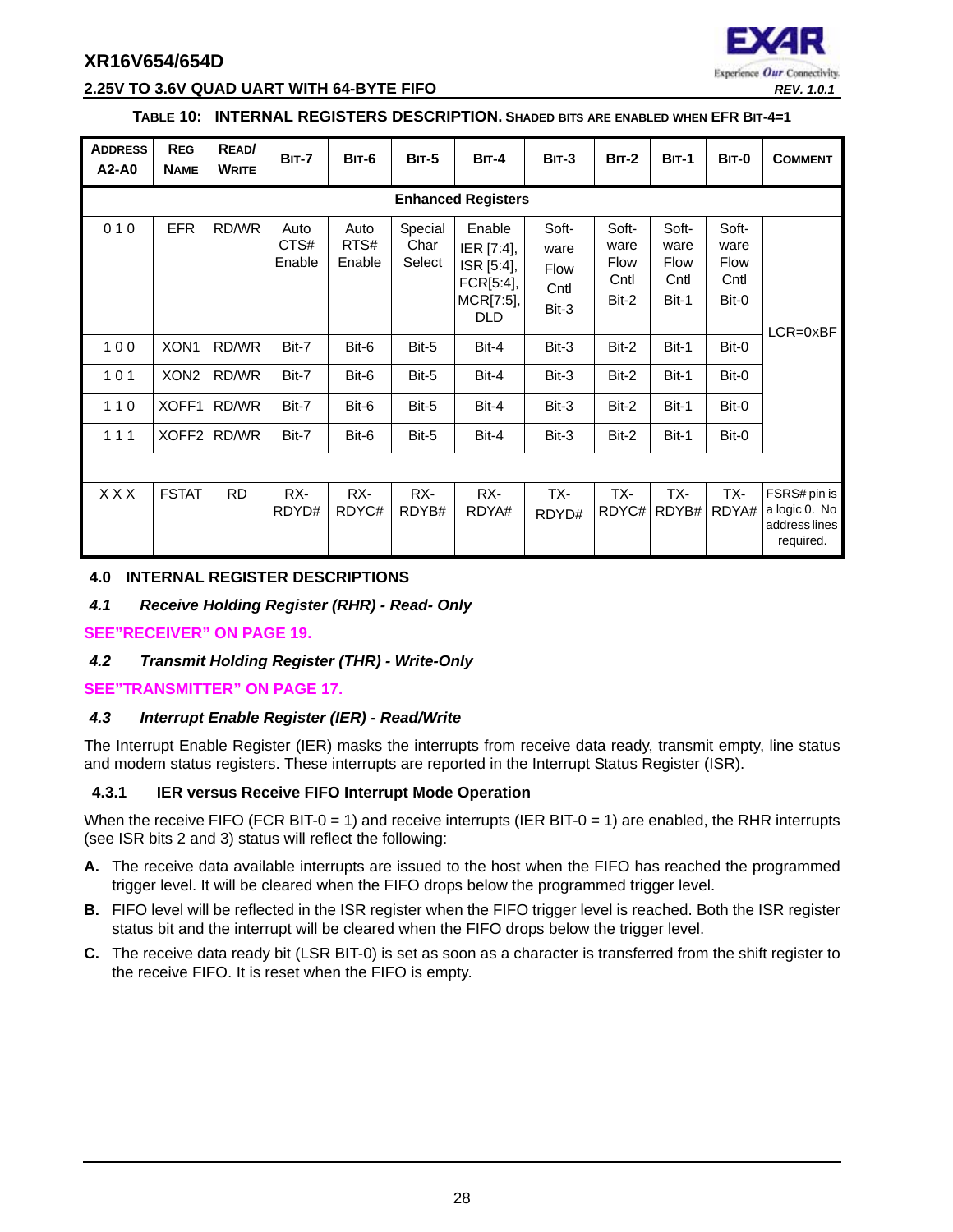

#### **2.25V TO 3.6V QUAD UART WITH 64-BYTE FIFO** *REV. 1.0.1*

#### **TABLE 10: INTERNAL REGISTERS DESCRIPTION. SHADED BITS ARE ENABLED WHEN EFR BIT-4=1**

| <b>ADDRESS</b><br>A2-A0 | <b>REG</b><br><b>NAME</b> | READ/<br><b>WRITE</b> | <b>BIT-7</b>           | <b>BIT-6</b>           | <b>BIT-5</b>              | $BIT-4$                                                                    | <b>BIT-3</b>                           | $BIT-2$                                | <b>BIT-1</b>                                  | BIT-0                                  | <b>COMMENT</b>                                              |
|-------------------------|---------------------------|-----------------------|------------------------|------------------------|---------------------------|----------------------------------------------------------------------------|----------------------------------------|----------------------------------------|-----------------------------------------------|----------------------------------------|-------------------------------------------------------------|
|                         |                           |                       |                        |                        |                           | <b>Enhanced Registers</b>                                                  |                                        |                                        |                                               |                                        |                                                             |
| 010                     | <b>EFR</b>                | RD/WR                 | Auto<br>CTS#<br>Enable | Auto<br>RTS#<br>Enable | Special<br>Char<br>Select | Enable<br>IER [7:4],<br>ISR [5:4],<br>FCR[5:4],<br>MCR[7:5],<br><b>DLD</b> | Soft-<br>ware<br>Flow<br>Cntl<br>Bit-3 | Soft-<br>ware<br>Flow<br>Cntl<br>Bit-2 | Soft-<br>ware<br><b>Flow</b><br>Cntl<br>Bit-1 | Soft-<br>ware<br>Flow<br>Cntl<br>Bit-0 | $LCR = 0 \times BF$                                         |
| 100                     | XON <sub>1</sub>          | RD/WR                 | Bit-7                  | Bit-6                  | Bit-5                     | Bit-4                                                                      | Bit-3                                  | Bit-2                                  | Bit-1                                         | Bit-0                                  |                                                             |
| 101                     | XON <sub>2</sub>          | RD/WR                 | Bit-7                  | Bit-6                  | Bit-5                     | Bit-4                                                                      | Bit-3                                  | Bit-2                                  | Bit-1                                         | Bit-0                                  |                                                             |
| 110                     | XOFF1                     | RD/WR                 | Bit-7                  | Bit-6                  | Bit-5                     | Bit-4                                                                      | Bit-3                                  | Bit-2                                  | Bit-1                                         | Bit-0                                  |                                                             |
| 111                     | XOFF <sub>2</sub>         | RD/WR                 | Bit-7                  | Bit-6                  | Bit-5                     | Bit-4                                                                      | Bit-3                                  | Bit-2                                  | Bit-1                                         | Bit-0                                  |                                                             |
|                         |                           |                       |                        |                        |                           |                                                                            |                                        |                                        |                                               |                                        |                                                             |
| X X X                   | <b>FSTAT</b>              | <b>RD</b>             | RX-<br>RDYD#           | RX-<br>RDYC#           | RX-<br>RDYB#              | RX-<br>RDYA#                                                               | TX-<br>RDYD#                           | TX-                                    | TX-<br>RDYC# RDYB#                            | TX-<br>RDYA#                           | FSRS# pin is<br>a logic 0. No<br>address lines<br>required. |

#### <span id="page-27-0"></span>**4.0 INTERNAL REGISTER DESCRIPTIONS**

#### <span id="page-27-1"></span>*4.1 Receive Holding Register (RHR) - Read- Only*

#### **[SEE"RECEIVER" ON PAGE](#page-18-1) 19.**

#### <span id="page-27-2"></span>*4.2 Transmit Holding Register (THR) - Write-Only*

#### **[SEE"TRANSMITTER" ON PAGE](#page-16-1) 17.**

#### <span id="page-27-3"></span>*4.3 Interrupt Enable Register (IER) - Read/Write*

The Interrupt Enable Register (IER) masks the interrupts from receive data ready, transmit empty, line status and modem status registers. These interrupts are reported in the Interrupt Status Register (ISR).

#### <span id="page-27-4"></span>**4.3.1 IER versus Receive FIFO Interrupt Mode Operation**

When the receive FIFO (FCR BIT-0 = 1) and receive interrupts (IER BIT-0 = 1) are enabled, the RHR interrupts (see ISR bits 2 and 3) status will reflect the following:

- **A.** The receive data available interrupts are issued to the host when the FIFO has reached the programmed trigger level. It will be cleared when the FIFO drops below the programmed trigger level.
- **B.** FIFO level will be reflected in the ISR register when the FIFO trigger level is reached. Both the ISR register status bit and the interrupt will be cleared when the FIFO drops below the trigger level.
- **C.** The receive data ready bit (LSR BIT-0) is set as soon as a character is transferred from the shift register to the receive FIFO. It is reset when the FIFO is empty.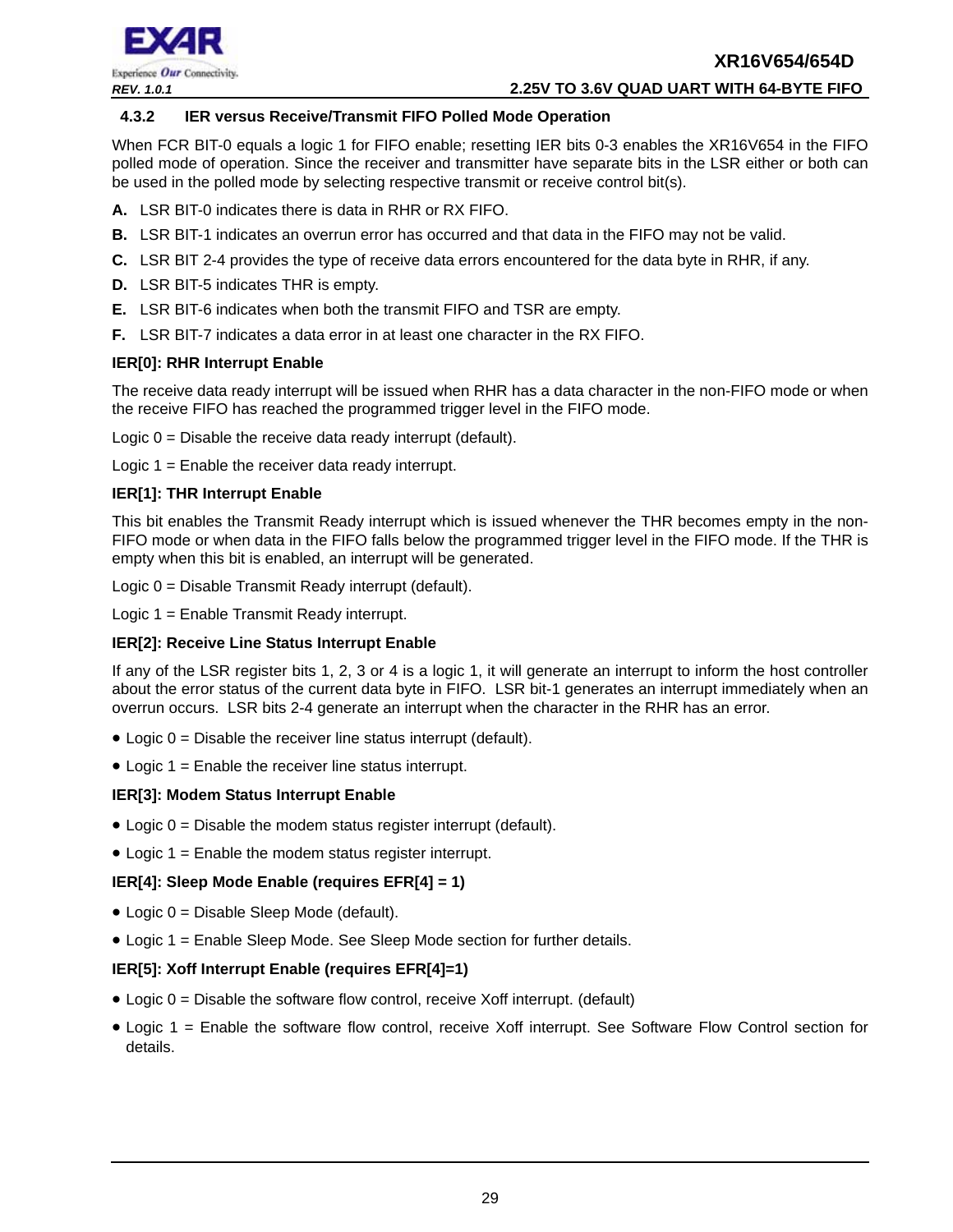

#### *REV. 1.0.1* **2.25V TO 3.6V QUAD UART WITH 64-BYTE FIFO**

#### <span id="page-28-0"></span>**4.3.2 IER versus Receive/Transmit FIFO Polled Mode Operation**

When FCR BIT-0 equals a logic 1 for FIFO enable; resetting IER bits 0-3 enables the XR16V654 in the FIFO polled mode of operation. Since the receiver and transmitter have separate bits in the LSR either or both can be used in the polled mode by selecting respective transmit or receive control bit(s).

- **A.** LSR BIT-0 indicates there is data in RHR or RX FIFO.
- **B.** LSR BIT-1 indicates an overrun error has occurred and that data in the FIFO may not be valid.
- **C.** LSR BIT 2-4 provides the type of receive data errors encountered for the data byte in RHR, if any.
- **D.** LSR BIT-5 indicates THR is empty.
- **E.** LSR BIT-6 indicates when both the transmit FIFO and TSR are empty.
- **F.** LSR BIT-7 indicates a data error in at least one character in the RX FIFO.

#### **IER[0]: RHR Interrupt Enable**

The receive data ready interrupt will be issued when RHR has a data character in the non-FIFO mode or when the receive FIFO has reached the programmed trigger level in the FIFO mode.

Logic  $0 =$  Disable the receive data ready interrupt (default).

Logic 1 = Enable the receiver data ready interrupt.

#### **IER[1]: THR Interrupt Enable**

This bit enables the Transmit Ready interrupt which is issued whenever the THR becomes empty in the non-FIFO mode or when data in the FIFO falls below the programmed trigger level in the FIFO mode. If the THR is empty when this bit is enabled, an interrupt will be generated.

Logic 0 = Disable Transmit Ready interrupt (default).

Logic 1 = Enable Transmit Ready interrupt.

#### **IER[2]: Receive Line Status Interrupt Enable**

If any of the LSR register bits 1, 2, 3 or 4 is a logic 1, it will generate an interrupt to inform the host controller about the error status of the current data byte in FIFO. LSR bit-1 generates an interrupt immediately when an overrun occurs. LSR bits 2-4 generate an interrupt when the character in the RHR has an error.

- $\bullet$  Logic  $0 =$  Disable the receiver line status interrupt (default).
- Logic 1 = Enable the receiver line status interrupt.

#### **IER[3]: Modem Status Interrupt Enable**

- Logic  $0 =$  Disable the modem status register interrupt (default).
- Logic  $1 =$  Enable the modem status register interrupt.

#### **IER[4]: Sleep Mode Enable (requires EFR[4] = 1)**

- Logic 0 = Disable Sleep Mode (default).
- Logic 1 = Enable Sleep Mode. See Sleep Mode section for further details.

#### **IER[5]: Xoff Interrupt Enable (requires EFR[4]=1)**

- $\bullet$  Logic  $0 =$  Disable the software flow control, receive Xoff interrupt. (default)
- Logic 1 = Enable the software flow control, receive Xoff interrupt. See Software Flow Control section for details.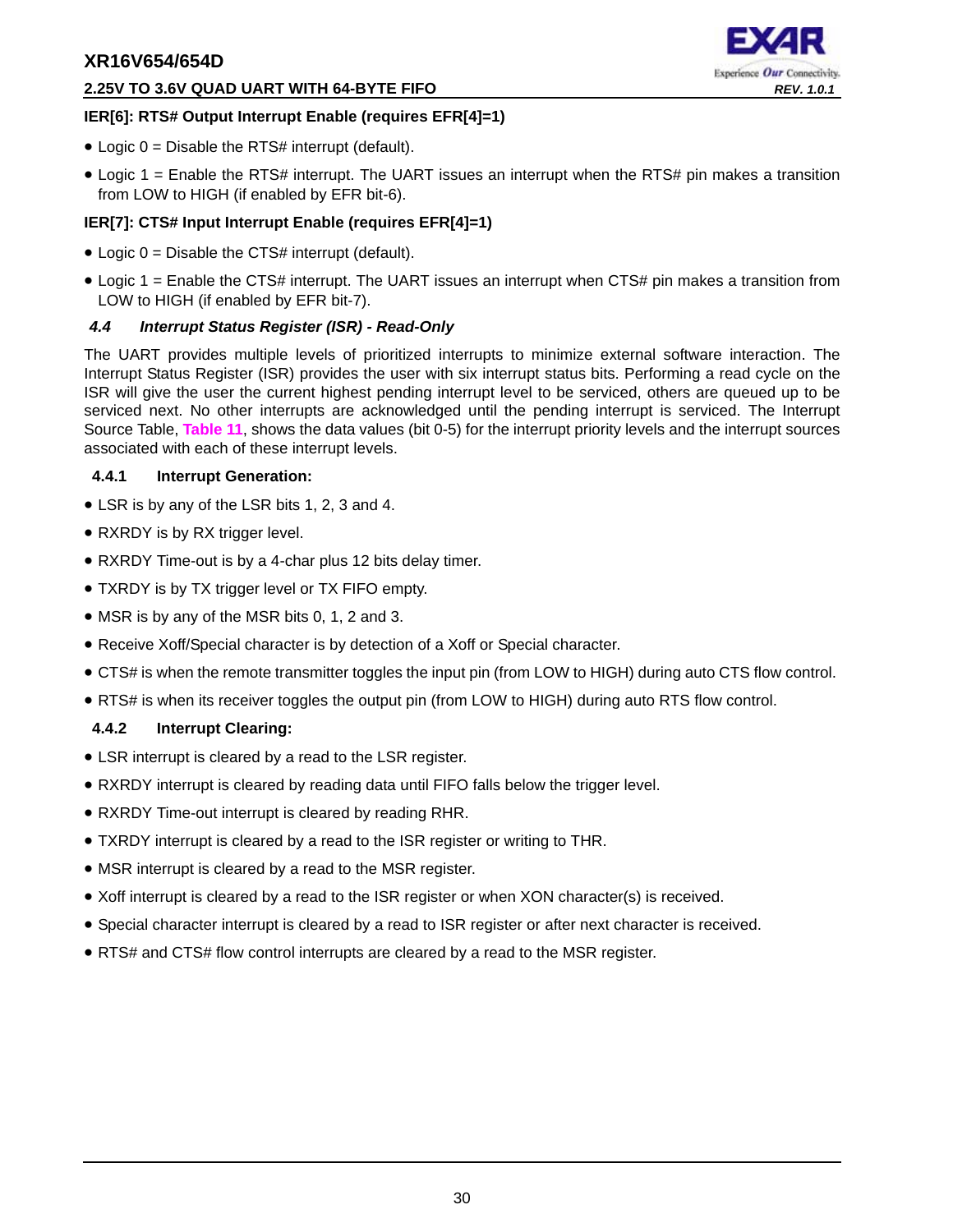#### **2.25V TO 3.6V QUAD UART WITH 64-BYTE FIFO** *REV. 1.0.1*



#### **IER[6]: RTS# Output Interrupt Enable (requires EFR[4]=1)**

- $\bullet$  Logic 0 = Disable the RTS# interrupt (default).
- Logic 1 = Enable the RTS# interrupt. The UART issues an interrupt when the RTS# pin makes a transition from LOW to HIGH (if enabled by EFR bit-6).

## **IER[7]: CTS# Input Interrupt Enable (requires EFR[4]=1)**

- $\bullet$  Logic 0 = Disable the CTS# interrupt (default).
- Logic 1 = Enable the CTS# interrupt. The UART issues an interrupt when CTS# pin makes a transition from LOW to HIGH (if enabled by EFR bit-7).

## <span id="page-29-0"></span>*4.4 Interrupt Status Register (ISR) - Read-Only*

The UART provides multiple levels of prioritized interrupts to minimize external software interaction. The Interrupt Status Register (ISR) provides the user with six interrupt status bits. Performing a read cycle on the ISR will give the user the current highest pending interrupt level to be serviced, others are queued up to be serviced next. No other interrupts are acknowledged until the pending interrupt is serviced. The Interrupt Source Table, **[Table](#page-30-0) 11**, shows the data values (bit 0-5) for the interrupt priority levels and the interrupt sources associated with each of these interrupt levels.

#### <span id="page-29-1"></span>**4.4.1 Interrupt Generation:**

- LSR is by any of the LSR bits 1, 2, 3 and 4.
- RXRDY is by RX trigger level.
- RXRDY Time-out is by a 4-char plus 12 bits delay timer.
- TXRDY is by TX trigger level or TX FIFO empty.
- MSR is by any of the MSR bits 0, 1, 2 and 3.
- Receive Xoff/Special character is by detection of a Xoff or Special character.
- CTS# is when the remote transmitter toggles the input pin (from LOW to HIGH) during auto CTS flow control.
- RTS# is when its receiver toggles the output pin (from LOW to HIGH) during auto RTS flow control.

## <span id="page-29-2"></span>**4.4.2 Interrupt Clearing:**

- LSR interrupt is cleared by a read to the LSR register.
- RXRDY interrupt is cleared by reading data until FIFO falls below the trigger level.
- RXRDY Time-out interrupt is cleared by reading RHR.
- TXRDY interrupt is cleared by a read to the ISR register or writing to THR.
- MSR interrupt is cleared by a read to the MSR register.
- Xoff interrupt is cleared by a read to the ISR register or when XON character(s) is received.
- Special character interrupt is cleared by a read to ISR register or after next character is received.
- RTS# and CTS# flow control interrupts are cleared by a read to the MSR register.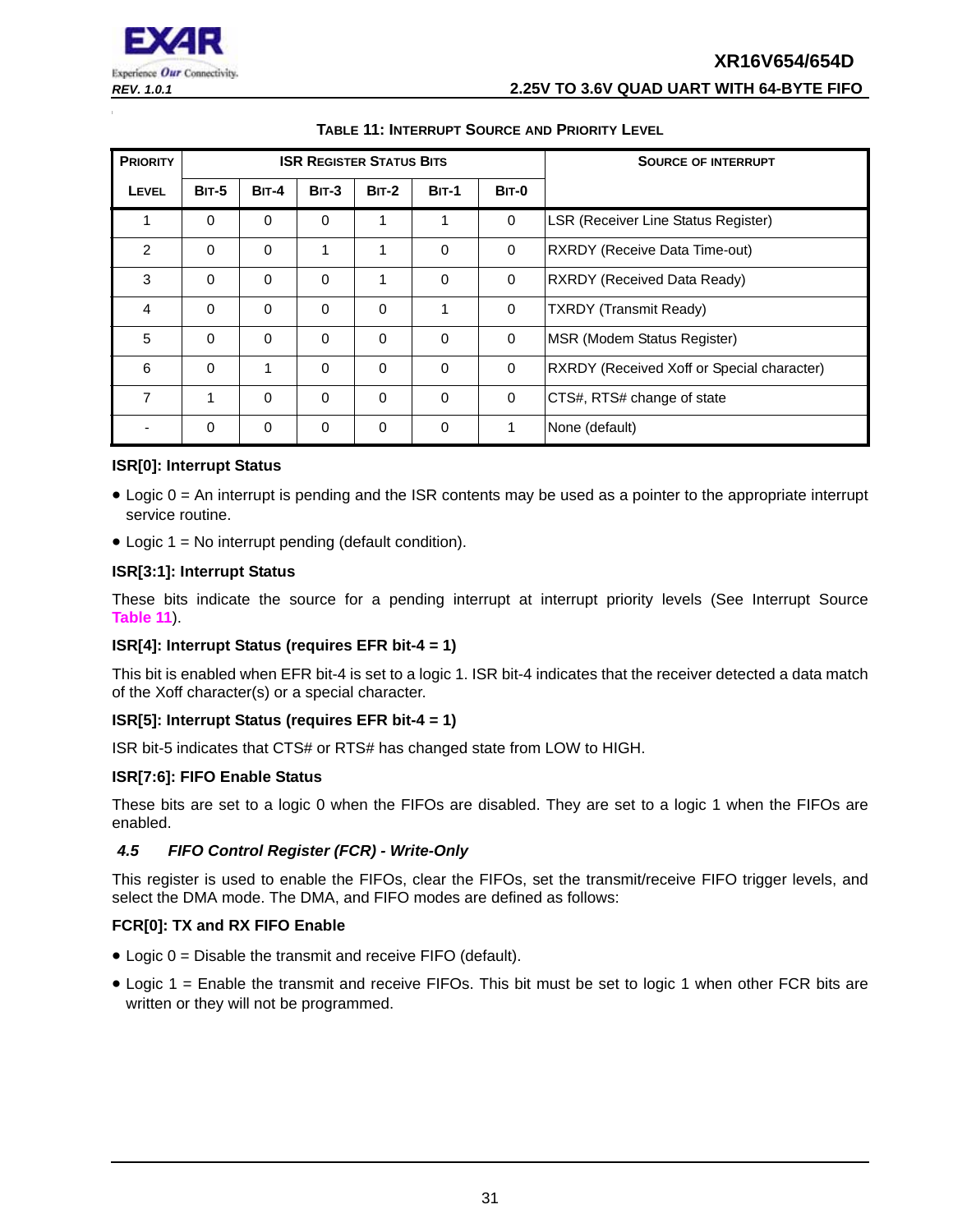

## **TABLE 11: INTERRUPT SOURCE AND PRIORITY LEVEL**

<span id="page-30-0"></span>

| <b>PRIORITY</b> |              |              |          | <b>ISR REGISTER STATUS BITS</b> |              | <b>SOURCE OF INTERRUPT</b> |                                                   |
|-----------------|--------------|--------------|----------|---------------------------------|--------------|----------------------------|---------------------------------------------------|
| <b>LEVEL</b>    | <b>BIT-5</b> | <b>BIT-4</b> | $BIT-3$  | $BIT-2$                         | <b>BIT-1</b> | BIT-0                      |                                                   |
| 1               | $\Omega$     | $\Omega$     | $\Omega$ | 1                               | 1            | $\mathbf 0$                | LSR (Receiver Line Status Register)               |
| 2               | $\Omega$     | $\Omega$     | 1        | 1                               | $\Omega$     | $\mathbf 0$                | RXRDY (Receive Data Time-out)                     |
| 3               | $\Omega$     | $\Omega$     | $\Omega$ | 1                               | $\Omega$     | $\mathbf 0$                | RXRDY (Received Data Ready)                       |
| 4               | $\Omega$     | $\Omega$     | $\Omega$ | $\Omega$                        | 1            | $\mathbf 0$                | <b>TXRDY</b> (Transmit Ready)                     |
| 5               | $\Omega$     | $\Omega$     | $\Omega$ | $\Omega$                        | $\Omega$     | $\Omega$                   | MSR (Modem Status Register)                       |
| 6               | $\Omega$     | 1            | $\Omega$ | $\Omega$                        | $\Omega$     | $\mathbf 0$                | <b>RXRDY</b> (Received Xoff or Special character) |
| $\overline{7}$  | 1            | $\Omega$     | $\Omega$ | $\Omega$                        | $\Omega$     | $\mathbf 0$                | CTS#, RTS# change of state                        |
|                 | $\Omega$     | $\mathbf 0$  | $\Omega$ | $\Omega$                        | $\Omega$     | 1                          | None (default)                                    |

#### **ISR[0]: Interrupt Status**

- Logic 0 = An interrupt is pending and the ISR contents may be used as a pointer to the appropriate interrupt service routine.
- Logic 1 = No interrupt pending (default condition).

#### **ISR[3:1]: Interrupt Status**

These bits indicate the source for a pending interrupt at interrupt priority levels (See Interrupt Source **[Table](#page-30-0) 11**).

#### **ISR[4]: Interrupt Status (requires EFR bit-4 = 1)**

This bit is enabled when EFR bit-4 is set to a logic 1. ISR bit-4 indicates that the receiver detected a data match of the Xoff character(s) or a special character.

#### **ISR[5]: Interrupt Status (requires EFR bit-4 = 1)**

ISR bit-5 indicates that CTS# or RTS# has changed state from LOW to HIGH.

#### **ISR[7:6]: FIFO Enable Status**

These bits are set to a logic 0 when the FIFOs are disabled. They are set to a logic 1 when the FIFOs are enabled.

#### <span id="page-30-1"></span>*4.5 FIFO Control Register (FCR) - Write-Only*

This register is used to enable the FIFOs, clear the FIFOs, set the transmit/receive FIFO trigger levels, and select the DMA mode. The DMA, and FIFO modes are defined as follows:

#### **FCR[0]: TX and RX FIFO Enable**

- Logic 0 = Disable the transmit and receive FIFO (default).
- Logic 1 = Enable the transmit and receive FIFOs. This bit must be set to logic 1 when other FCR bits are written or they will not be programmed.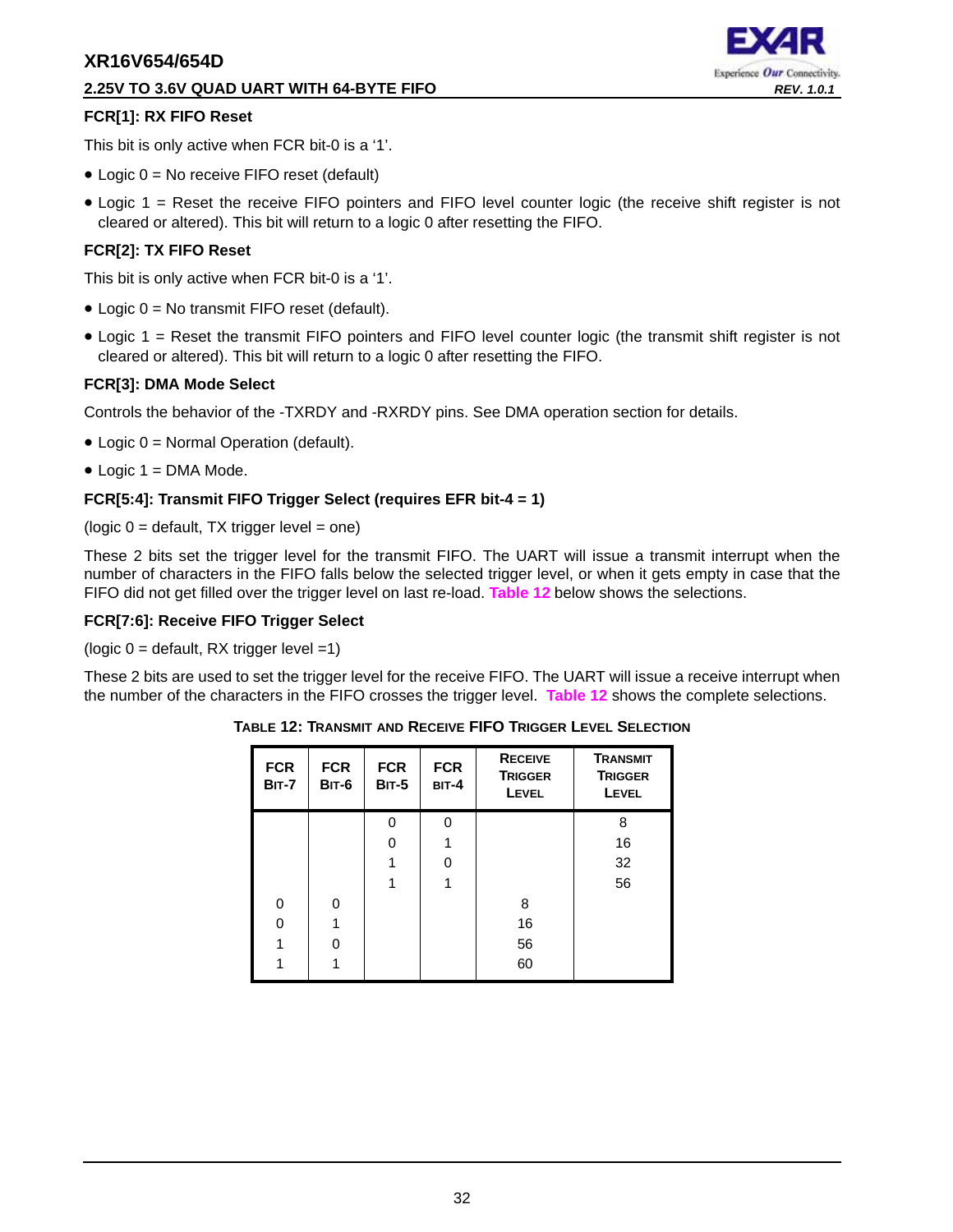#### **2.25V TO 3.6V QUAD UART WITH 64-BYTE FIFO** *REV. 1.0.1*



#### **FCR[1]: RX FIFO Reset**

This bit is only active when FCR bit-0 is a '1'.

- Logic 0 = No receive FIFO reset (default)
- Logic 1 = Reset the receive FIFO pointers and FIFO level counter logic (the receive shift register is not cleared or altered). This bit will return to a logic 0 after resetting the FIFO.

#### **FCR[2]: TX FIFO Reset**

This bit is only active when FCR bit-0 is a '1'.

- Logic 0 = No transmit FIFO reset (default).
- Logic 1 = Reset the transmit FIFO pointers and FIFO level counter logic (the transmit shift register is not cleared or altered). This bit will return to a logic 0 after resetting the FIFO.

#### **FCR[3]: DMA Mode Select**

Controls the behavior of the -TXRDY and -RXRDY pins. See DMA operation section for details.

- Logic 0 = Normal Operation (default).
- $\bullet$  Logic 1 = DMA Mode.

#### **FCR[5:4]: Transmit FIFO Trigger Select (requires EFR bit-4 = 1)**

 $(logic 0 = default, TX trigger level = one)$ 

These 2 bits set the trigger level for the transmit FIFO. The UART will issue a transmit interrupt when the number of characters in the FIFO falls below the selected trigger level, or when it gets empty in case that the FIFO did not get filled over the trigger level on last re-load. **[Table](#page-31-0) 12** below shows the selections.

#### **FCR[7:6]: Receive FIFO Trigger Select**

( $logic 0 =$  default, RX trigger level =1)

<span id="page-31-0"></span>These 2 bits are used to set the trigger level for the receive FIFO. The UART will issue a receive interrupt when the number of the characters in the FIFO crosses the trigger level. **[Table](#page-31-0) 12** shows the complete selections.

| <b>FCR</b><br><b>BIT-7</b> | <b>FCR</b><br>BIT-6 | <b>FCR</b><br><b>BIT-5</b> | <b>FCR</b><br>$BIT-4$ | <b>RECEIVE</b><br><b>TRIGGER</b><br><b>LEVEL</b> | <b>TRANSMIT</b><br><b>TRIGGER</b><br>LEVEL |
|----------------------------|---------------------|----------------------------|-----------------------|--------------------------------------------------|--------------------------------------------|
|                            |                     | $\Omega$                   | 0                     |                                                  | 8                                          |
|                            |                     | O                          |                       |                                                  | 16                                         |
|                            |                     |                            | O                     |                                                  | 32                                         |
|                            |                     |                            |                       |                                                  | 56                                         |
| $\Omega$                   | 0                   |                            |                       | 8                                                |                                            |
| O                          |                     |                            |                       | 16                                               |                                            |
|                            | U                   |                            |                       | 56                                               |                                            |
|                            |                     |                            |                       | 60                                               |                                            |

**TABLE 12: TRANSMIT AND RECEIVE FIFO TRIGGER LEVEL SELECTION**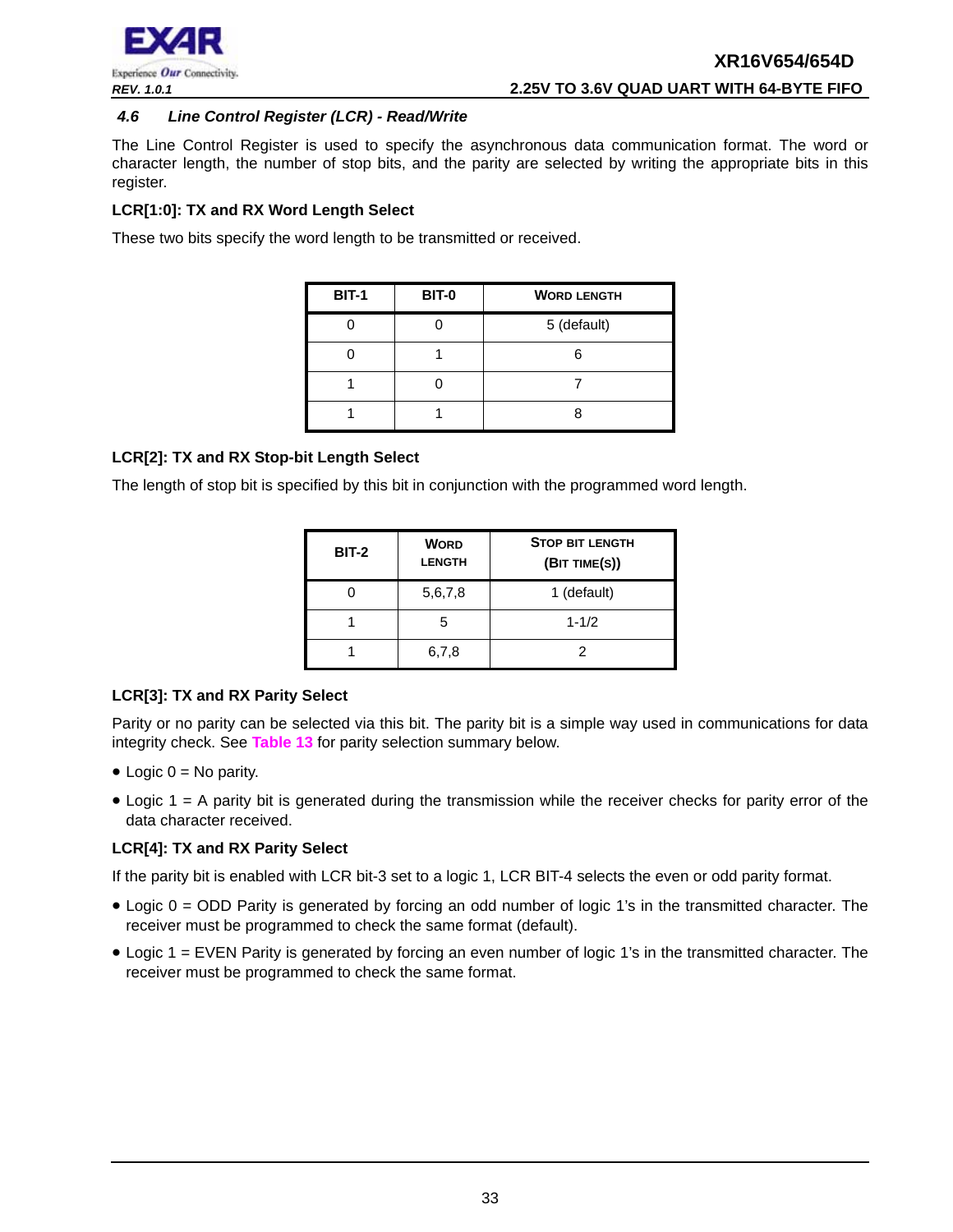

#### <span id="page-32-0"></span>*4.6 Line Control Register (LCR) - Read/Write*

The Line Control Register is used to specify the asynchronous data communication format. The word or character length, the number of stop bits, and the parity are selected by writing the appropriate bits in this register.

#### **LCR[1:0]: TX and RX Word Length Select**

These two bits specify the word length to be transmitted or received.

| <b>BIT-1</b> | <b>BIT-0</b> | <b>WORD LENGTH</b> |  |
|--------------|--------------|--------------------|--|
|              |              | 5 (default)        |  |
|              |              |                    |  |
|              |              |                    |  |
|              |              |                    |  |

#### **LCR[2]: TX and RX Stop-bit Length Select**

The length of stop bit is specified by this bit in conjunction with the programmed word length.

| <b>BIT-2</b> | <b>WORD</b><br><b>LENGTH</b> | <b>STOP BIT LENGTH</b><br>(BIT TIME(S)) |
|--------------|------------------------------|-----------------------------------------|
|              | 5,6,7,8                      | 1 (default)                             |
|              | 5                            | $1 - 1/2$                               |
|              | 6,7,8                        | 2                                       |

#### **LCR[3]: TX and RX Parity Select**

Parity or no parity can be selected via this bit. The parity bit is a simple way used in communications for data integrity check. See **[Table](#page-33-0) 13** for parity selection summary below.

- $\bullet$  Logic 0 = No parity.
- Logic 1 = A parity bit is generated during the transmission while the receiver checks for parity error of the data character received.

#### **LCR[4]: TX and RX Parity Select**

If the parity bit is enabled with LCR bit-3 set to a logic 1, LCR BIT-4 selects the even or odd parity format.

- Logic 0 = ODD Parity is generated by forcing an odd number of logic 1's in the transmitted character. The receiver must be programmed to check the same format (default).
- Logic 1 = EVEN Parity is generated by forcing an even number of logic 1's in the transmitted character. The receiver must be programmed to check the same format.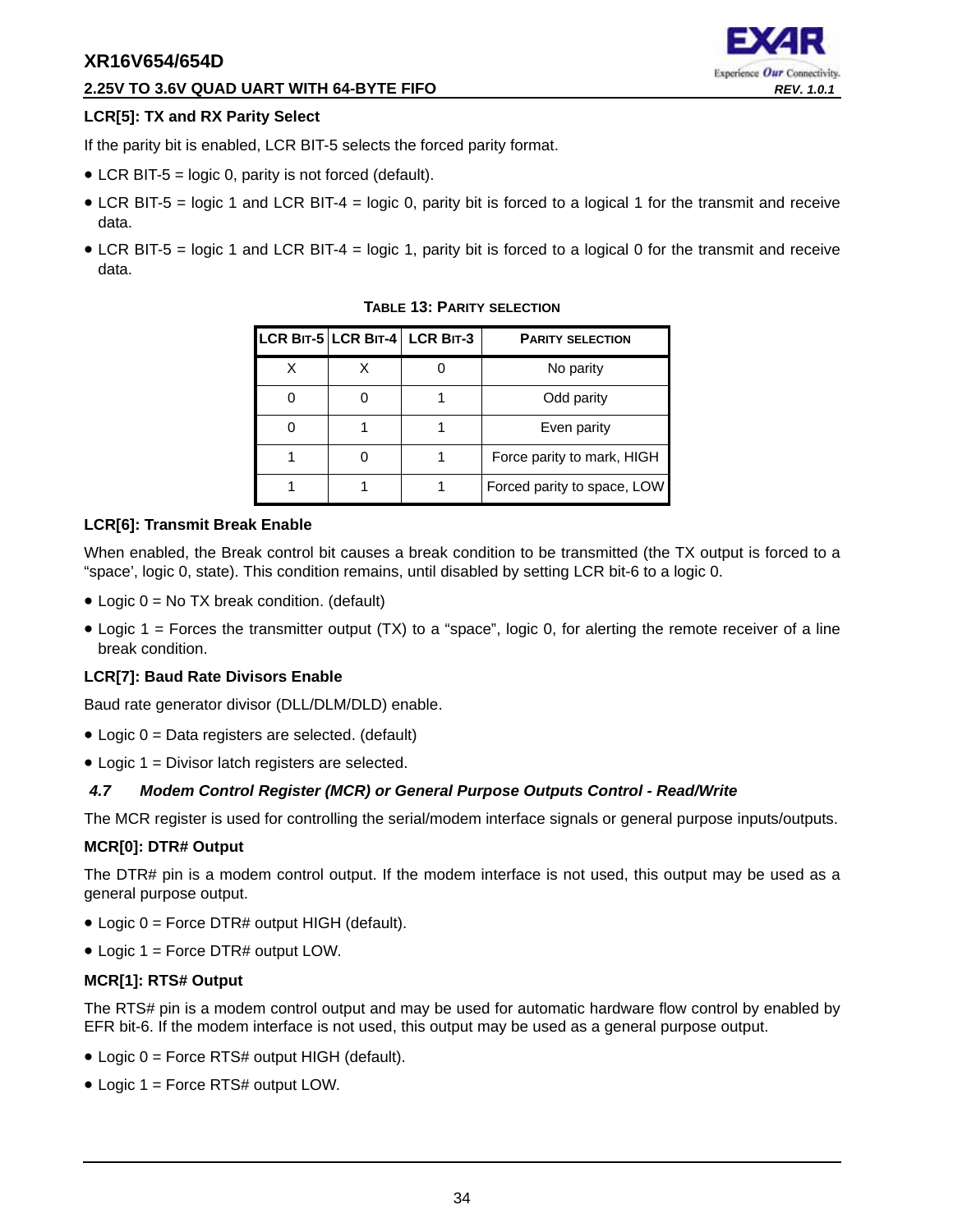#### **2.25V TO 3.6V QUAD UART WITH 64-BYTE FIFO** *REV. 1.0.1*

# Experience Our Connectivity.

#### **LCR[5]: TX and RX Parity Select**

If the parity bit is enabled, LCR BIT-5 selects the forced parity format.

- LCR BIT-5 = logic 0, parity is not forced (default).
- LCR BIT-5 = logic 1 and LCR BIT-4 = logic 0, parity bit is forced to a logical 1 for the transmit and receive data.
- <span id="page-33-0"></span>• LCR BIT-5 = logic 1 and LCR BIT-4 = logic 1, parity bit is forced to a logical 0 for the transmit and receive data.

|  | LCR BIT-5 LCR BIT-4 LCR BIT-3 | <b>PARITY SELECTION</b>     |
|--|-------------------------------|-----------------------------|
|  |                               | No parity                   |
|  |                               | Odd parity                  |
|  |                               | Even parity                 |
|  |                               | Force parity to mark, HIGH  |
|  |                               | Forced parity to space, LOW |

#### **TABLE 13: PARITY SELECTION**

#### **LCR[6]: Transmit Break Enable**

When enabled, the Break control bit causes a break condition to be transmitted (the TX output is forced to a "space', logic 0, state). This condition remains, until disabled by setting LCR bit-6 to a logic 0.

- Logic 0 = No TX break condition. (default)
- Logic  $1 =$  Forces the transmitter output (TX) to a "space", logic 0, for alerting the remote receiver of a line break condition.

#### **LCR[7]: Baud Rate Divisors Enable**

Baud rate generator divisor (DLL/DLM/DLD) enable.

- Logic 0 = Data registers are selected. (default)
- Logic 1 = Divisor latch registers are selected.

#### <span id="page-33-1"></span>*4.7 Modem Control Register (MCR) or General Purpose Outputs Control - Read/Write*

The MCR register is used for controlling the serial/modem interface signals or general purpose inputs/outputs.

#### **MCR[0]: DTR# Output**

The DTR# pin is a modem control output. If the modem interface is not used, this output may be used as a general purpose output.

- Logic 0 = Force DTR# output HIGH (default).
- Logic 1 = Force DTR# output LOW.

#### **MCR[1]: RTS# Output**

The RTS# pin is a modem control output and may be used for automatic hardware flow control by enabled by EFR bit-6. If the modem interface is not used, this output may be used as a general purpose output.

- Logic 0 = Force RTS# output HIGH (default).
- Logic 1 = Force RTS# output LOW.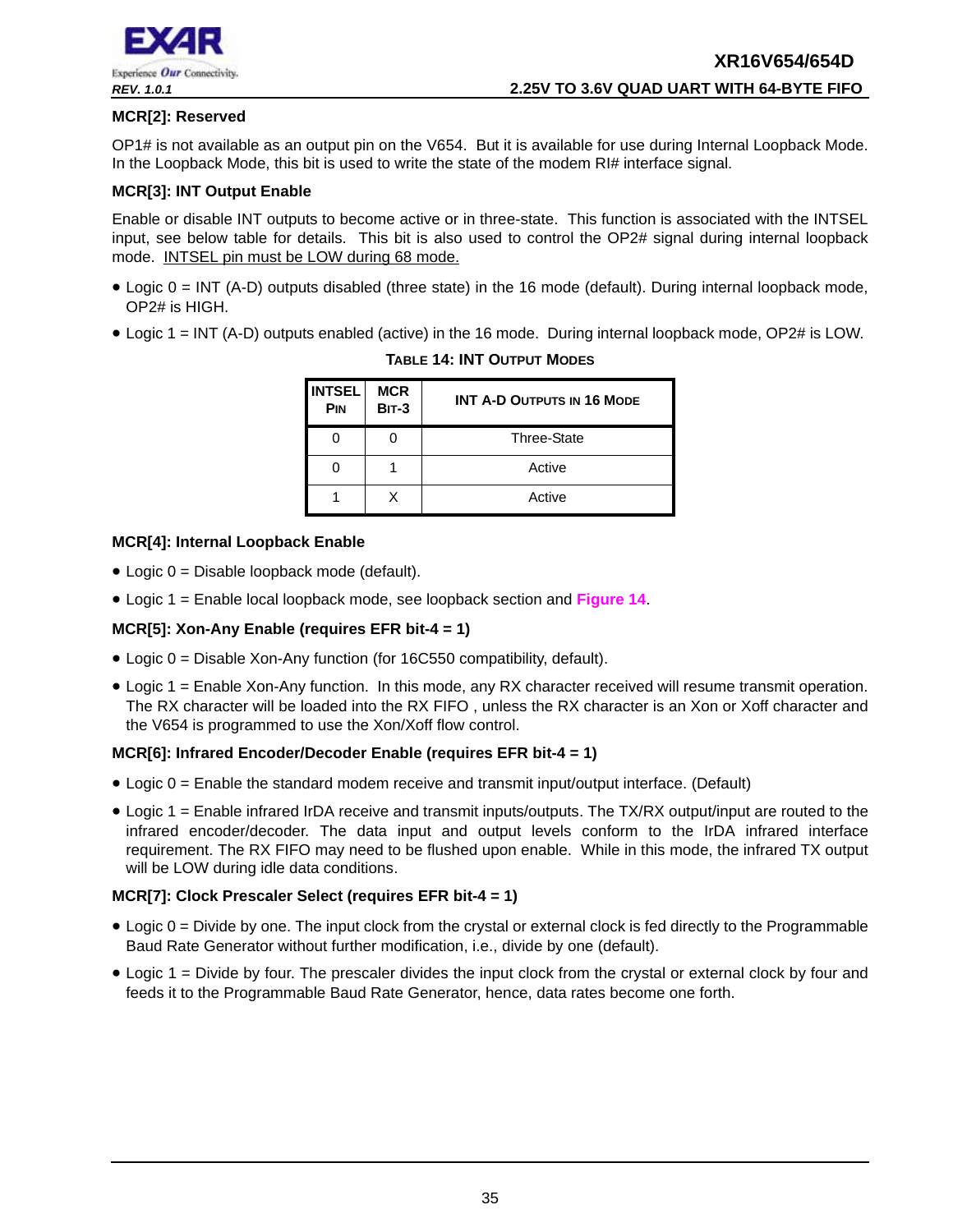

#### **MCR[2]: Reserved**

OP1# is not available as an output pin on the V654. But it is available for use during Internal Loopback Mode. In the Loopback Mode, this bit is used to write the state of the modem RI# interface signal.

#### **MCR[3]: INT Output Enable**

Enable or disable INT outputs to become active or in three-state. This function is associated with the INTSEL input, see below table for details. This bit is also used to control the OP2# signal during internal loopback mode. INTSEL pin must be LOW during 68 mode.

- Logic 0 = INT (A-D) outputs disabled (three state) in the 16 mode (default). During internal loopback mode, OP2# is HIGH.
- <span id="page-34-0"></span>• Logic 1 = INT (A-D) outputs enabled (active) in the 16 mode. During internal loopback mode, OP2# is LOW.

| <b>INTSEL</b><br><b>PIN</b> | <b>MCR</b><br><b>BIT-3</b> | <b>INT A-D OUTPUTS IN 16 MODE</b> |
|-----------------------------|----------------------------|-----------------------------------|
|                             |                            | Three-State                       |
|                             |                            | Active                            |
|                             | x                          | Active                            |

#### **TABLE 14: INT OUTPUT MODES**

#### **MCR[4]: Internal Loopback Enable**

- Logic 0 = Disable loopback mode (default).
- Logic 1 = Enable local loopback mode, see loopback section and **[Figure](#page-24-0) 14**.

#### **MCR[5]: Xon-Any Enable (requires EFR bit-4 = 1)**

- Logic 0 = Disable Xon-Any function (for 16C550 compatibility, default).
- Logic 1 = Enable Xon-Any function. In this mode, any RX character received will resume transmit operation. The RX character will be loaded into the RX FIFO , unless the RX character is an Xon or Xoff character and the V654 is programmed to use the Xon/Xoff flow control.

#### **MCR[6]: Infrared Encoder/Decoder Enable (requires EFR bit-4 = 1)**

- Logic 0 = Enable the standard modem receive and transmit input/output interface. (Default)
- Logic 1 = Enable infrared IrDA receive and transmit inputs/outputs. The TX/RX output/input are routed to the infrared encoder/decoder. The data input and output levels conform to the IrDA infrared interface requirement. The RX FIFO may need to be flushed upon enable. While in this mode, the infrared TX output will be LOW during idle data conditions.

#### **MCR[7]: Clock Prescaler Select (requires EFR bit-4 = 1)**

- Logic 0 = Divide by one. The input clock from the crystal or external clock is fed directly to the Programmable Baud Rate Generator without further modification, i.e., divide by one (default).
- Logic 1 = Divide by four. The prescaler divides the input clock from the crystal or external clock by four and feeds it to the Programmable Baud Rate Generator, hence, data rates become one forth.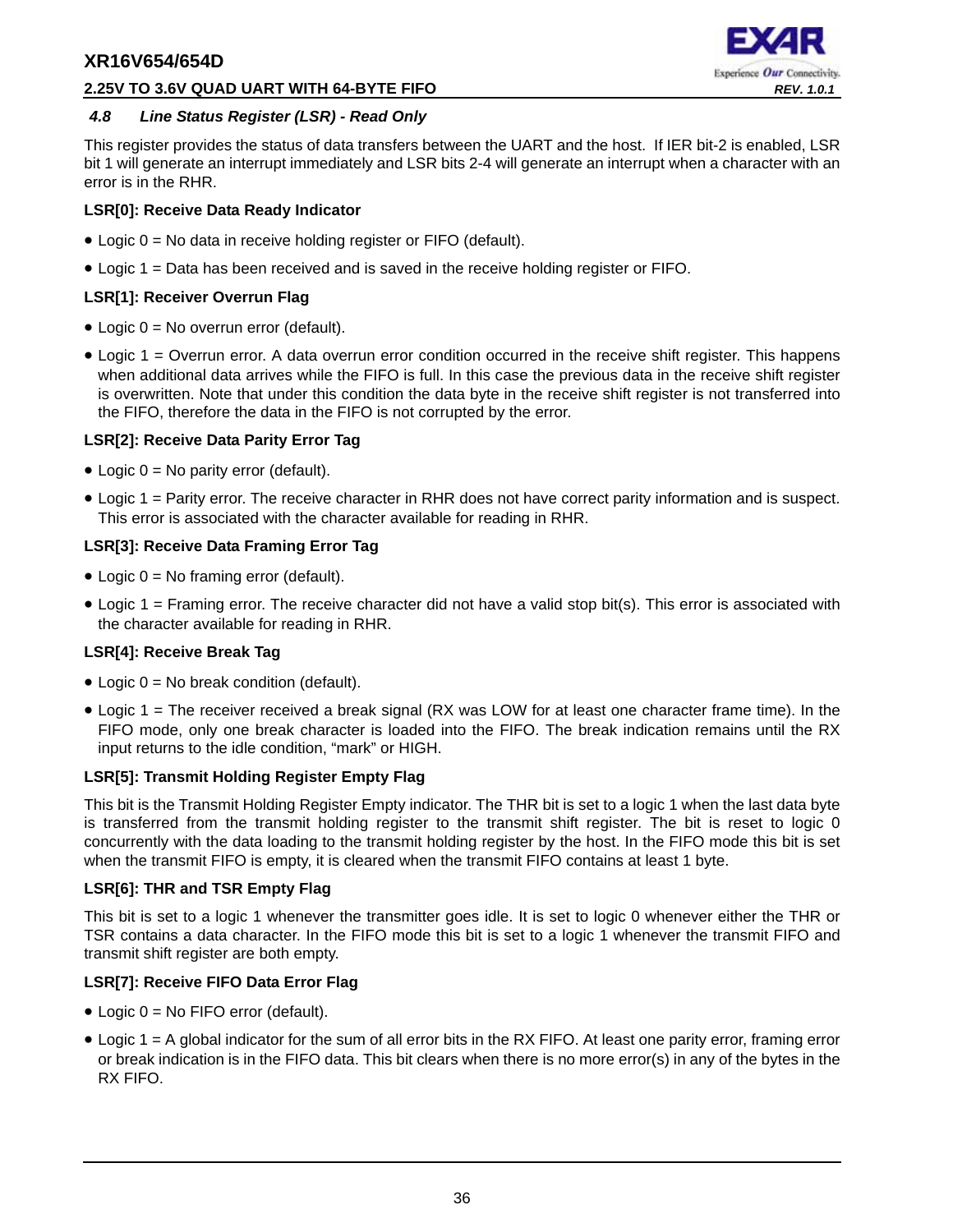#### **2.25V TO 3.6V QUAD UART WITH 64-BYTE FIFO** *REV. 1.0.1*



#### <span id="page-35-0"></span>*4.8 Line Status Register (LSR) - Read Only*

This register provides the status of data transfers between the UART and the host. If IER bit-2 is enabled, LSR bit 1 will generate an interrupt immediately and LSR bits 2-4 will generate an interrupt when a character with an error is in the RHR.

#### **LSR[0]: Receive Data Ready Indicator**

- Logic 0 = No data in receive holding register or FIFO (default).
- Logic 1 = Data has been received and is saved in the receive holding register or FIFO.

#### **LSR[1]: Receiver Overrun Flag**

- Logic 0 = No overrun error (default).
- Logic 1 = Overrun error. A data overrun error condition occurred in the receive shift register. This happens when additional data arrives while the FIFO is full. In this case the previous data in the receive shift register is overwritten. Note that under this condition the data byte in the receive shift register is not transferred into the FIFO, therefore the data in the FIFO is not corrupted by the error.

#### **LSR[2]: Receive Data Parity Error Tag**

- Logic 0 = No parity error (default).
- Logic 1 = Parity error. The receive character in RHR does not have correct parity information and is suspect. This error is associated with the character available for reading in RHR.

#### **LSR[3]: Receive Data Framing Error Tag**

- Logic  $0 = No$  framing error (default).
- Logic 1 = Framing error. The receive character did not have a valid stop bit(s). This error is associated with the character available for reading in RHR.

#### **LSR[4]: Receive Break Tag**

- Logic  $0 = No$  break condition (default).
- Logic 1 = The receiver received a break signal (RX was LOW for at least one character frame time). In the FIFO mode, only one break character is loaded into the FIFO. The break indication remains until the RX input returns to the idle condition, "mark" or HIGH.

#### **LSR[5]: Transmit Holding Register Empty Flag**

This bit is the Transmit Holding Register Empty indicator. The THR bit is set to a logic 1 when the last data byte is transferred from the transmit holding register to the transmit shift register. The bit is reset to logic 0 concurrently with the data loading to the transmit holding register by the host. In the FIFO mode this bit is set when the transmit FIFO is empty, it is cleared when the transmit FIFO contains at least 1 byte.

#### **LSR[6]: THR and TSR Empty Flag**

This bit is set to a logic 1 whenever the transmitter goes idle. It is set to logic 0 whenever either the THR or TSR contains a data character. In the FIFO mode this bit is set to a logic 1 whenever the transmit FIFO and transmit shift register are both empty.

#### **LSR[7]: Receive FIFO Data Error Flag**

- Logic 0 = No FIFO error (default).
- Logic 1 = A global indicator for the sum of all error bits in the RX FIFO. At least one parity error, framing error or break indication is in the FIFO data. This bit clears when there is no more error(s) in any of the bytes in the RX FIFO.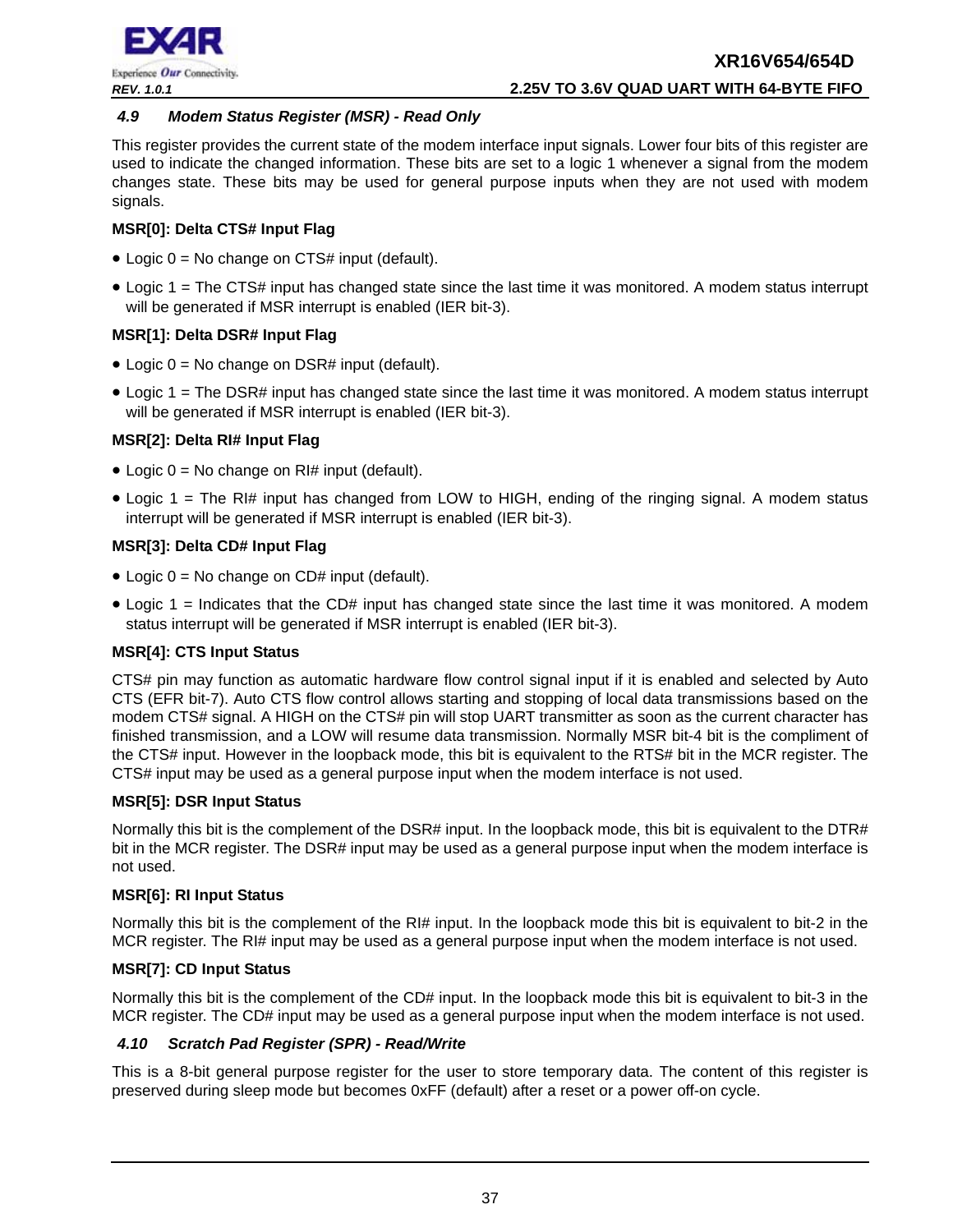

#### <span id="page-36-0"></span>*4.9 Modem Status Register (MSR) - Read Only*

This register provides the current state of the modem interface input signals. Lower four bits of this register are used to indicate the changed information. These bits are set to a logic 1 whenever a signal from the modem changes state. These bits may be used for general purpose inputs when they are not used with modem signals.

#### **MSR[0]: Delta CTS# Input Flag**

- Logic  $0 = No$  change on CTS# input (default).
- Logic 1 = The CTS# input has changed state since the last time it was monitored. A modem status interrupt will be generated if MSR interrupt is enabled (IER bit-3).

#### **MSR[1]: Delta DSR# Input Flag**

- Logic  $0 = No$  change on DSR# input (default).
- Logic 1 = The DSR# input has changed state since the last time it was monitored. A modem status interrupt will be generated if MSR interrupt is enabled (IER bit-3).

#### **MSR[2]: Delta RI# Input Flag**

- Logic  $0 = No$  change on RI# input (default).
- Logic 1 = The RI# input has changed from LOW to HIGH, ending of the ringing signal. A modem status interrupt will be generated if MSR interrupt is enabled (IER bit-3).

#### **MSR[3]: Delta CD# Input Flag**

- Logic  $0 = No$  change on CD# input (default).
- Logic 1 = Indicates that the CD# input has changed state since the last time it was monitored. A modem status interrupt will be generated if MSR interrupt is enabled (IER bit-3).

#### **MSR[4]: CTS Input Status**

CTS# pin may function as automatic hardware flow control signal input if it is enabled and selected by Auto CTS (EFR bit-7). Auto CTS flow control allows starting and stopping of local data transmissions based on the modem CTS# signal. A HIGH on the CTS# pin will stop UART transmitter as soon as the current character has finished transmission, and a LOW will resume data transmission. Normally MSR bit-4 bit is the compliment of the CTS# input. However in the loopback mode, this bit is equivalent to the RTS# bit in the MCR register. The CTS# input may be used as a general purpose input when the modem interface is not used.

#### **MSR[5]: DSR Input Status**

Normally this bit is the complement of the DSR# input. In the loopback mode, this bit is equivalent to the DTR# bit in the MCR register. The DSR# input may be used as a general purpose input when the modem interface is not used.

#### **MSR[6]: RI Input Status**

Normally this bit is the complement of the RI# input. In the loopback mode this bit is equivalent to bit-2 in the MCR register. The RI# input may be used as a general purpose input when the modem interface is not used.

#### **MSR[7]: CD Input Status**

Normally this bit is the complement of the CD# input. In the loopback mode this bit is equivalent to bit-3 in the MCR register. The CD# input may be used as a general purpose input when the modem interface is not used.

#### <span id="page-36-1"></span>*4.10 Scratch Pad Register (SPR) - Read/Write*

This is a 8-bit general purpose register for the user to store temporary data. The content of this register is preserved during sleep mode but becomes 0xFF (default) after a reset or a power off-on cycle.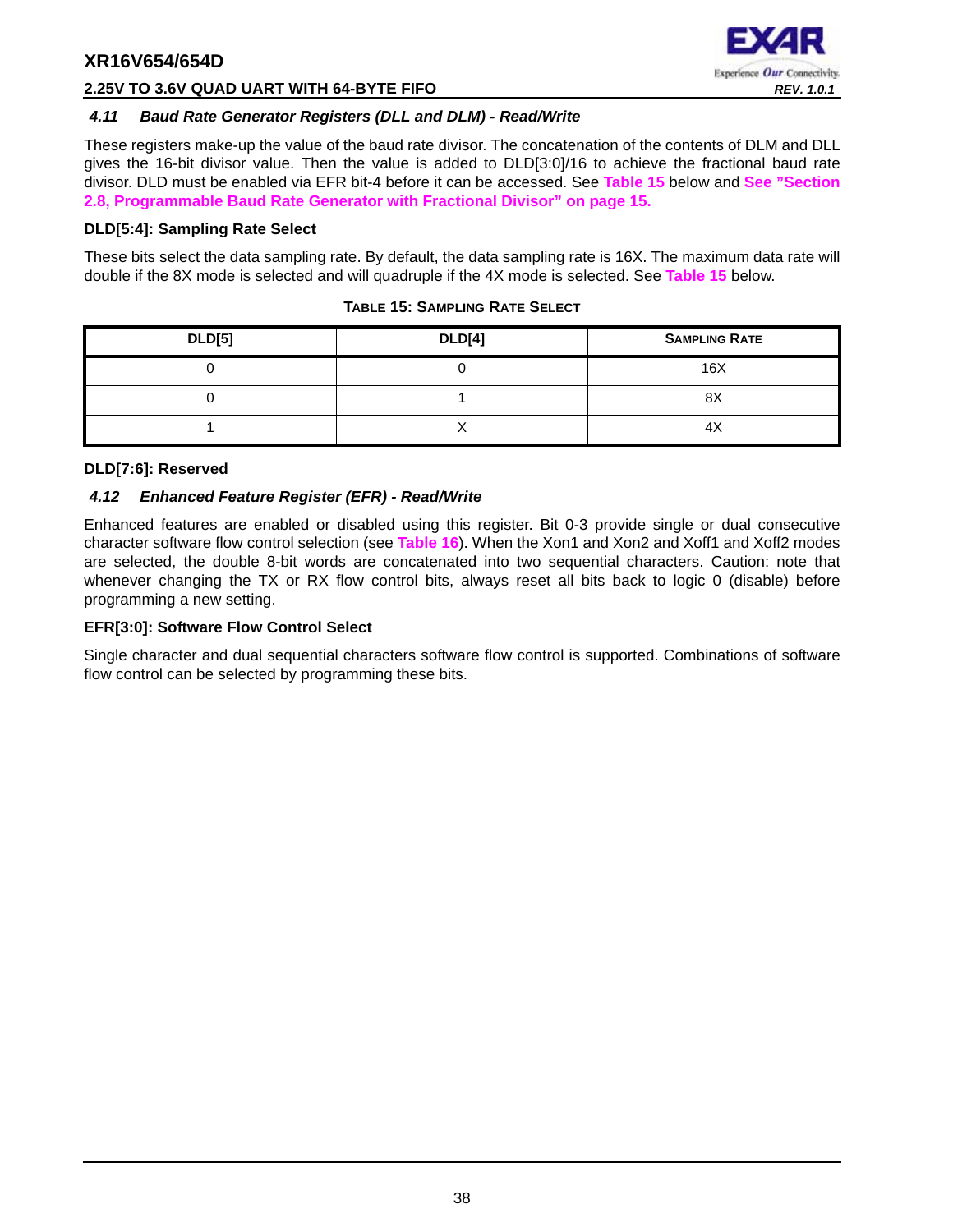

#### **2.25V TO 3.6V QUAD UART WITH 64-BYTE FIFO** *REV. 1.0.1*

#### <span id="page-37-1"></span>*4.11 Baud Rate Generator Registers (DLL and DLM) - Read/Write*

These registers make-up the value of the baud rate divisor. The concatenation of the contents of DLM and DLL gives the 16-bit divisor value. Then the value is added to DLD[3:0]/16 to achieve the fractional baud rate divisor. DLD must be enabled via EFR bit-4 before it can be accessed. See **[Table](#page-37-0) 15** below and **[See "Section](#page-14-1) [2.8, Programmable Baud Rate Generator with Fractional Divisor" on page](#page-14-1) 15.**

#### **DLD[5:4]: Sampling Rate Select**

These bits select the data sampling rate. By default, the data sampling rate is 16X. The maximum data rate will double if the 8X mode is selected and will quadruple if the 4X mode is selected. See **[Table](#page-37-0) 15** below.

<span id="page-37-0"></span>

| <b>DLD[5]</b> | <b>DLD[4]</b> | <b>SAMPLING RATE</b> |
|---------------|---------------|----------------------|
|               |               | 16X                  |
|               |               | 8X                   |
|               |               | 4 <sub>X</sub>       |

#### **TABLE 15: SAMPLING RATE SELECT**

#### **DLD[7:6]: Reserved**

#### <span id="page-37-2"></span>*4.12 Enhanced Feature Register (EFR) - Read/Write*

Enhanced features are enabled or disabled using this register. Bit 0-3 provide single or dual consecutive character software flow control selection (see **[Table](#page-38-0) 16**). When the Xon1 and Xon2 and Xoff1 and Xoff2 modes are selected, the double 8-bit words are concatenated into two sequential characters. Caution: note that whenever changing the TX or RX flow control bits, always reset all bits back to logic 0 (disable) before programming a new setting.

#### **EFR[3:0]: Software Flow Control Select**

Single character and dual sequential characters software flow control is supported. Combinations of software flow control can be selected by programming these bits.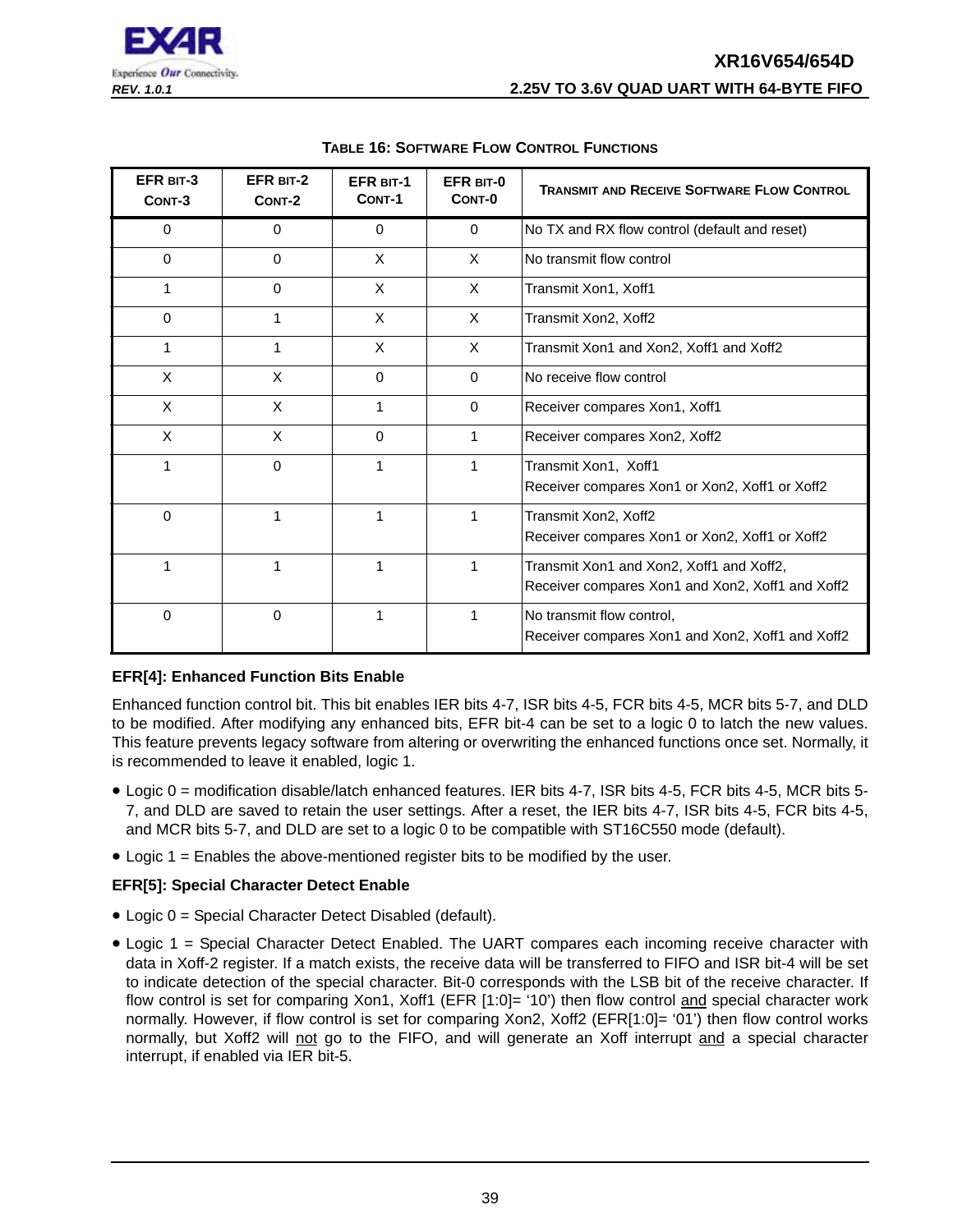## **XR16V654/654D** *REV. 1.0.1* **2.25V TO 3.6V QUAD UART WITH 64-BYTE FIFO**



<span id="page-38-0"></span>

| EFR BIT-3<br>CONT-3 | EFR BIT-2<br>CONT-2 | <b>EFR BIT-1</b><br>CONT-1 | EFR BIT-0<br>CONT-0 | <b>TRANSMIT AND RECEIVE SOFTWARE FLOW CONTROL</b>                                            |
|---------------------|---------------------|----------------------------|---------------------|----------------------------------------------------------------------------------------------|
| 0                   | $\mathbf 0$         | $\mathbf 0$                | 0                   | No TX and RX flow control (default and reset)                                                |
| 0                   | $\mathbf 0$         | X                          | $\times$            | No transmit flow control                                                                     |
| 1                   | $\Omega$            | X                          | X                   | Transmit Xon1, Xoff1                                                                         |
| 0                   | 1                   | X                          | $\times$            | Transmit Xon2, Xoff2                                                                         |
| 1                   | 1                   | X                          | X                   | Transmit Xon1 and Xon2, Xoff1 and Xoff2                                                      |
| X                   | X                   | $\Omega$                   | $\Omega$            | No receive flow control                                                                      |
| X                   | X                   | 1                          | $\Omega$            | Receiver compares Xon1, Xoff1                                                                |
| X                   | X                   | $\Omega$                   | 1                   | Receiver compares Xon2, Xoff2                                                                |
| 1                   | $\Omega$            | 1                          | 1                   | Transmit Xon1, Xoff1<br>Receiver compares Xon1 or Xon2, Xoff1 or Xoff2                       |
| 0                   | 1                   | 1                          | 1                   | Transmit Xon2, Xoff2<br>Receiver compares Xon1 or Xon2, Xoff1 or Xoff2                       |
|                     |                     | 1                          |                     | Transmit Xon1 and Xon2, Xoff1 and Xoff2,<br>Receiver compares Xon1 and Xon2, Xoff1 and Xoff2 |
| $\Omega$            | 0                   | 1                          |                     | No transmit flow control,<br>Receiver compares Xon1 and Xon2, Xoff1 and Xoff2                |

#### **TABLE 16: SOFTWARE FLOW CONTROL FUNCTIONS**

#### **EFR[4]: Enhanced Function Bits Enable**

Enhanced function control bit. This bit enables IER bits 4-7, ISR bits 4-5, FCR bits 4-5, MCR bits 5-7, and DLD to be modified. After modifying any enhanced bits, EFR bit-4 can be set to a logic 0 to latch the new values. This feature prevents legacy software from altering or overwriting the enhanced functions once set. Normally, it is recommended to leave it enabled, logic 1.

- Logic 0 = modification disable/latch enhanced features. IER bits 4-7, ISR bits 4-5, FCR bits 4-5, MCR bits 5- 7, and DLD are saved to retain the user settings. After a reset, the IER bits 4-7, ISR bits 4-5, FCR bits 4-5, and MCR bits 5-7, and DLD are set to a logic 0 to be compatible with ST16C550 mode (default).
- Logic 1 = Enables the above-mentioned register bits to be modified by the user.

#### **EFR[5]: Special Character Detect Enable**

- Logic 0 = Special Character Detect Disabled (default).
- Logic 1 = Special Character Detect Enabled. The UART compares each incoming receive character with data in Xoff-2 register. If a match exists, the receive data will be transferred to FIFO and ISR bit-4 will be set to indicate detection of the special character. Bit-0 corresponds with the LSB bit of the receive character. If flow control is set for comparing Xon1, Xoff1 (EFR [1:0]= '10') then flow control and special character work normally. However, if flow control is set for comparing Xon2, Xoff2 (EFR[1:0]= '01') then flow control works normally, but Xoff2 will not go to the FIFO, and will generate an Xoff interrupt and a special character interrupt, if enabled via IER bit-5.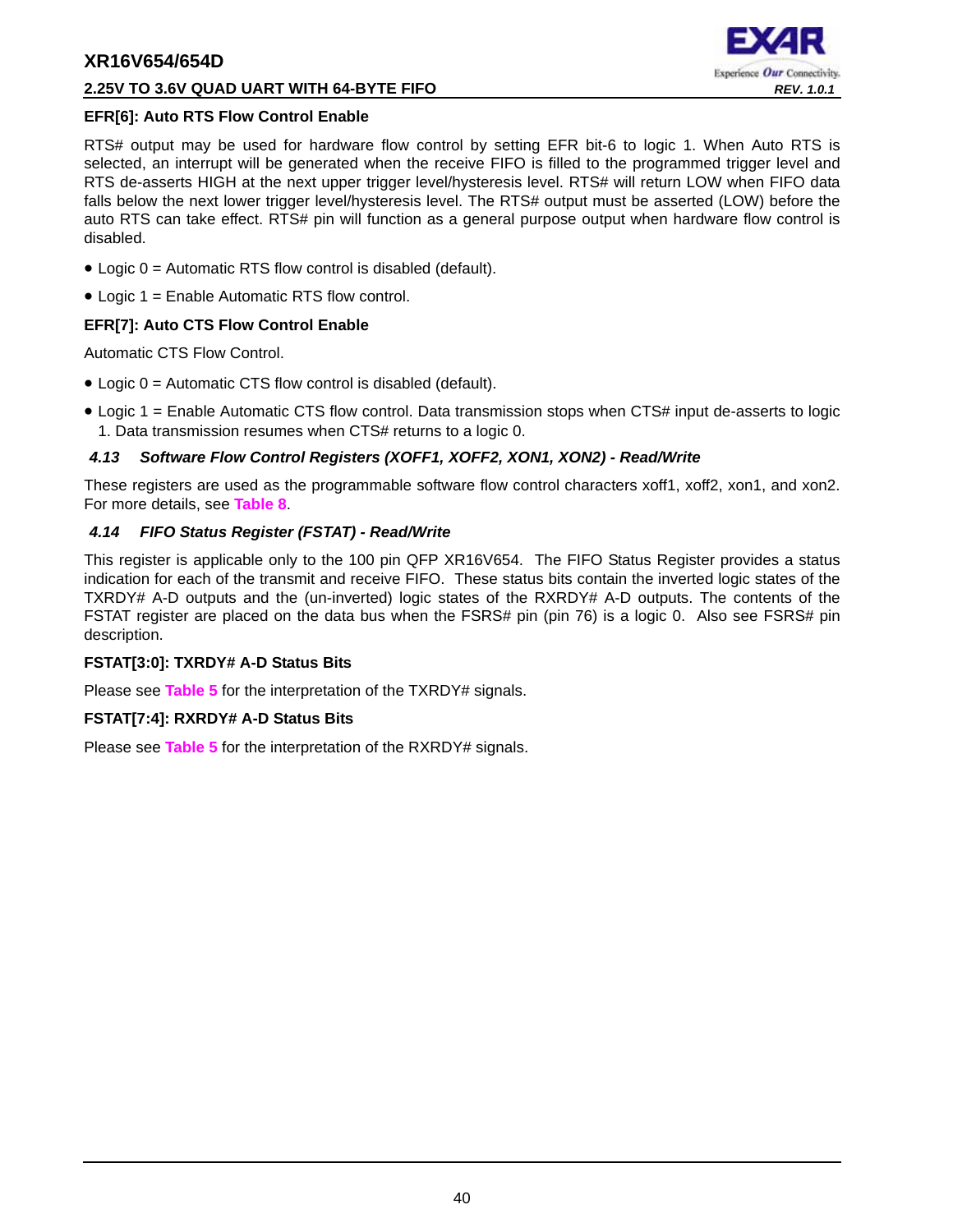#### **2.25V TO 3.6V QUAD UART WITH 64-BYTE FIFO** *REV. 1.0.1*

# Experience Our Connectivity.

#### **EFR[6]: Auto RTS Flow Control Enable**

RTS# output may be used for hardware flow control by setting EFR bit-6 to logic 1. When Auto RTS is selected, an interrupt will be generated when the receive FIFO is filled to the programmed trigger level and RTS de-asserts HIGH at the next upper trigger level/hysteresis level. RTS# will return LOW when FIFO data falls below the next lower trigger level/hysteresis level. The RTS# output must be asserted (LOW) before the auto RTS can take effect. RTS# pin will function as a general purpose output when hardware flow control is disabled.

- Logic 0 = Automatic RTS flow control is disabled (default).
- Logic 1 = Enable Automatic RTS flow control.

#### **EFR[7]: Auto CTS Flow Control Enable**

Automatic CTS Flow Control.

- Logic 0 = Automatic CTS flow control is disabled (default).
- Logic 1 = Enable Automatic CTS flow control. Data transmission stops when CTS# input de-asserts to logic 1. Data transmission resumes when CTS# returns to a logic 0.

#### <span id="page-39-0"></span>*4.13 Software Flow Control Registers (XOFF1, XOFF2, XON1, XON2) - Read/Write*

These registers are used as the programmable software flow control characters xoff1, xoff2, xon1, and xon2. For more details, see **[Table](#page-21-0) 8**.

#### <span id="page-39-1"></span>*4.14 FIFO Status Register (FSTAT) - Read/Write*

This register is applicable only to the 100 pin QFP XR16V654. The FIFO Status Register provides a status indication for each of the transmit and receive FIFO. These status bits contain the inverted logic states of the TXRDY# A-D outputs and the (un-inverted) logic states of the RXRDY# A-D outputs. The contents of the FSTAT register are placed on the data bus when the FSRS# pin (pin 76) is a logic 0. Also see FSRS# pin description.

#### **FSTAT[3:0]: TXRDY# A-D Status Bits**

Please see **[Table](#page-14-0) 5** for the interpretation of the TXRDY# signals.

#### **FSTAT[7:4]: RXRDY# A-D Status Bits**

Please see **[Table](#page-14-0) 5** for the interpretation of the RXRDY# signals.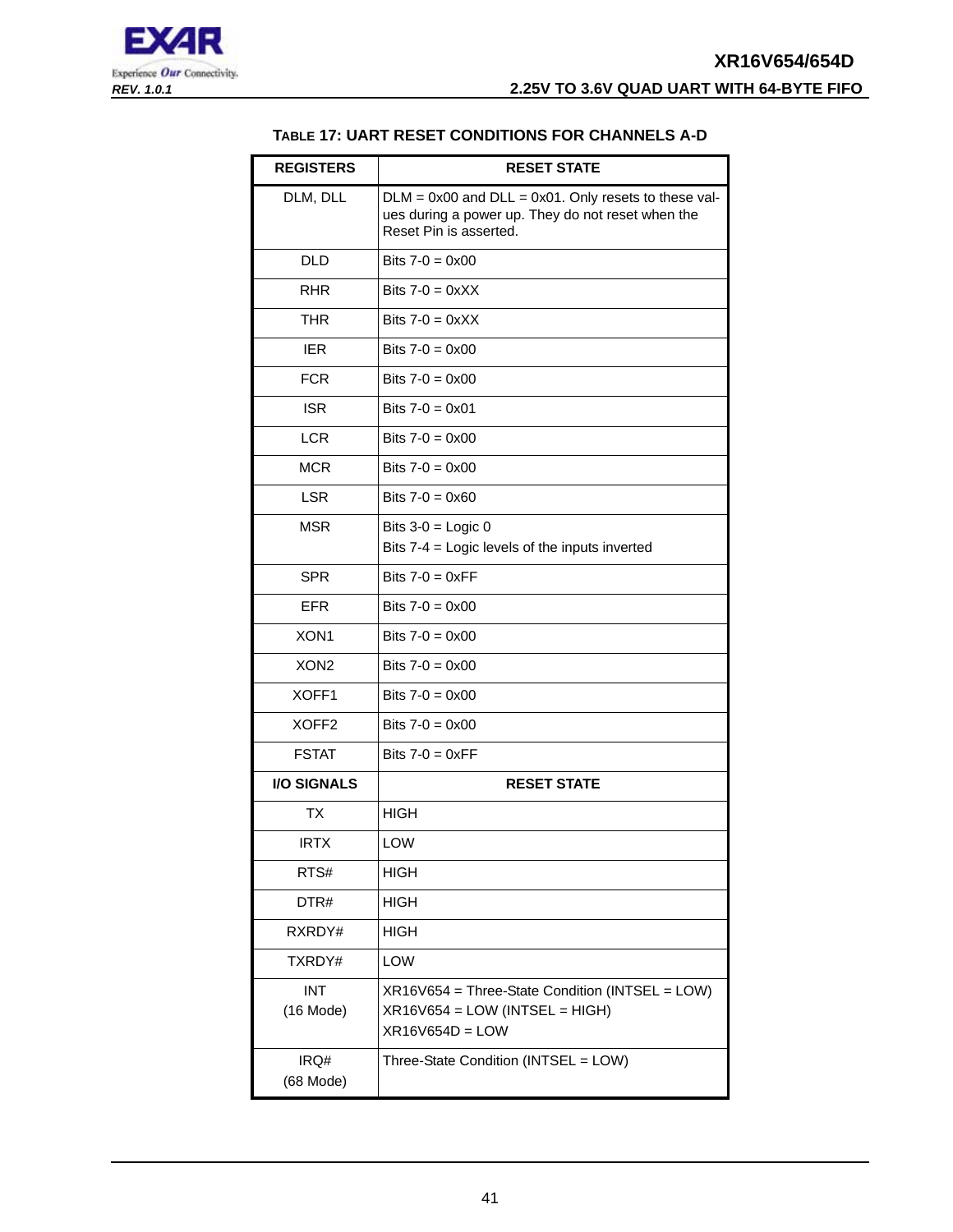<span id="page-40-0"></span>

#### **TABLE 17: UART RESET CONDITIONS FOR CHANNELS A-D**

| <b>REGISTERS</b>          | <b>RESET STATE</b>                                                                                                                       |
|---------------------------|------------------------------------------------------------------------------------------------------------------------------------------|
| DLM, DLL                  | $DLM = 0x00$ and $DLL = 0x01$ . Only resets to these val-<br>ues during a power up. They do not reset when the<br>Reset Pin is asserted. |
| <b>DLD</b>                | Bits $7-0 = 0 \times 00$                                                                                                                 |
| <b>RHR</b>                | Bits $7-0 = 0 \times X$                                                                                                                  |
| <b>THR</b>                | Bits $7-0 = 0 \times X$                                                                                                                  |
| <b>IER</b>                | Bits $7-0 = 0 \times 00$                                                                                                                 |
| <b>FCR</b>                | Bits $7-0 = 0 \times 00$                                                                                                                 |
| <b>ISR</b>                | Bits $7-0 = 0 \times 01$                                                                                                                 |
| <b>LCR</b>                | Bits $7-0 = 0 \times 00$                                                                                                                 |
| <b>MCR</b>                | Bits $7-0 = 0 \times 00$                                                                                                                 |
| <b>LSR</b>                | Bits $7-0 = 0 \times 60$                                                                                                                 |
| <b>MSR</b>                | Bits $3-0 =$ Logic 0                                                                                                                     |
|                           | Bits 7-4 = Logic levels of the inputs inverted                                                                                           |
| <b>SPR</b>                | Bits $7-0 = 0 \times FF$                                                                                                                 |
| <b>EFR</b>                | Bits $7-0 = 0 \times 00$                                                                                                                 |
| XON <sub>1</sub>          | Bits $7-0 = 0 \times 00$                                                                                                                 |
| XON <sub>2</sub>          | Bits $7-0 = 0 \times 00$                                                                                                                 |
| XOFF1                     | Bits $7-0 = 0 \times 00$                                                                                                                 |
| XOFF <sub>2</sub>         | Bits $7-0 = 0 \times 00$                                                                                                                 |
| <b>FSTAT</b>              | Bits $7-0 = 0 \times FF$                                                                                                                 |
| <b>I/O SIGNALS</b>        | <b>RESET STATE</b>                                                                                                                       |
| ТX                        | <b>HIGH</b>                                                                                                                              |
| <b>IRTX</b>               | LOW                                                                                                                                      |
| RTS#                      | <b>HIGH</b>                                                                                                                              |
| DTR#                      | HIGH                                                                                                                                     |
| RXRDY#                    | <b>HIGH</b>                                                                                                                              |
| TXRDY#                    | LOW                                                                                                                                      |
| <b>INT</b><br>$(16$ Mode) | XR16V654 = Three-State Condition (INTSEL = LOW)<br>$XR16V654 = LOW (INTSEL = HIGH)$<br>$XR16V654D = LOW$                                 |
| IRQ#<br>(68 Mode)         | Three-State Condition (INTSEL = LOW)                                                                                                     |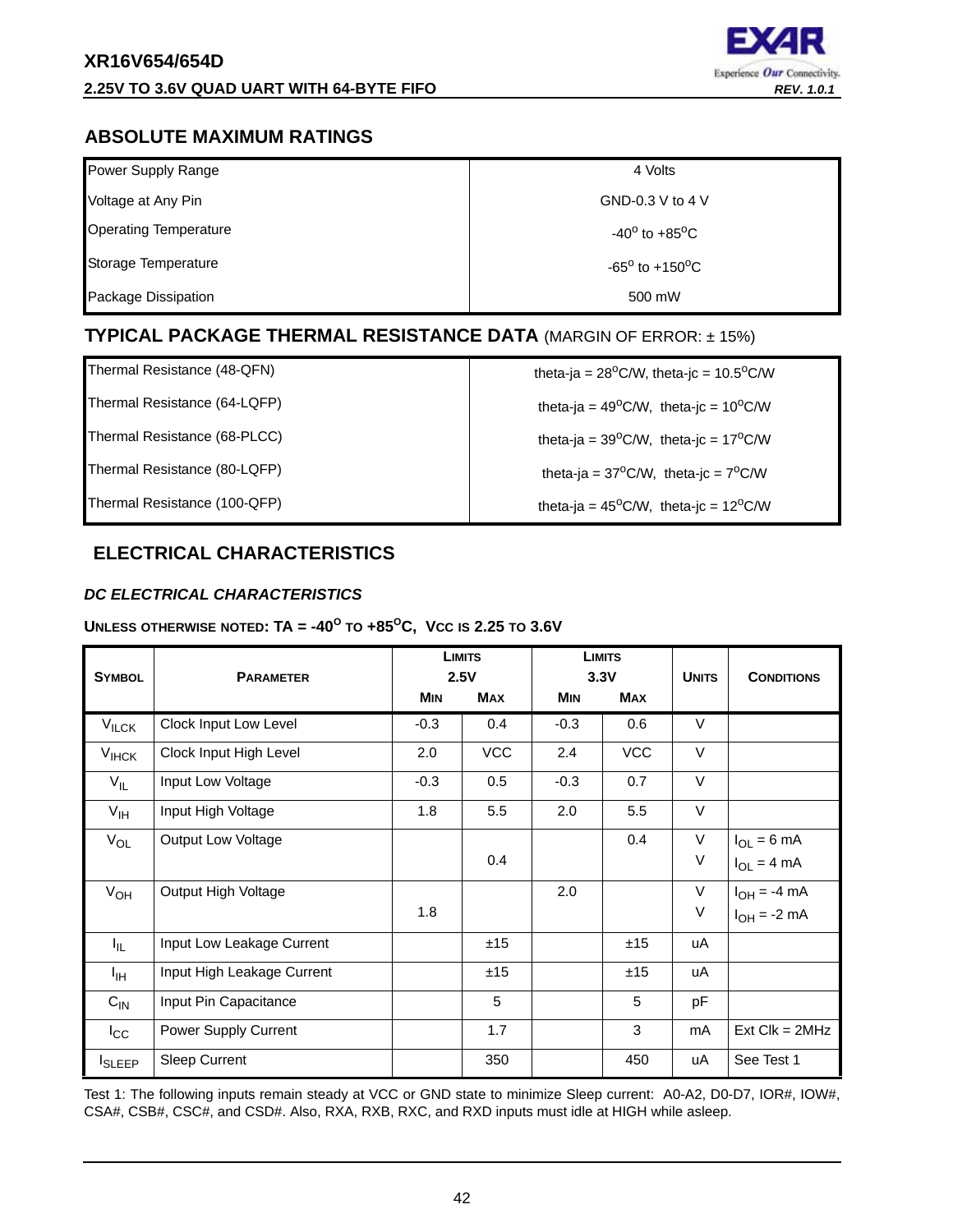

## <span id="page-41-1"></span>**ABSOLUTE MAXIMUM RATINGS**

| Power Supply Range           | 4 Volts                           |
|------------------------------|-----------------------------------|
| Voltage at Any Pin           | GND-0.3 V to 4 V                  |
| <b>Operating Temperature</b> | $-40^{\circ}$ to $+85^{\circ}$ C  |
| Storage Temperature          | $-65^{\circ}$ to $+150^{\circ}$ C |
| Package Dissipation          | 500 mW                            |

## <span id="page-41-2"></span>**TYPICAL PACKAGE THERMAL RESISTANCE DATA** (MARGIN OF ERROR: ± 15%)

Thermal Resistance (64-LQFP)  $\qquad \qquad$  theta-ja = 49<sup>o</sup>C/W, theta-jc = 10<sup>o</sup>C/W

Thermal Resistance (68-PLCC) theta-ja =  $39^{\circ}$ C/W, theta-jc =  $17^{\circ}$ C/W

Thermal Resistance (48-QFN)  $\qquad \qquad$  theta-ja = 28<sup>o</sup>C/W, theta-jc = 10.5<sup>o</sup>C/W

Thermal Resistance (80-LQFP) theta-ja =  $37^{\circ}$ C/W, theta-jc =  $7^{\circ}$ C/W

Thermal Resistance (100-QFP) theta-ja = 45<sup>o</sup>C/W, theta-jc = 12<sup>o</sup>C/W

## <span id="page-41-3"></span>**ELECTRICAL CHARACTERISTICS**

## <span id="page-41-0"></span>*DC ELECTRICAL CHARACTERISTICS*

## **UNLESS OTHERWISE NOTED: TA =**  $-40^{\circ}$  **TO**  $+85^{\circ}$ **C, Vcc is 2.25 TO 3.6V**

| <b>SYMBOL</b>     | <b>PARAMETER</b>           | <b>LIMITS</b><br>2.5V |            |            |            |        | <b>LIMITS</b><br>3.3V | <b>UNITS</b> | <b>CONDITIONS</b> |
|-------------------|----------------------------|-----------------------|------------|------------|------------|--------|-----------------------|--------------|-------------------|
|                   |                            | <b>MIN</b>            | <b>MAX</b> | <b>MIN</b> | <b>MAX</b> |        |                       |              |                   |
| $V_{\text{ILCK}}$ | Clock Input Low Level      | $-0.3$                | 0.4        | $-0.3$     | 0.6        | $\vee$ |                       |              |                   |
| $V_{IHCK}$        | Clock Input High Level     | 2.0                   | <b>VCC</b> | 2.4        | <b>VCC</b> | $\vee$ |                       |              |                   |
| $V_{IL}$          | Input Low Voltage          | $-0.3$                | 0.5        | $-0.3$     | 0.7        | $\vee$ |                       |              |                   |
| $V_{\text{IH}}$   | Input High Voltage         | 1.8                   | 5.5        | 2.0        | 5.5        | $\vee$ |                       |              |                   |
| $V_{OL}$          | Output Low Voltage         |                       |            |            | 0.4        | $\vee$ | $I_{OL} = 6$ mA       |              |                   |
|                   |                            |                       | 0.4        |            |            | $\vee$ | $I_{OL} = 4 mA$       |              |                   |
| $V_{OH}$          | Output High Voltage        |                       |            | 2.0        |            | $\vee$ | $I_{OH} = -4$ mA      |              |                   |
|                   |                            | 1.8                   |            |            |            | $\vee$ | $I_{OH} = -2$ mA      |              |                   |
| I <sub>IL</sub>   | Input Low Leakage Current  |                       | ±15        |            | ±15        | uA     |                       |              |                   |
| ŀщ                | Input High Leakage Current |                       | ±15        |            | ±15        | uA     |                       |              |                   |
| $C_{IN}$          | Input Pin Capacitance      |                       | 5          |            | 5          | pF     |                       |              |                   |
| $I_{\rm CC}$      | Power Supply Current       |                       | 1.7        |            | 3          | mA     | $Ext$ Clk = $2MHz$    |              |                   |
| <b>I</b> SLEEP    | Sleep Current              |                       | 350        |            | 450        | uA     | See Test 1            |              |                   |

Test 1: The following inputs remain steady at VCC or GND state to minimize Sleep current: A0-A2, D0-D7, IOR#, IOW#, CSA#, CSB#, CSC#, and CSD#. Also, RXA, RXB, RXC, and RXD inputs must idle at HIGH while asleep.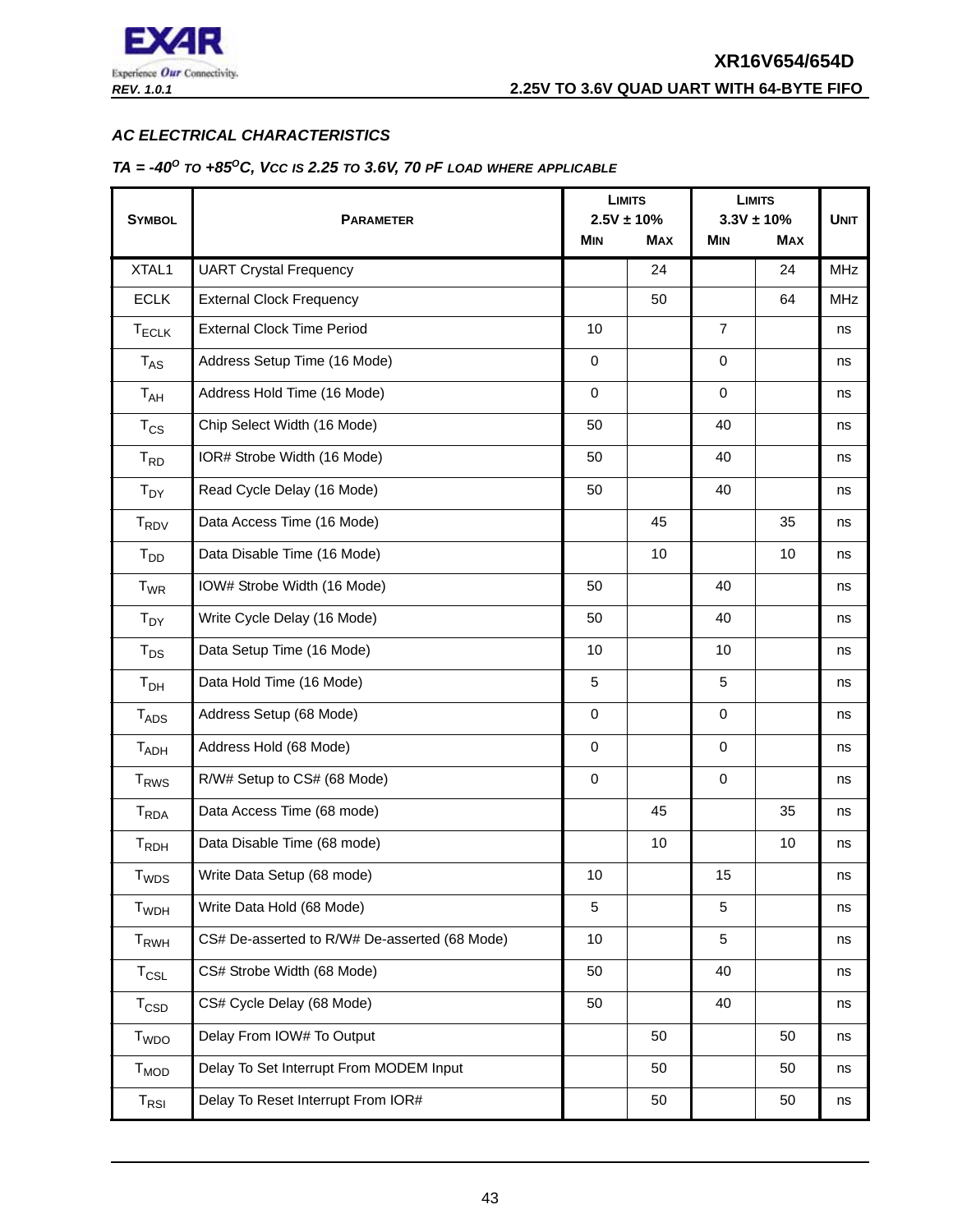

#### <span id="page-42-0"></span>*AC ELECTRICAL CHARACTERISTICS*

#### <span id="page-42-1"></span>*TA = -40O TO +85OC, VCC IS 2.25 TO 3.6V, 70 PF LOAD WHERE APPLICABLE*

|                             |                                               |             | <b>LIMITS</b>   |                | <b>LIMITS</b>  |             |
|-----------------------------|-----------------------------------------------|-------------|-----------------|----------------|----------------|-------------|
| <b>SYMBOL</b>               | <b>PARAMETER</b>                              |             | $2.5V \pm 10\%$ |                | $3.3V \pm 10%$ | <b>UNIT</b> |
|                             |                                               | <b>MIN</b>  | <b>MAX</b>      | <b>MIN</b>     | <b>MAX</b>     |             |
| XTAL1                       | <b>UART Crystal Frequency</b>                 |             | 24              |                | 24             | MHz         |
| <b>ECLK</b>                 | <b>External Clock Frequency</b>               |             | 50              |                | 64             | <b>MHz</b>  |
| $T_{\sf ECLK}$              | <b>External Clock Time Period</b>             | 10          |                 | $\overline{7}$ |                | ns          |
| $T_{AS}$                    | Address Setup Time (16 Mode)                  | $\mathbf 0$ |                 | 0              |                | ns          |
| $T_{AH}$                    | Address Hold Time (16 Mode)                   | $\mathbf 0$ |                 | $\mathbf 0$    |                | ns          |
| $T_{CS}$                    | Chip Select Width (16 Mode)                   | 50          |                 | 40             |                | ns          |
| $T_{RD}$                    | IOR# Strobe Width (16 Mode)                   | 50          |                 | 40             |                | ns          |
| $T_{DY}$                    | Read Cycle Delay (16 Mode)                    | 50          |                 | 40             |                | ns          |
| <b>TRDV</b>                 | Data Access Time (16 Mode)                    |             | 45              |                | 35             | ns          |
| $T_{DD}$                    | Data Disable Time (16 Mode)                   |             | 10              |                | 10             | ns          |
| $T_{WR}$                    | IOW# Strobe Width (16 Mode)                   | 50          |                 | 40             |                | ns          |
| $T_{DY}$                    | Write Cycle Delay (16 Mode)                   | 50          |                 | 40             |                | ns          |
| $T_{DS}$                    | Data Setup Time (16 Mode)                     | 10          |                 | 10             |                | ns          |
| $T_{DH}$                    | Data Hold Time (16 Mode)                      | 5           |                 | 5              |                | ns          |
| $T_{ADS}$                   | Address Setup (68 Mode)                       | $\mathbf 0$ |                 | 0              |                | ns          |
| $T_{ADH}$                   | Address Hold (68 Mode)                        | $\mathbf 0$ |                 | $\mathbf 0$    |                | ns          |
| <b>T<sub>RWS</sub></b>      | R/W# Setup to CS# (68 Mode)                   | $\mathbf 0$ |                 | 0              |                | ns          |
| T <sub>RDA</sub>            | Data Access Time (68 mode)                    |             | 45              |                | 35             | ns          |
| $T_{RDH}$                   | Data Disable Time (68 mode)                   |             | 10              |                | 10             | ns          |
| $T_{WDS}$                   | Write Data Setup (68 mode)                    | 10          |                 | 15             |                | ns          |
| <b>T</b> <sub>WDH</sub>     | Write Data Hold (68 Mode)                     | 5           |                 | 5              |                | ns          |
| $T_{RWH}$                   | CS# De-asserted to R/W# De-asserted (68 Mode) | 10          |                 | 5              |                | ns          |
| $T_{CSL}$                   | CS# Strobe Width (68 Mode)                    | 50          |                 | 40             |                | ns          |
| $T_{\text{CSD}}$            | CS# Cycle Delay (68 Mode)                     | 50          |                 | 40             |                | ns          |
| <b>T</b> <sub>WDO</sub>     | Delay From IOW# To Output                     | 50          |                 |                | 50             | ns          |
| <b>T<sub>MOD</sub></b>      | Delay To Set Interrupt From MODEM Input       |             | 50              |                | 50             | ns          |
| $\mathsf{T}_{\mathsf{RSI}}$ | Delay To Reset Interrupt From IOR#            |             | 50              |                | 50             | ns          |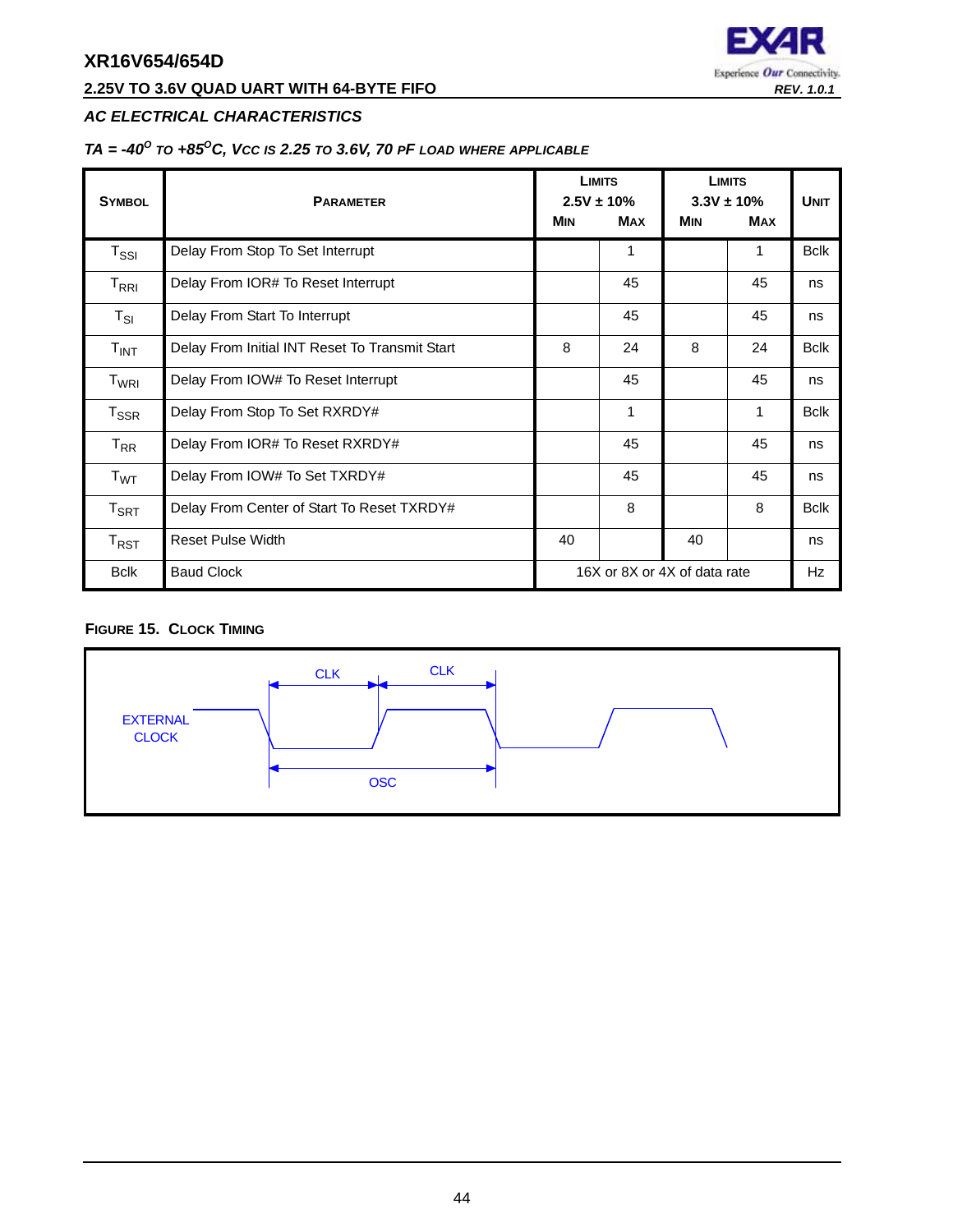## **2.25V TO 3.6V QUAD UART WITH 64-BYTE FIFO** *REV. 1.0.1*



## *AC ELECTRICAL CHARACTERISTICS*

## *TA = -40O TO +85OC, VCC IS 2.25 TO 3.6V, 70 PF LOAD WHERE APPLICABLE*

| <b>SYMBOL</b>                                 | <b>PARAMETER</b>                               |                              | <b>LIMITS</b><br>$2.5V \pm 10\%$ | <b>LIMITS</b><br>$3.3V \pm 10\%$ | <b>UNIT</b> |              |
|-----------------------------------------------|------------------------------------------------|------------------------------|----------------------------------|----------------------------------|-------------|--------------|
|                                               |                                                | <b>MIN</b>                   | <b>MAX</b>                       | <b>MIN</b>                       | <b>MAX</b>  |              |
| $\mathsf{T}_{\mathsf{SSI}}$                   | Delay From Stop To Set Interrupt               |                              | 1                                |                                  | 1           | <b>Bclk</b>  |
| $\mathsf{T}_{\mathsf{R}\mathsf{R}\mathsf{I}}$ | Delay From IOR# To Reset Interrupt             |                              | 45                               |                                  | 45          | ns           |
| $T_{SI}$                                      | Delay From Start To Interrupt                  |                              | 45                               |                                  | 45          | ns           |
| $T_{INT}$                                     | Delay From Initial INT Reset To Transmit Start | 8                            | 24                               | 8                                | 24          | <b>B</b> clk |
| T <sub>WRI</sub>                              | Delay From IOW# To Reset Interrupt             |                              | 45                               |                                  | 45          | ns           |
| $T_{\sf SSR}$                                 | Delay From Stop To Set RXRDY#                  |                              | 1                                |                                  | 1           | <b>Bclk</b>  |
| $T_{RR}$                                      | Delay From IOR# To Reset RXRDY#                |                              | 45                               |                                  | 45          | ns           |
| T <sub>WT</sub>                               | Delay From IOW# To Set TXRDY#                  |                              | 45                               |                                  | 45          | ns           |
| $T_{\sf SRT}$                                 | Delay From Center of Start To Reset TXRDY#     |                              | 8                                |                                  | 8           | <b>Bclk</b>  |
| $T_{RST}$                                     | <b>Reset Pulse Width</b>                       | 40                           |                                  | 40                               |             | ns           |
| <b>Bclk</b>                                   | <b>Baud Clock</b>                              | 16X or 8X or 4X of data rate |                                  |                                  |             | Hz           |

#### <span id="page-43-0"></span>**FIGURE 15. CLOCK TIMING**

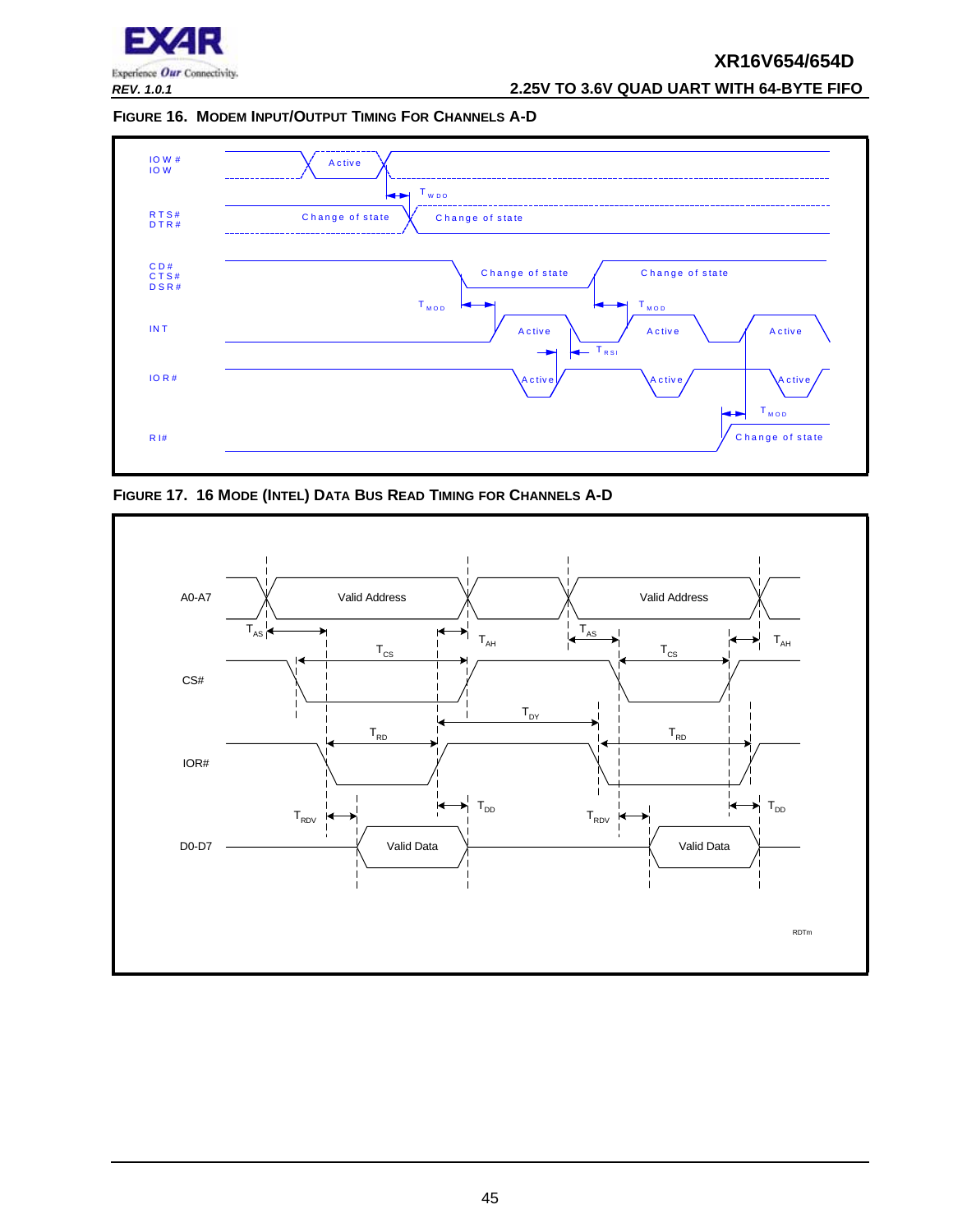

*REV. 1.0.1* **2.25V TO 3.6V QUAD UART WITH 64-BYTE FIFO**

<span id="page-44-0"></span>**FIGURE 16. MODEM INPUT/OUTPUT TIMING FOR CHANNELS A-D**



<span id="page-44-1"></span>**FIGURE 17. 16 MODE (INTEL) DATA BUS READ TIMING FOR CHANNELS A-D**

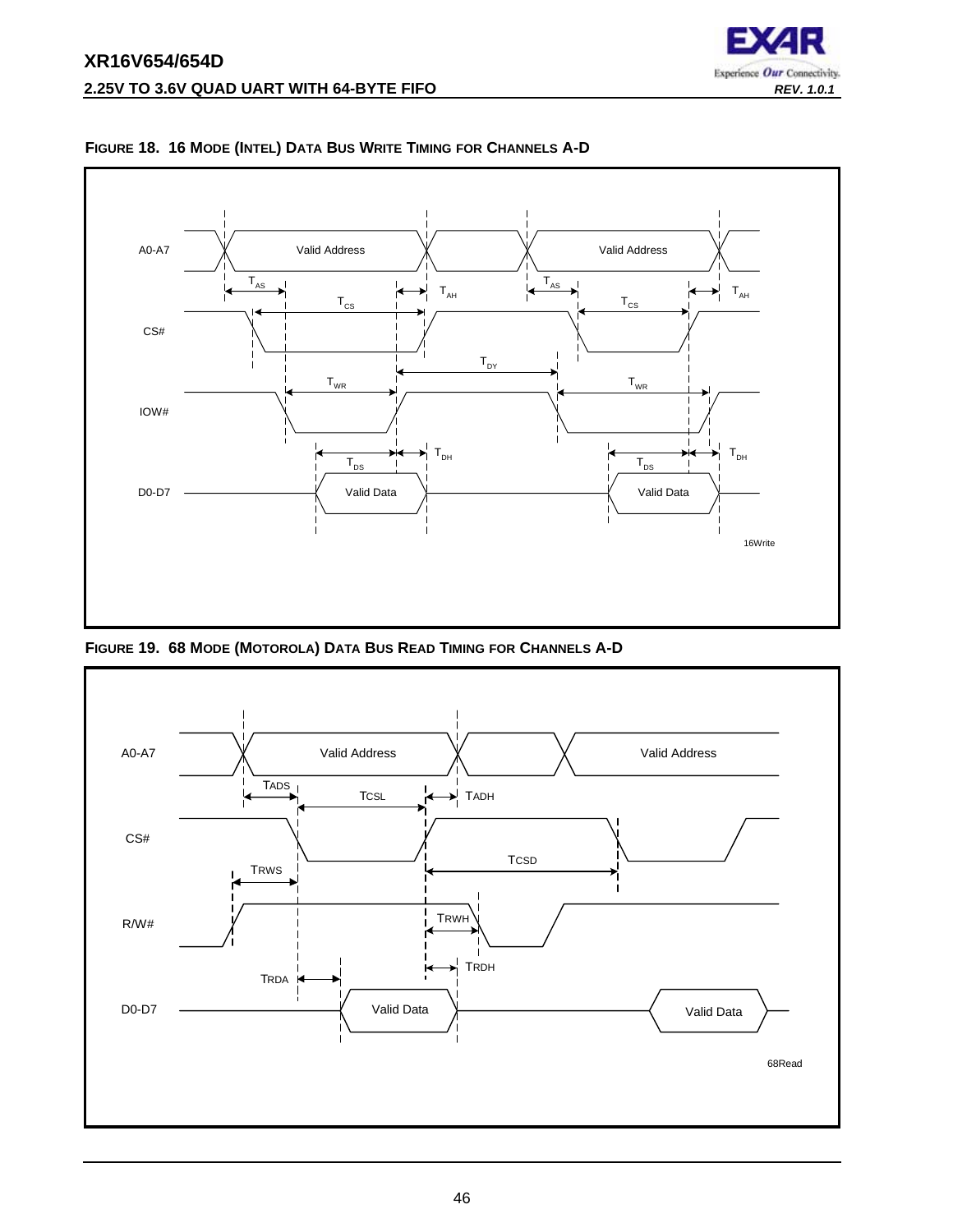



<span id="page-45-0"></span>**FIGURE 18. 16 MODE (INTEL) DATA BUS WRITE TIMING FOR CHANNELS A-D**

<span id="page-45-1"></span>**FIGURE 19. 68 MODE (MOTOROLA) DATA BUS READ TIMING FOR CHANNELS A-D**

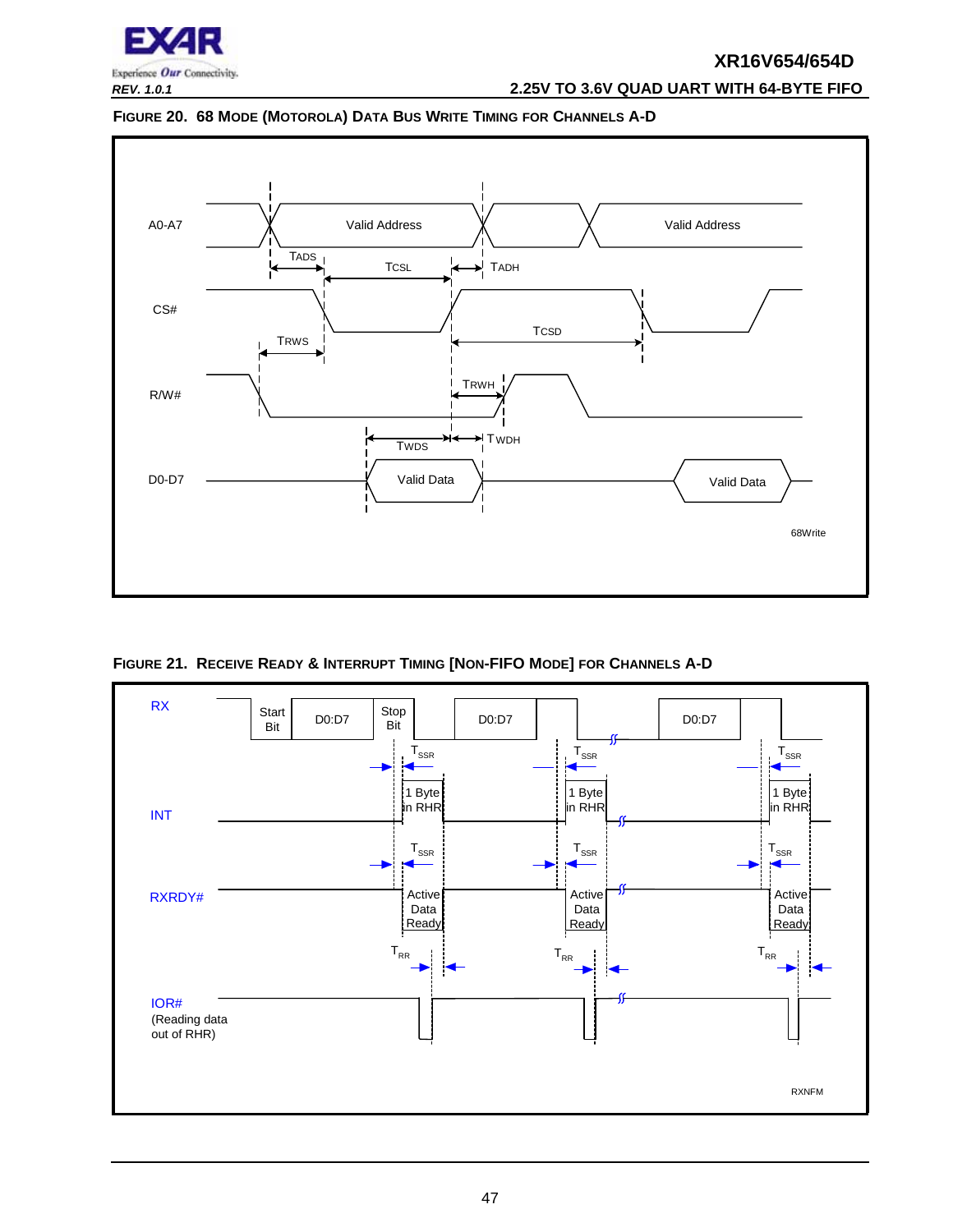

*REV. 1.0.1* **2.25V TO 3.6V QUAD UART WITH 64-BYTE FIFO**

<span id="page-46-1"></span>



<span id="page-46-0"></span>**FIGURE 21. RECEIVE READY & INTERRUPT TIMING [NON-FIFO MODE] FOR CHANNELS A-D**

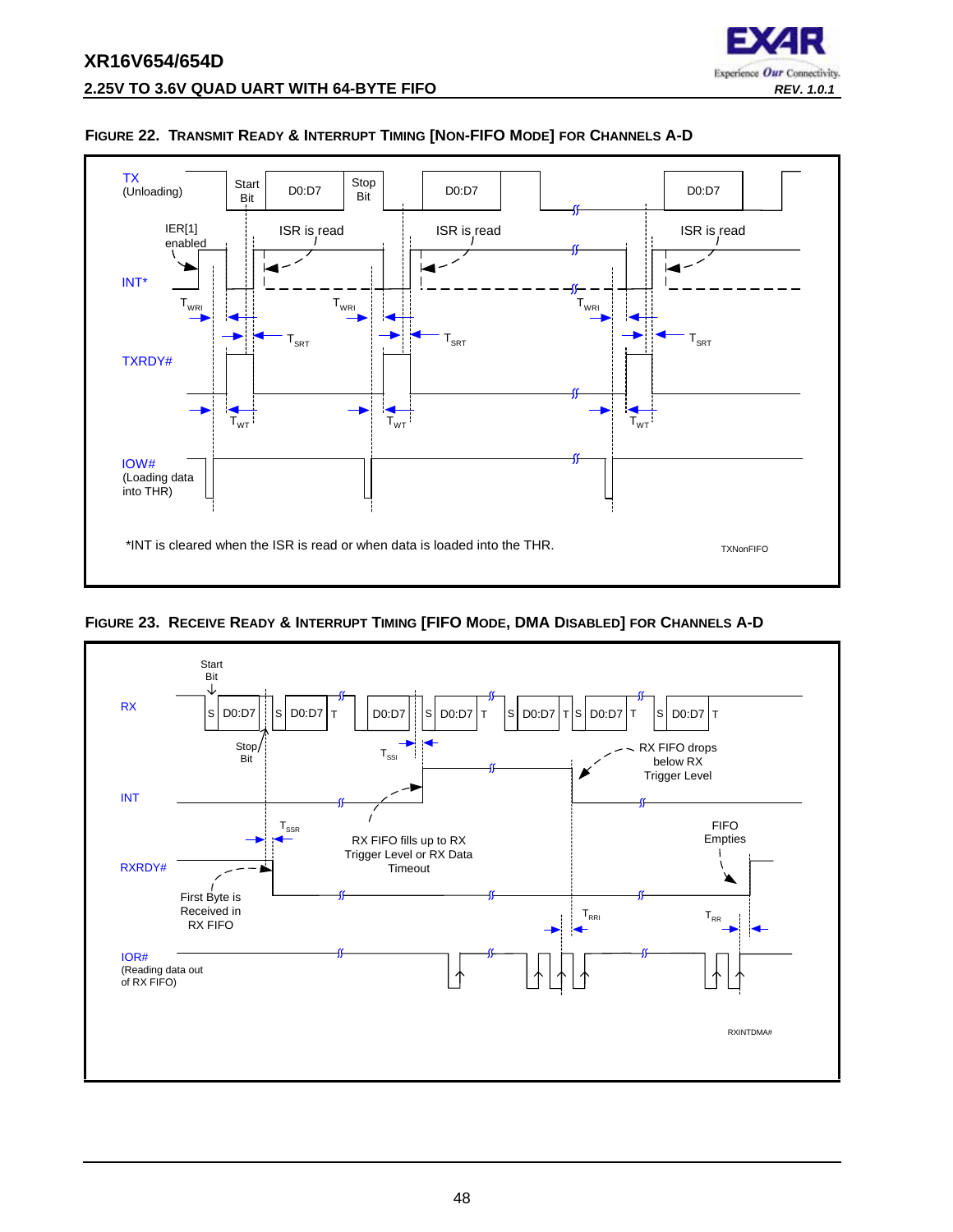



#### <span id="page-47-0"></span>**FIGURE 22. TRANSMIT READY & INTERRUPT TIMING [NON-FIFO MODE] FOR CHANNELS A-D**

<span id="page-47-1"></span>

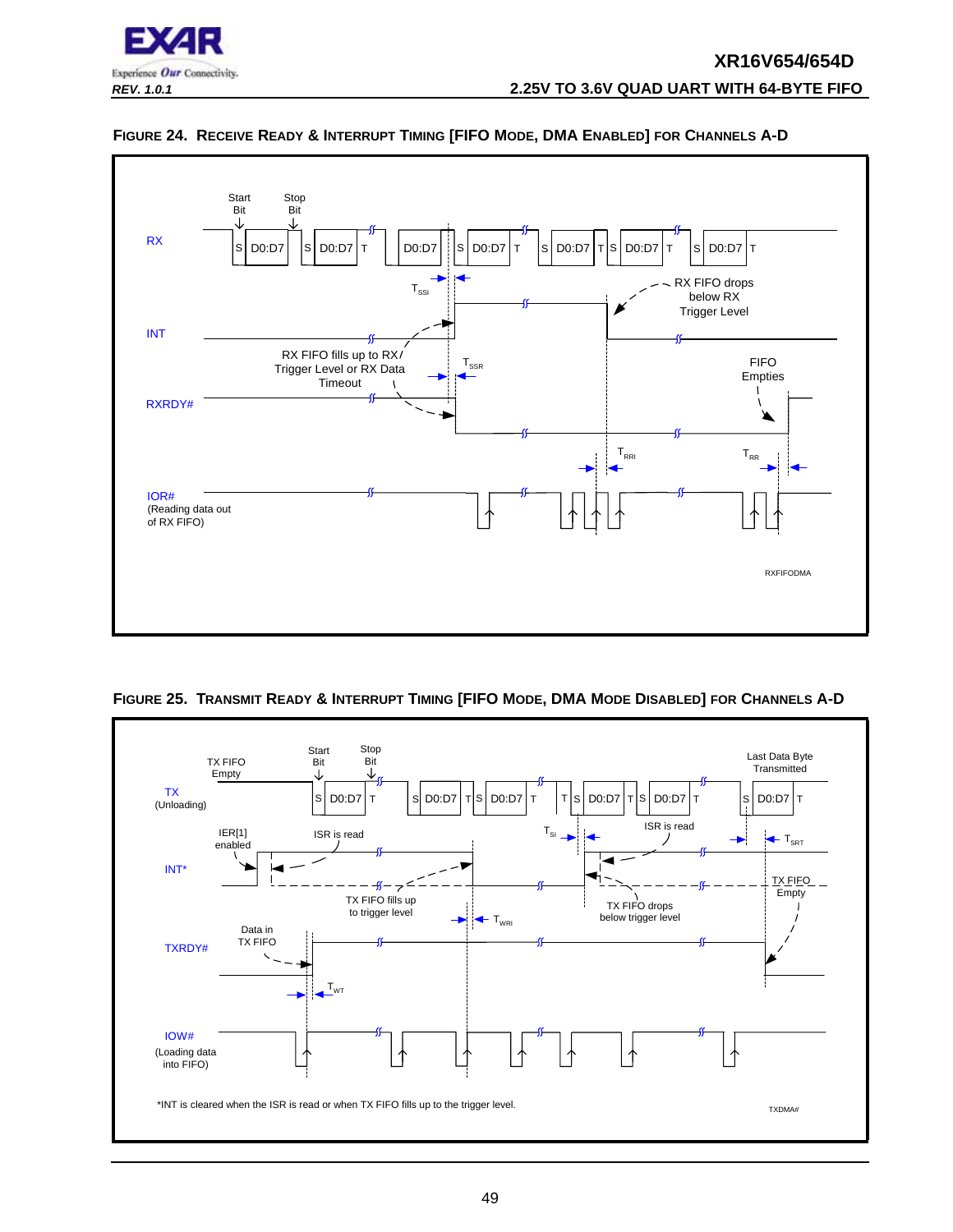



#### <span id="page-48-0"></span>**FIGURE 24. RECEIVE READY & INTERRUPT TIMING [FIFO MODE, DMA ENABLED] FOR CHANNELS A-D**

<span id="page-48-1"></span>

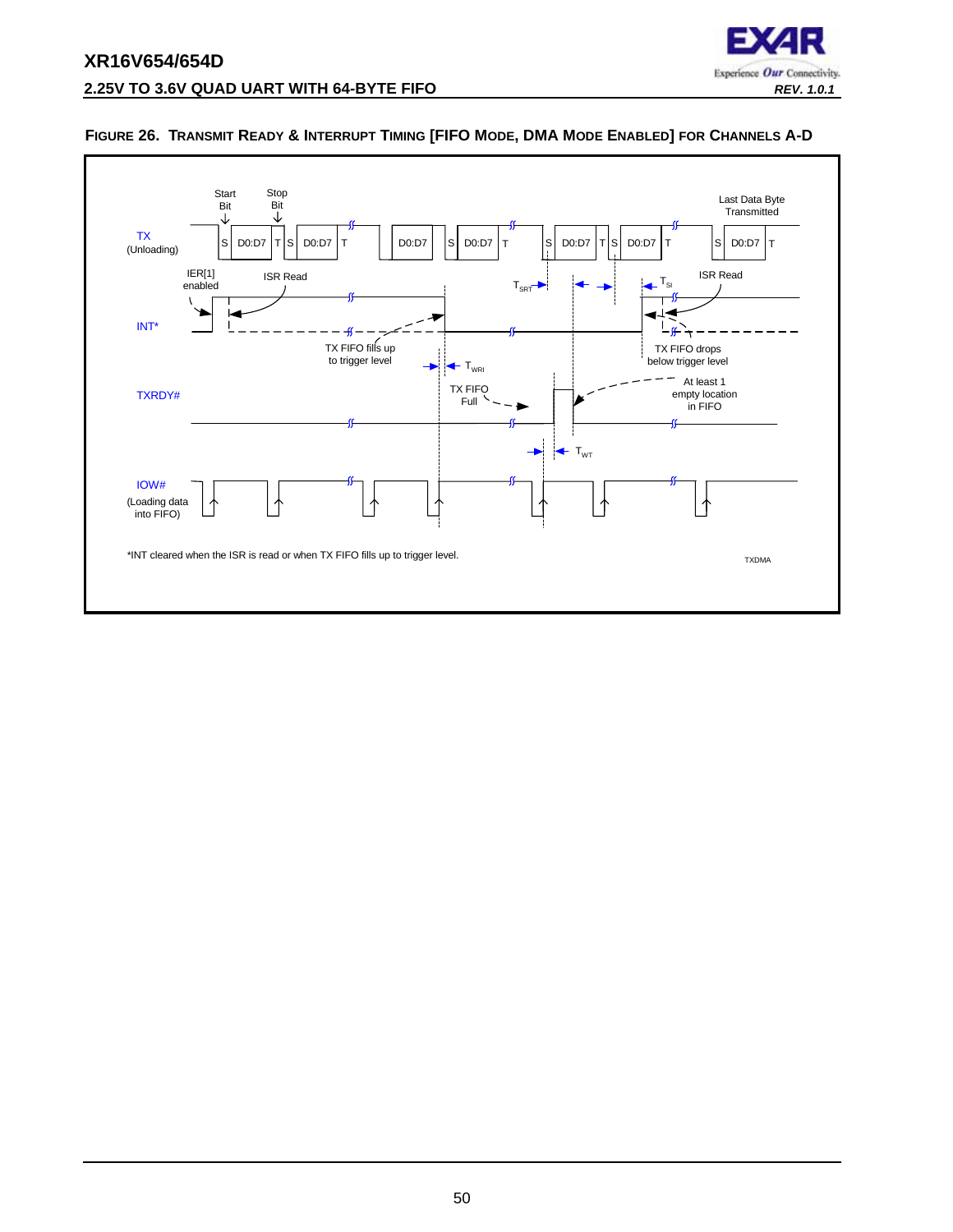

#### <span id="page-49-0"></span>**FIGURE 26. TRANSMIT READY & INTERRUPT TIMING [FIFO MODE, DMA MODE ENABLED] FOR CHANNELS A-D**

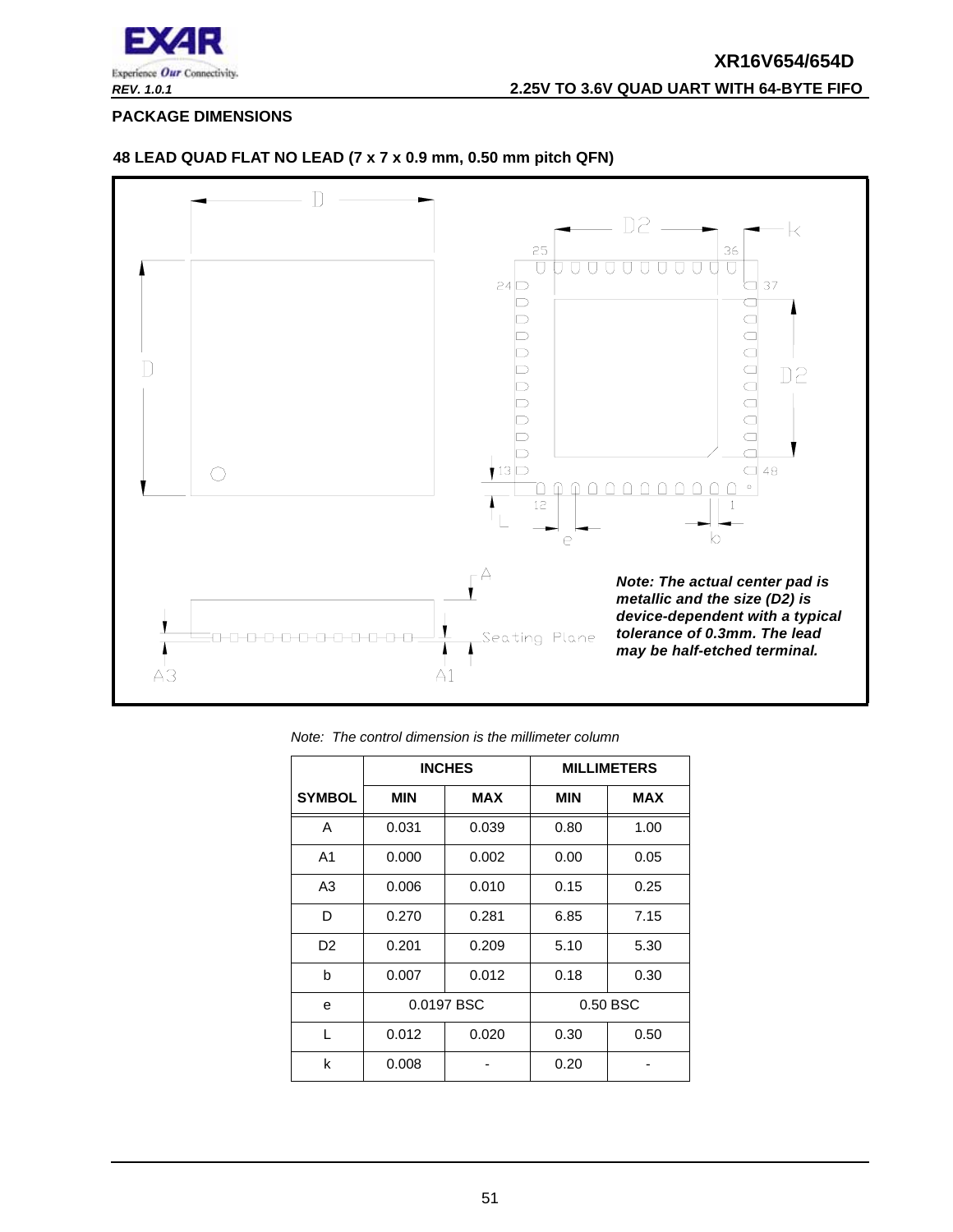

<span id="page-50-0"></span>**PACKAGE DIMENSIONS**



#### **48 LEAD QUAD FLAT NO LEAD (7 x 7 x 0.9 mm, 0.50 mm pitch QFN)**

|                | <b>INCHES</b> |            |            | <b>MILLIMETERS</b> |
|----------------|---------------|------------|------------|--------------------|
| <b>SYMBOL</b>  | <b>MIN</b>    | <b>MAX</b> | <b>MIN</b> | <b>MAX</b>         |
| A              | 0.031         | 0.039      | 0.80       | 1.00               |
| A <sub>1</sub> | 0.000         | 0.002      | 0.00       | 0.05               |
| A3             | 0.006         | 0.010      | 0.15       | 0.25               |
| D              | 0.270         | 0.281      | 6.85       | 7.15               |
| D <sub>2</sub> | 0.201         | 0.209      | 5.10       | 5.30               |
| b              | 0.007         | 0.012      | 0.18       | 0.30               |
| е              |               | 0.0197 BSC |            | 0.50 BSC           |
| L              | 0.012         | 0.020      | 0.30       | 0.50               |
| k              | 0.008         |            | 0.20       |                    |

*Note: The control dimension is the millimeter column*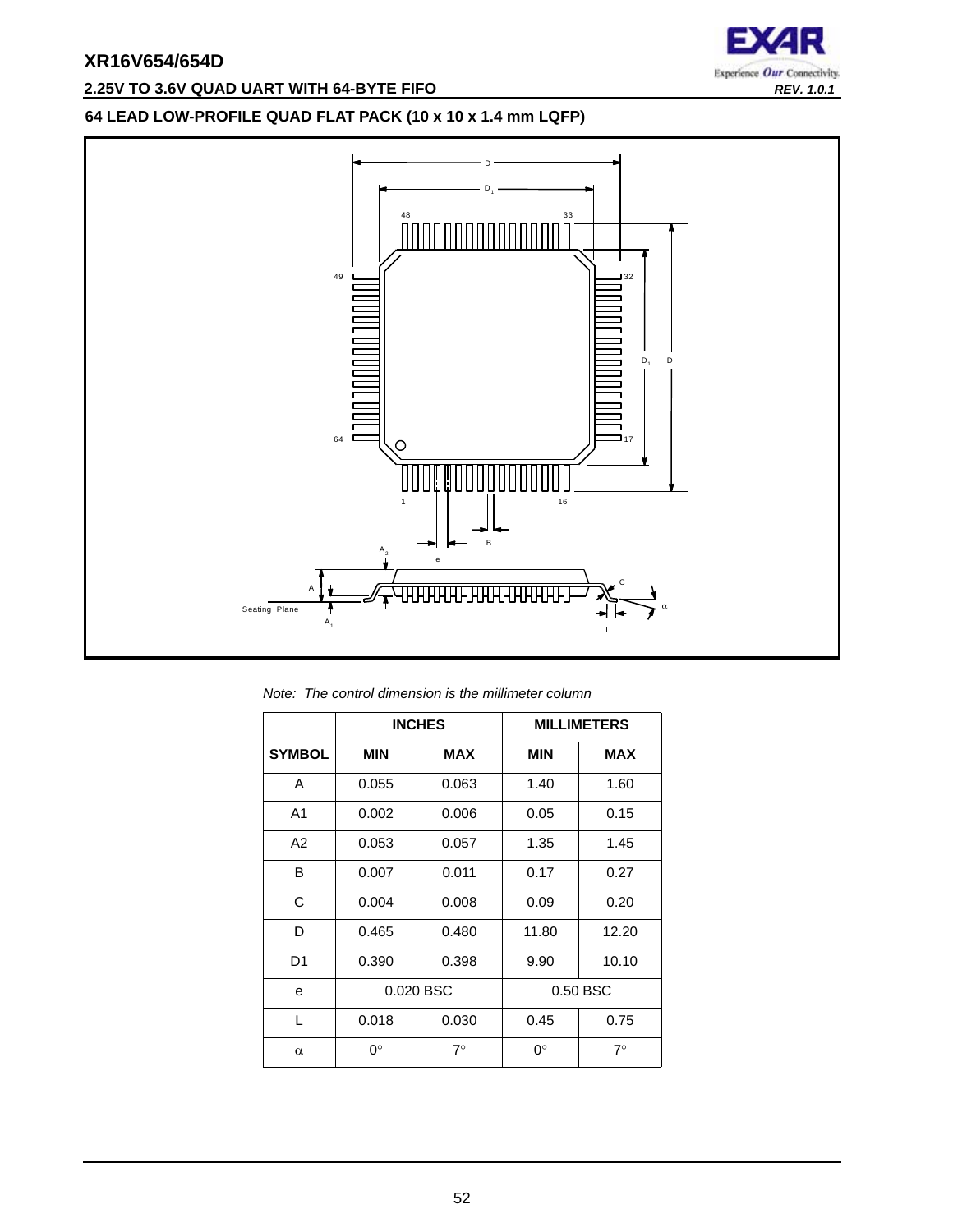## **2.25V TO 3.6V QUAD UART WITH 64-BYTE FIFO** *REV. 1.0.1*



#### **64 LEAD LOW-PROFILE QUAD FLAT PACK (10 x 10 x 1.4 mm LQFP)**



*Note: The control dimension is the millimeter column*

|                |            | <b>INCHES</b> |             | <b>MILLIMETERS</b> |
|----------------|------------|---------------|-------------|--------------------|
| <b>SYMBOL</b>  | <b>MIN</b> | <b>MAX</b>    | <b>MIN</b>  | <b>MAX</b>         |
| A              | 0.055      | 0.063         | 1.40        | 1.60               |
| A <sub>1</sub> | 0.002      | 0.006         | 0.05        | 0.15               |
| A2             | 0.053      | 0.057         | 1.35        | 1.45               |
| B              | 0.007      | 0.011         | 0.17        | 0.27               |
| C              | 0.004      | 0.008         | 0.09        | 0.20               |
| D              | 0.465      | 0.480         | 11.80       | 12.20              |
| D <sub>1</sub> | 0.390      | 0.398         | 9.90        | 10.10              |
| e              |            | 0.020 BSC     | 0.50 BSC    |                    |
| L              | 0.018      | 0.030         | 0.45        | 0.75               |
| $\alpha$       | 0°         | $7^\circ$     | $0^{\circ}$ | $7^\circ$          |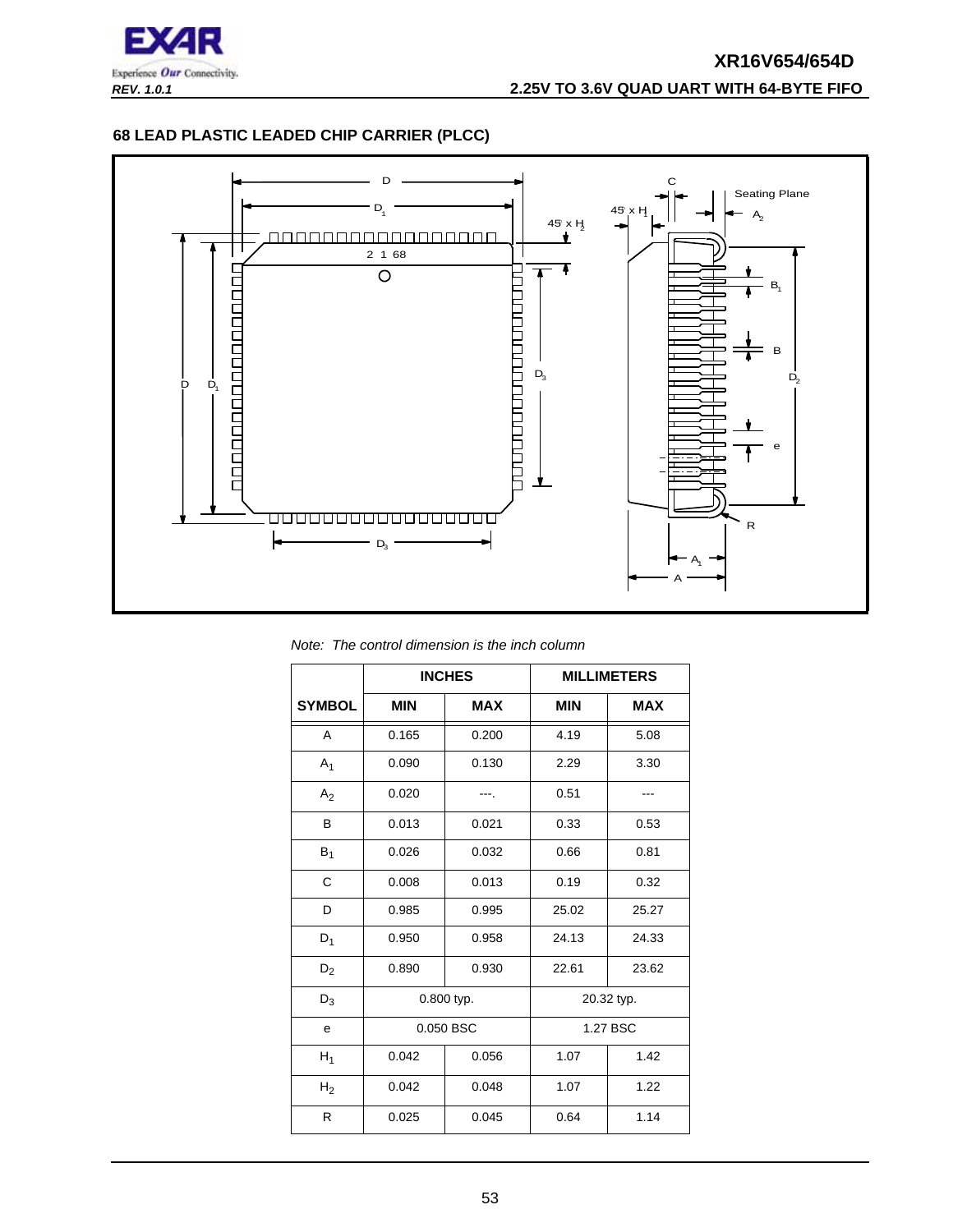

#### **68 LEAD PLASTIC LEADED CHIP CARRIER (PLCC)**



*Note: The control dimension is the inch column*

|                |            | <b>INCHES</b> |            | <b>MILLIMETERS</b> |
|----------------|------------|---------------|------------|--------------------|
| <b>SYMBOL</b>  | <b>MIN</b> | <b>MAX</b>    | <b>MIN</b> | <b>MAX</b>         |
| A              | 0.165      | 0.200         | 4.19       | 5.08               |
| $A_1$          | 0.090      | 0.130         | 2.29       | 3.30               |
| A <sub>2</sub> | 0.020      |               | 0.51       |                    |
| B              | 0.013      | 0.021         | 0.33       | 0.53               |
| $B_1$          | 0.026      | 0.032         | 0.66       | 0.81               |
| C              | 0.008      | 0.013         | 0.19       | 0.32               |
| D              | 0.985      | 0.995         | 25.02      | 25.27              |
| $D_1$          | 0.950      | 0.958         | 24.13      | 24.33              |
| $D_2$          | 0.890      | 0.930         | 22.61      | 23.62              |
| $D_3$          | 0.800 typ. |               |            | 20.32 typ.         |
| е              |            | 0.050 BSC     | 1.27 BSC   |                    |
| $H_1$          | 0.042      | 0.056         | 1.07       | 1.42               |
| H <sub>2</sub> | 0.042      | 0.048         | 1.07       | 1.22               |
| R              | 0.025      | 0.045         | 0.64       | 1.14               |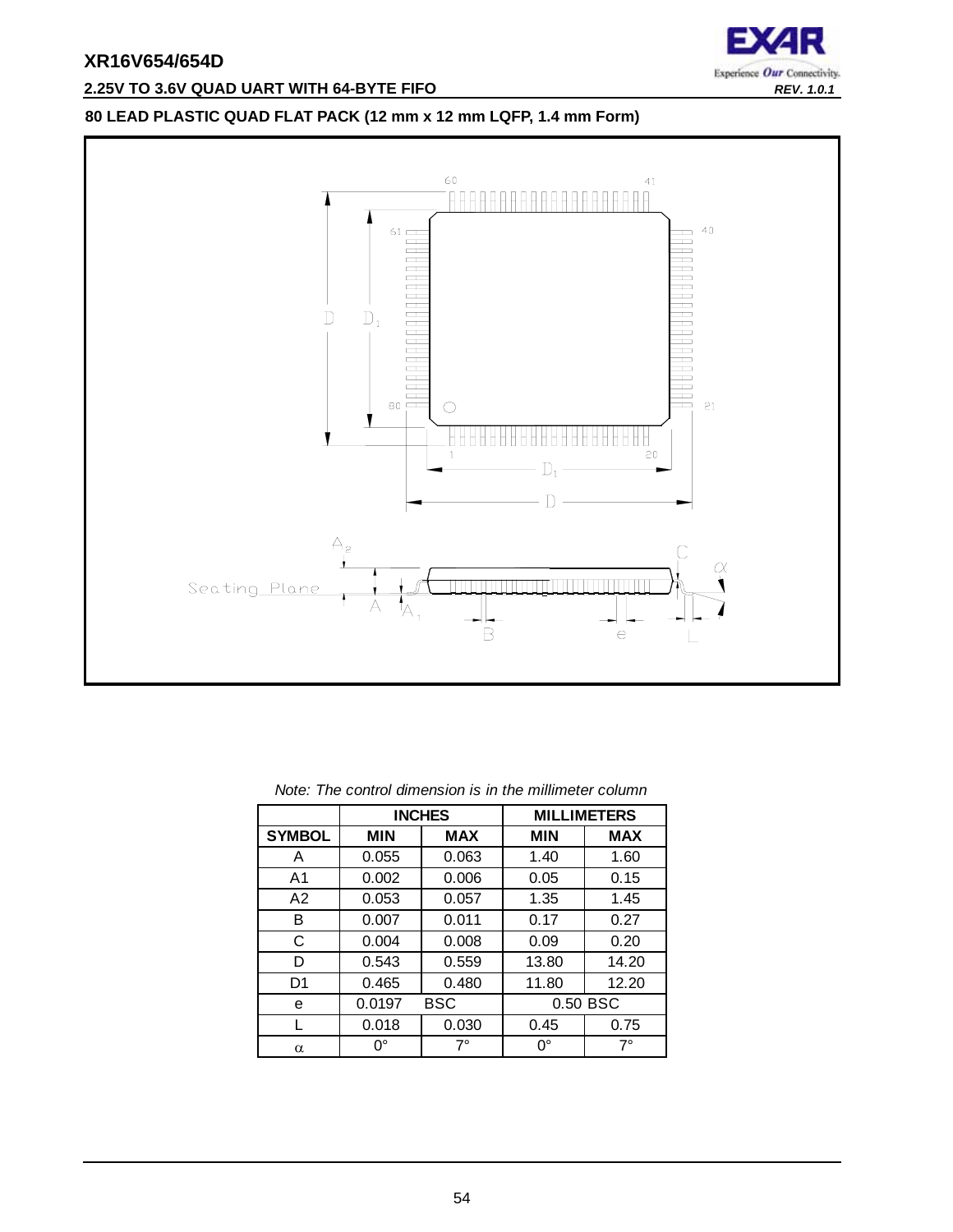

## **2.25V TO 3.6V QUAD UART WITH 64-BYTE FIFO** *REV. 1.0.1*

## **80 LEAD PLASTIC QUAD FLAT PACK (12 mm x 12 mm LQFP, 1.4 mm Form)**



|                |            | <b>INCHES</b> |             | <b>MILLIMETERS</b> |
|----------------|------------|---------------|-------------|--------------------|
| <b>SYMBOL</b>  | <b>MIN</b> | <b>MAX</b>    | <b>MIN</b>  | <b>MAX</b>         |
| Α              | 0.055      | 0.063         | 1.40        | 1.60               |
| A1             | 0.002      | 0.006         | 0.05        | 0.15               |
| A <sub>2</sub> | 0.053      | 0.057         | 1.35        | 1.45               |
| в              | 0.007      | 0.011         | 0.17        | 0.27               |
| C              | 0.004      | 0.008         | 0.09        | 0.20               |
| D              | 0.543      | 0.559         | 13.80       | 14.20              |
| D1             | 0.465      | 0.480         | 11.80       | 12.20              |
| е              | 0.0197     | BSC           |             | 0.50 BSC           |
|                | 0.018      | 0.030         | 0.45        | 0.75               |
| α              | 0°         | $7^\circ$     | $0^{\circ}$ | 7°                 |

| Note: The control dimension is in the millimeter column |  |  |  |  |
|---------------------------------------------------------|--|--|--|--|
|---------------------------------------------------------|--|--|--|--|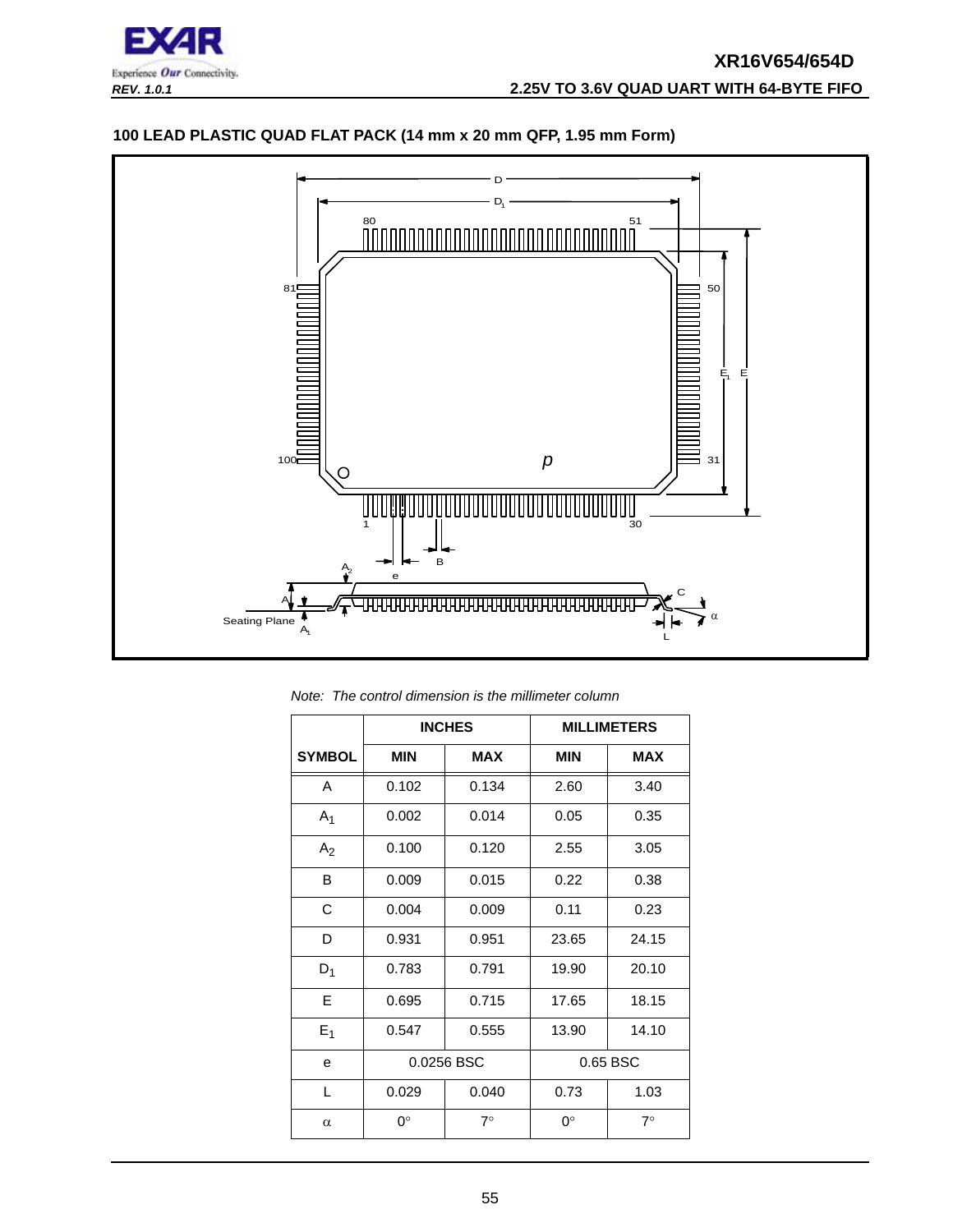

## **100 LEAD PLASTIC QUAD FLAT PACK (14 mm x 20 mm QFP, 1.95 mm Form)**



*Note: The control dimension is the millimeter column*

|                | <b>INCHES</b> |            | <b>MILLIMETERS</b> |            |
|----------------|---------------|------------|--------------------|------------|
| <b>SYMBOL</b>  | <b>MIN</b>    | <b>MAX</b> | <b>MIN</b>         | <b>MAX</b> |
| A              | 0.102         | 0.134      | 2.60               | 3.40       |
| A <sub>1</sub> | 0.002         | 0.014      | 0.05               | 0.35       |
| A <sub>2</sub> | 0.100         | 0.120      | 2.55               | 3.05       |
| B              | 0.009         | 0.015      | 0.22               | 0.38       |
| C              | 0.004         | 0.009      | 0.11               | 0.23       |
| D              | 0.931         | 0.951      | 23.65              | 24.15      |
| $D_1$          | 0.783         | 0.791      | 19.90              | 20.10      |
| E              | 0.695         | 0.715      | 17.65              | 18.15      |
| $E_1$          | 0.547         | 0.555      | 13.90              | 14.10      |
| e              | 0.0256 BSC    |            |                    | 0.65 BSC   |
| L              | 0.029         | 0.040      | 0.73               | 1.03       |
| $\alpha$       | $0^{\circ}$   | $7^\circ$  | ∩°                 | $7^\circ$  |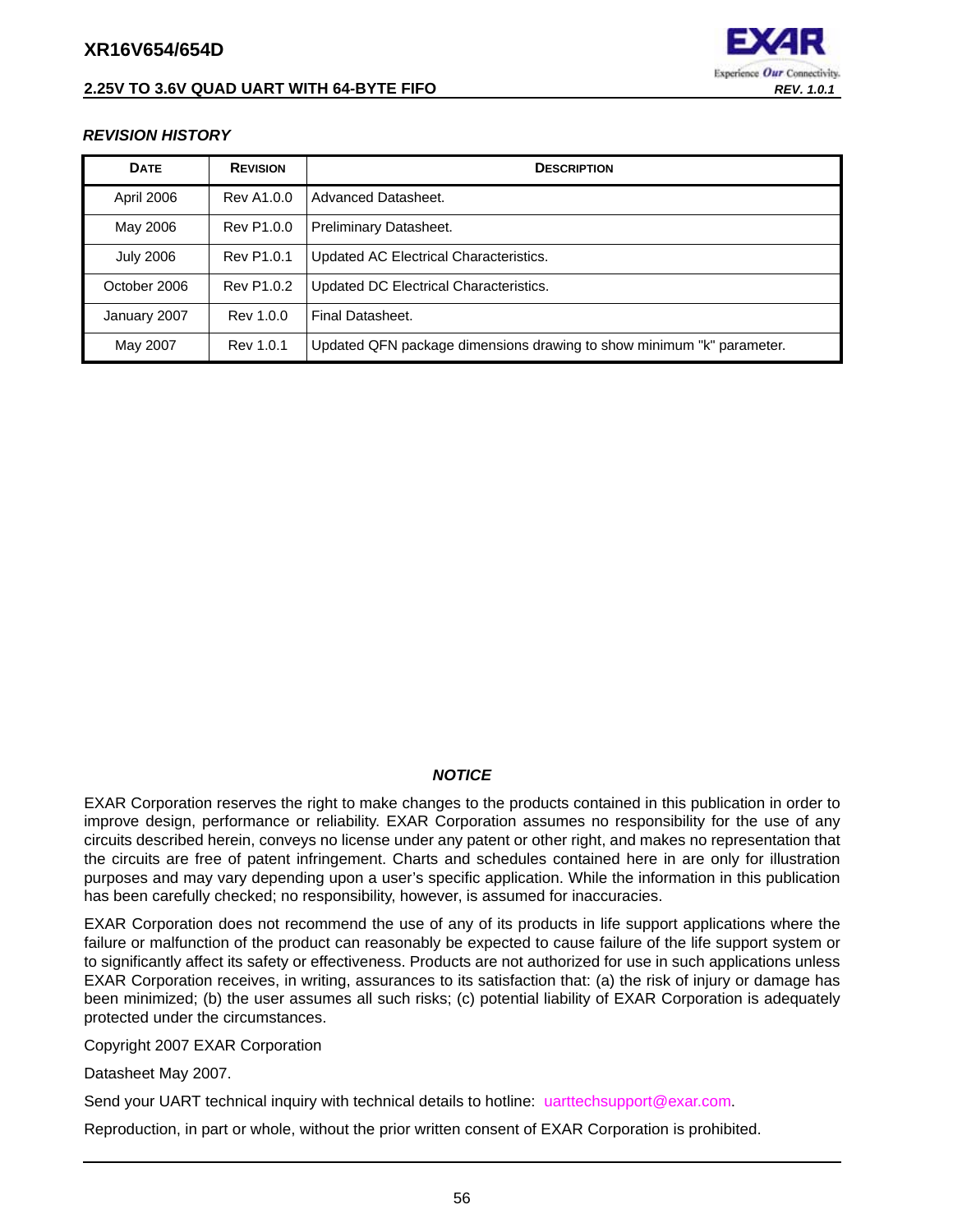## **2.25V TO 3.6V QUAD UART WITH 64-BYTE FIFO** *REV. 1.0.1*



#### <span id="page-55-0"></span>*REVISION HISTORY*

| <b>DATE</b>      | <b>REVISION</b>   | <b>DESCRIPTION</b>                                                    |  |
|------------------|-------------------|-----------------------------------------------------------------------|--|
| April 2006       | Rev A1.0.0        | Advanced Datasheet.                                                   |  |
| May 2006         | Rev P1.0.0        | Preliminary Datasheet.                                                |  |
| <b>July 2006</b> | Rev P1.0.1        | Updated AC Electrical Characteristics.                                |  |
| October 2006     | <b>Rev P1.0.2</b> | Updated DC Electrical Characteristics.                                |  |
| January 2007     | Rev 1.0.0         | Final Datasheet.                                                      |  |
| May 2007         | Rev 1.0.1         | Updated QFN package dimensions drawing to show minimum "k" parameter. |  |

#### *NOTICE*

EXAR Corporation reserves the right to make changes to the products contained in this publication in order to improve design, performance or reliability. EXAR Corporation assumes no responsibility for the use of any circuits described herein, conveys no license under any patent or other right, and makes no representation that the circuits are free of patent infringement. Charts and schedules contained here in are only for illustration purposes and may vary depending upon a user's specific application. While the information in this publication has been carefully checked; no responsibility, however, is assumed for inaccuracies.

EXAR Corporation does not recommend the use of any of its products in life support applications where the failure or malfunction of the product can reasonably be expected to cause failure of the life support system or to significantly affect its safety or effectiveness. Products are not authorized for use in such applications unless EXAR Corporation receives, in writing, assurances to its satisfaction that: (a) the risk of injury or damage has been minimized; (b) the user assumes all such risks; (c) potential liability of EXAR Corporation is adequately protected under the circumstances.

Copyright 2007 EXAR Corporation

Datasheet May 2007.

Send your UART technical inquiry with technical details to hotline: uarttechsupport@exar.com.

Reproduction, in part or whole, without the prior written consent of EXAR Corporation is prohibited.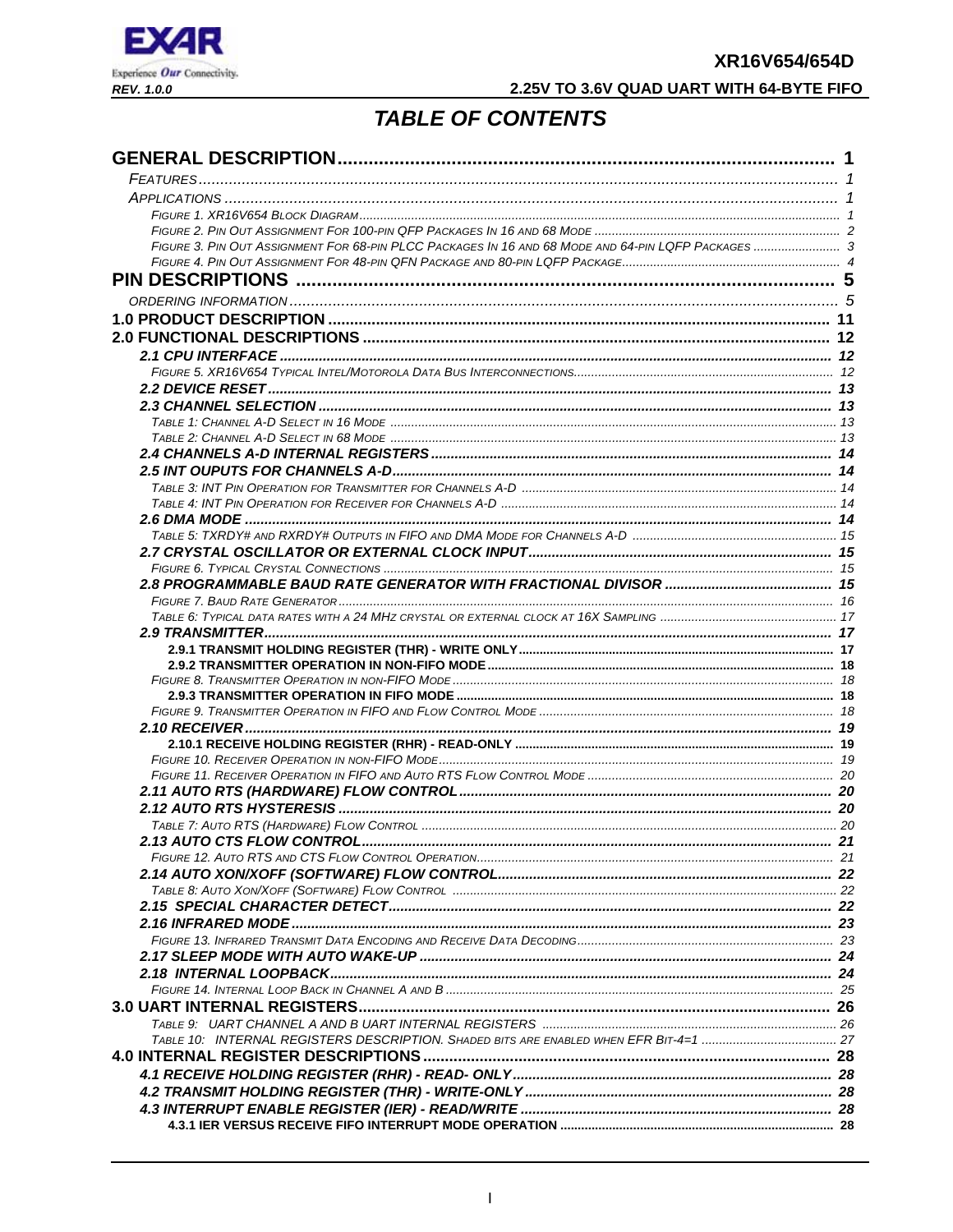

## 2.25V TO 3.6V QUAD UART WITH 64-BYTE FIFO

## **TABLE OF CONTENTS**

<span id="page-56-0"></span>

| FIGURE 3. PIN OUT ASSIGNMENT FOR 68-PIN PLCC PACKAGES IN 16 AND 68 MODE AND 64-PIN LQFP PACKAGES  3 |  |
|-----------------------------------------------------------------------------------------------------|--|
|                                                                                                     |  |
|                                                                                                     |  |
|                                                                                                     |  |
|                                                                                                     |  |
|                                                                                                     |  |
|                                                                                                     |  |
|                                                                                                     |  |
|                                                                                                     |  |
|                                                                                                     |  |
|                                                                                                     |  |
|                                                                                                     |  |
|                                                                                                     |  |
|                                                                                                     |  |
|                                                                                                     |  |
|                                                                                                     |  |
|                                                                                                     |  |
|                                                                                                     |  |
|                                                                                                     |  |
|                                                                                                     |  |
|                                                                                                     |  |
|                                                                                                     |  |
|                                                                                                     |  |
|                                                                                                     |  |
|                                                                                                     |  |
|                                                                                                     |  |
|                                                                                                     |  |
|                                                                                                     |  |
|                                                                                                     |  |
|                                                                                                     |  |
|                                                                                                     |  |
|                                                                                                     |  |
|                                                                                                     |  |
|                                                                                                     |  |
|                                                                                                     |  |
|                                                                                                     |  |
|                                                                                                     |  |
|                                                                                                     |  |
|                                                                                                     |  |
|                                                                                                     |  |
|                                                                                                     |  |
|                                                                                                     |  |
|                                                                                                     |  |
|                                                                                                     |  |
|                                                                                                     |  |
|                                                                                                     |  |
|                                                                                                     |  |
|                                                                                                     |  |
|                                                                                                     |  |
|                                                                                                     |  |
|                                                                                                     |  |
|                                                                                                     |  |
|                                                                                                     |  |
|                                                                                                     |  |